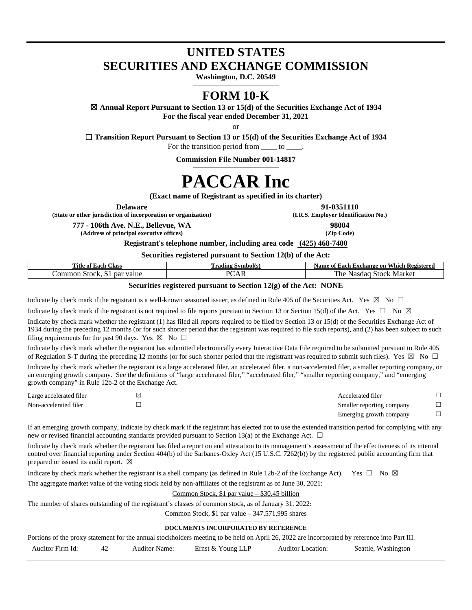# **UNITED STATES SECURITIES AND EXCHANGE COMMISSION**

**Washington, D.C. 20549**

# **FORM 10-K**

**☒ Annual Report Pursuant to Section 13 or 15(d) of the Securities Exchange Act of 1934 For the fiscal year ended December 31, 2021**

or

**☐ Transition Report Pursuant to Section 13 or 15(d) of the Securities Exchange Act of 1934** For the transition period from  $\_\_\_\_$  to  $\_\_\_\$ 

**Commission File Number 001-14817**

# **PACCAR Inc**

**(Exact name of Registrant as specified in its charter)**

**(State or other jurisdiction of incorporation or organization)** 

**777 - 106th Ave. N.E., Bellevue, WA 98004 (Address of principal executive offices) (Zip Code)**

**Delaware 91-0351110**<br> **91-0351110**<br> **1.R.S. Employer Identification No.**)

**Registrant's telephone number, including area code (425) 468-7400**

**Securities registered pursuant to Section 12(b) of the Act:**

| Title or<br>$\sim$<br>∴lass<br>∴ach       | mbolts | -<br>----<br>Registered<br>W hich<br>. Exchange<br>` on<br>tach<br>-01<br>. vame. |
|-------------------------------------------|--------|-----------------------------------------------------------------------------------|
| value<br>oar<br>nor<br>.510C <sup>V</sup> | DΓ     | Markt.<br>.510cV<br>da<br>Nas.<br>. ne                                            |

#### **Securities registered pursuant to Section 12(g) of the Act: NONE**

Indicate by check mark if the registrant is a well-known seasoned issuer, as defined in Rule 405 of the Securities Act. Yes  $\boxtimes$  No  $\Box$ 

Indicate by check mark if the registrant is not required to file reports pursuant to Section 13 or Section 15(d) of the Act. Yes  $\Box$  No  $\boxtimes$ 

Indicate by check mark whether the registrant (1) has filed all reports required to be filed by Section 13 or 15(d) of the Securities Exchange Act of 1934 during the preceding 12 months (or for such shorter period that the registrant was required to file such reports), and (2) has been subject to such filing requirements for the past 90 days. Yes  $\boxtimes$  No  $\Box$ 

Indicate by check mark whether the registrant has submitted electronically every Interactive Data File required to be submitted pursuant to Rule 405 of Regulation S-T during the preceding 12 months (or for such shorter period that the registrant was required to submit such files). Yes  $\boxtimes$  No  $\Box$ 

Indicate by check mark whether the registrant is a large accelerated filer, an accelerated filer, a non-accelerated filer, a smaller reporting company, or an emerging growth company. See the definitions of "large accelerated filer," "accelerated filer," "smaller reporting company," and "emerging growth company" in Rule 12b-2 of the Exchange Act.

| Large accelerated filer | Accelerated filer         |  |
|-------------------------|---------------------------|--|
| Non-accelerated filer   | Smaller reporting company |  |
|                         | Emerging growth company   |  |

If an emerging growth company, indicate by check mark if the registrant has elected not to use the extended transition period for complying with any new or revised financial accounting standards provided pursuant to Section 13(a) of the Exchange Act.  $\Box$ 

Indicate by check mark whether the registrant has filed a report on and attestation to its management's assessment of the effectiveness of its internal control over financial reporting under Section 404(b) of the Sarbanes-Oxley Act (15 U.S.C. 7262(b)) by the registered public accounting firm that prepared or issued its audit report.  $\boxtimes$ 

Indicate by check mark whether the registrant is a shell company (as defined in Rule 12b-2 of the Exchange Act). Yes  $\Box$  No  $\boxtimes$ 

The aggregate market value of the voting stock held by non-affiliates of the registrant as of June 30, 2021:

Common Stock, \$1 par value – \$30.45 billion

The number of shares outstanding of the registrant's classes of common stock, as of January 31, 2022:

Common Stock, \$1 par value – 347,571,995 shares

#### **DOCUMENTS INCORPORATED BY REFERENCE**

Portions of the proxy statement for the annual stockholders meeting to be held on April 26, 2022 are incorporated by reference into Part III.

Auditor Firm Id: 42 Auditor Name: Ernst & Young LLP Auditor Location: Seattle, Washington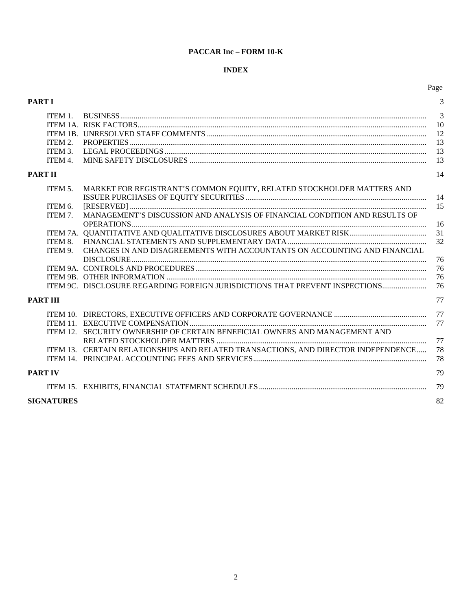#### **PACCAR Inc – FORM 10-K**

#### **INDEX**

| PART I  |                 |                                                                              | $\mathcal{F}$ |
|---------|-----------------|------------------------------------------------------------------------------|---------------|
|         | ITEM 1.         |                                                                              | 3             |
|         |                 |                                                                              | 10            |
|         |                 |                                                                              | 12            |
|         | ITEM 2.         |                                                                              | 13            |
|         | ITEM 3.         |                                                                              | 13            |
|         | ITEM 4.         |                                                                              | 13            |
| PART II |                 |                                                                              | 14            |
|         | ITEM 5.         | MARKET FOR REGISTRANT'S COMMON EQUITY, RELATED STOCKHOLDER MATTERS AND       |               |
|         |                 |                                                                              | 14            |
|         | ITEM 6.         |                                                                              | 15            |
|         | ITEM 7.         | MANAGEMENT'S DISCUSSION AND ANALYSIS OF FINANCIAL CONDITION AND RESULTS OF   | 16            |
|         |                 |                                                                              | 31            |
|         | ITEM 8.         |                                                                              | 32            |
|         | ITEM 9.         | CHANGES IN AND DISAGREEMENTS WITH ACCOUNTANTS ON ACCOUNTING AND FINANCIAL    |               |
|         |                 |                                                                              | 76            |
|         |                 |                                                                              | 76            |
|         |                 |                                                                              | 76            |
|         |                 | ITEM 9C. DISCLOSURE REGARDING FOREIGN JURISDICTIONS THAT PREVENT INSPECTIONS | 76            |
|         | PART III        |                                                                              | 77            |
|         |                 |                                                                              | 77            |
|         |                 |                                                                              | 77            |
|         | <b>ITEM 12.</b> | SECURITY OWNERSHIP OF CERTAIN BENEFICIAL OWNERS AND MANAGEMENT AND           |               |
|         |                 |                                                                              | 77            |
|         | <b>ITEM 13.</b> | CERTAIN RELATIONSHIPS AND RELATED TRANSACTIONS, AND DIRECTOR INDEPENDENCE    | 78            |
|         |                 |                                                                              | 78            |
|         | PART IV         |                                                                              | 79            |
|         |                 |                                                                              | 79            |
|         | SIGNATURES      |                                                                              | 82            |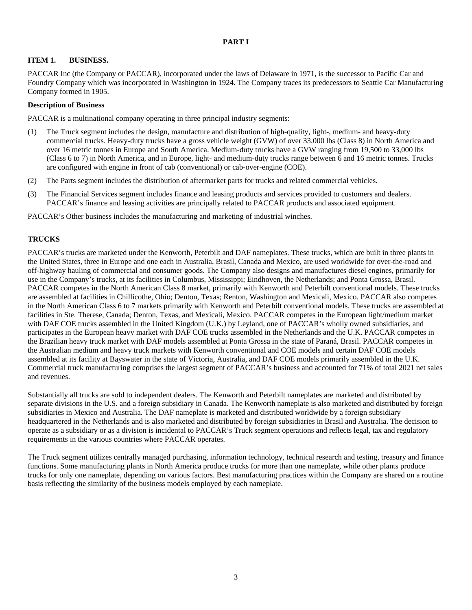#### <span id="page-2-0"></span>**PART I**

#### <span id="page-2-1"></span>**ITEM 1. BUSINESS.**

PACCAR Inc (the Company or PACCAR), incorporated under the laws of Delaware in 1971, is the successor to Pacific Car and Foundry Company which was incorporated in Washington in 1924. The Company traces its predecessors to Seattle Car Manufacturing Company formed in 1905.

#### **Description of Business**

PACCAR is a multinational company operating in three principal industry segments:

- (1) The Truck segment includes the design, manufacture and distribution of high-quality, light-, medium- and heavy-duty commercial trucks. Heavy-duty trucks have a gross vehicle weight (GVW) of over 33,000 lbs (Class 8) in North America and over 16 metric tonnes in Europe and South America. Medium-duty trucks have a GVW ranging from 19,500 to 33,000 lbs (Class 6 to 7) in North America, and in Europe, light- and medium-duty trucks range between 6 and 16 metric tonnes. Trucks are configured with engine in front of cab (conventional) or cab-over-engine (COE).
- (2) The Parts segment includes the distribution of aftermarket parts for trucks and related commercial vehicles.
- (3) The Financial Services segment includes finance and leasing products and services provided to customers and dealers. PACCAR's finance and leasing activities are principally related to PACCAR products and associated equipment.

PACCAR's Other business includes the manufacturing and marketing of industrial winches.

#### **TRUCKS**

PACCAR's trucks are marketed under the Kenworth, Peterbilt and DAF nameplates. These trucks, which are built in three plants in the United States, three in Europe and one each in Australia, Brasil, Canada and Mexico, are used worldwide for over-the-road and off-highway hauling of commercial and consumer goods. The Company also designs and manufactures diesel engines, primarily for use in the Company's trucks, at its facilities in Columbus, Mississippi; Eindhoven, the Netherlands; and Ponta Grossa, Brasil. PACCAR competes in the North American Class 8 market, primarily with Kenworth and Peterbilt conventional models. These trucks are assembled at facilities in Chillicothe, Ohio; Denton, Texas; Renton, Washington and Mexicali, Mexico. PACCAR also competes in the North American Class 6 to 7 markets primarily with Kenworth and Peterbilt conventional models. These trucks are assembled at facilities in Ste. Therese, Canada; Denton, Texas, and Mexicali, Mexico. PACCAR competes in the European light/medium market with DAF COE trucks assembled in the United Kingdom (U.K.) by Leyland, one of PACCAR's wholly owned subsidiaries, and participates in the European heavy market with DAF COE trucks assembled in the Netherlands and the U.K. PACCAR competes in the Brazilian heavy truck market with DAF models assembled at Ponta Grossa in the state of Paraná, Brasil. PACCAR competes in the Australian medium and heavy truck markets with Kenworth conventional and COE models and certain DAF COE models assembled at its facility at Bayswater in the state of Victoria, Australia, and DAF COE models primarily assembled in the U.K. Commercial truck manufacturing comprises the largest segment of PACCAR's business and accounted for 71% of total 2021 net sales and revenues.

Substantially all trucks are sold to independent dealers. The Kenworth and Peterbilt nameplates are marketed and distributed by separate divisions in the U.S. and a foreign subsidiary in Canada. The Kenworth nameplate is also marketed and distributed by foreign subsidiaries in Mexico and Australia. The DAF nameplate is marketed and distributed worldwide by a foreign subsidiary headquartered in the Netherlands and is also marketed and distributed by foreign subsidiaries in Brasil and Australia. The decision to operate as a subsidiary or as a division is incidental to PACCAR's Truck segment operations and reflects legal, tax and regulatory requirements in the various countries where PACCAR operates.

The Truck segment utilizes centrally managed purchasing, information technology, technical research and testing, treasury and finance functions. Some manufacturing plants in North America produce trucks for more than one nameplate, while other plants produce trucks for only one nameplate, depending on various factors. Best manufacturing practices within the Company are shared on a routine basis reflecting the similarity of the business models employed by each nameplate.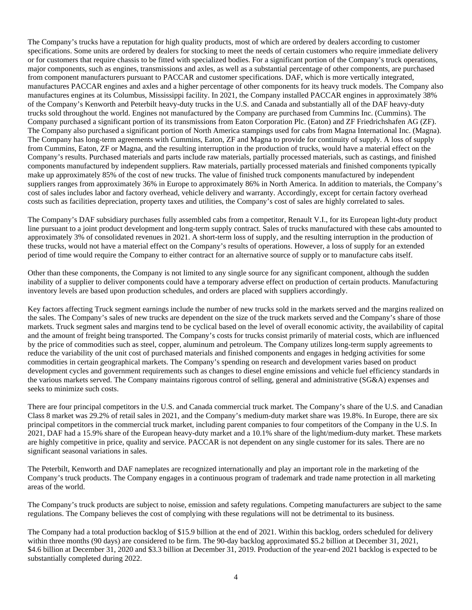The Company's trucks have a reputation for high quality products, most of which are ordered by dealers according to customer specifications. Some units are ordered by dealers for stocking to meet the needs of certain customers who require immediate delivery or for customers that require chassis to be fitted with specialized bodies. For a significant portion of the Company's truck operations, major components, such as engines, transmissions and axles, as well as a substantial percentage of other components, are purchased from component manufacturers pursuant to PACCAR and customer specifications. DAF, which is more vertically integrated, manufactures PACCAR engines and axles and a higher percentage of other components for its heavy truck models. The Company also manufactures engines at its Columbus, Mississippi facility. In 2021, the Company installed PACCAR engines in approximately 38% of the Company's Kenworth and Peterbilt heavy-duty trucks in the U.S. and Canada and substantially all of the DAF heavy-duty trucks sold throughout the world. Engines not manufactured by the Company are purchased from Cummins Inc. (Cummins). The Company purchased a significant portion of its transmissions from Eaton Corporation Plc. (Eaton) and ZF Friedrichshafen AG (ZF). The Company also purchased a significant portion of North America stampings used for cabs from Magna International Inc. (Magna). The Company has long-term agreements with Cummins, Eaton, ZF and Magna to provide for continuity of supply. A loss of supply from Cummins, Eaton, ZF or Magna, and the resulting interruption in the production of trucks, would have a material effect on the Company's results. Purchased materials and parts include raw materials, partially processed materials, such as castings, and finished components manufactured by independent suppliers. Raw materials, partially processed materials and finished components typically make up approximately 85% of the cost of new trucks. The value of finished truck components manufactured by independent suppliers ranges from approximately 36% in Europe to approximately 86% in North America. In addition to materials, the Company's cost of sales includes labor and factory overhead, vehicle delivery and warranty. Accordingly, except for certain factory overhead costs such as facilities depreciation, property taxes and utilities, the Company's cost of sales are highly correlated to sales.

The Company's DAF subsidiary purchases fully assembled cabs from a competitor, Renault V.I., for its European light-duty product line pursuant to a joint product development and long-term supply contract. Sales of trucks manufactured with these cabs amounted to approximately 3% of consolidated revenues in 2021. A short-term loss of supply, and the resulting interruption in the production of these trucks, would not have a material effect on the Company's results of operations. However, a loss of supply for an extended period of time would require the Company to either contract for an alternative source of supply or to manufacture cabs itself.

Other than these components, the Company is not limited to any single source for any significant component, although the sudden inability of a supplier to deliver components could have a temporary adverse effect on production of certain products. Manufacturing inventory levels are based upon production schedules, and orders are placed with suppliers accordingly.

Key factors affecting Truck segment earnings include the number of new trucks sold in the markets served and the margins realized on the sales. The Company's sales of new trucks are dependent on the size of the truck markets served and the Company's share of those markets. Truck segment sales and margins tend to be cyclical based on the level of overall economic activity, the availability of capital and the amount of freight being transported. The Company's costs for trucks consist primarily of material costs, which are influenced by the price of commodities such as steel, copper, aluminum and petroleum. The Company utilizes long-term supply agreements to reduce the variability of the unit cost of purchased materials and finished components and engages in hedging activities for some commodities in certain geographical markets. The Company's spending on research and development varies based on product development cycles and government requirements such as changes to diesel engine emissions and vehicle fuel efficiency standards in the various markets served. The Company maintains rigorous control of selling, general and administrative (SG&A) expenses and seeks to minimize such costs.

There are four principal competitors in the U.S. and Canada commercial truck market. The Company's share of the U.S. and Canadian Class 8 market was 29.2% of retail sales in 2021, and the Company's medium-duty market share was 19.8%. In Europe, there are six principal competitors in the commercial truck market, including parent companies to four competitors of the Company in the U.S. In 2021, DAF had a 15.9% share of the European heavy-duty market and a 10.1% share of the light/medium-duty market. These markets are highly competitive in price, quality and service. PACCAR is not dependent on any single customer for its sales. There are no significant seasonal variations in sales.

The Peterbilt, Kenworth and DAF nameplates are recognized internationally and play an important role in the marketing of the Company's truck products. The Company engages in a continuous program of trademark and trade name protection in all marketing areas of the world.

The Company's truck products are subject to noise, emission and safety regulations. Competing manufacturers are subject to the same regulations. The Company believes the cost of complying with these regulations will not be detrimental to its business.

The Company had a total production backlog of \$15.9 billion at the end of 2021. Within this backlog, orders scheduled for delivery within three months (90 days) are considered to be firm. The 90-day backlog approximated \$5.2 billion at December 31, 2021, \$4.6 billion at December 31, 2020 and \$3.3 billion at December 31, 2019. Production of the year-end 2021 backlog is expected to be substantially completed during 2022.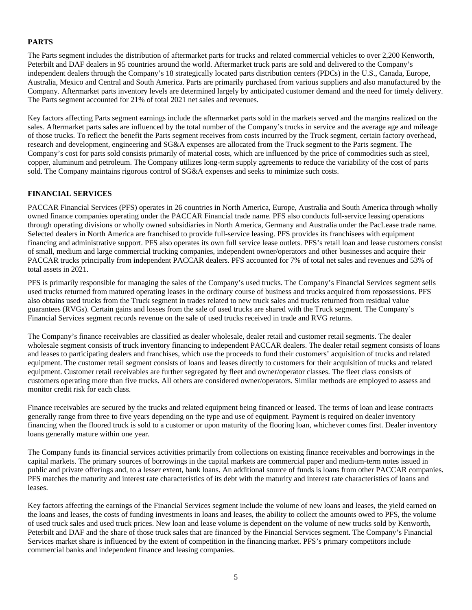#### **PARTS**

The Parts segment includes the distribution of aftermarket parts for trucks and related commercial vehicles to over 2,200 Kenworth, Peterbilt and DAF dealers in 95 countries around the world. Aftermarket truck parts are sold and delivered to the Company's independent dealers through the Company's 18 strategically located parts distribution centers (PDCs) in the U.S., Canada, Europe, Australia, Mexico and Central and South America. Parts are primarily purchased from various suppliers and also manufactured by the Company. Aftermarket parts inventory levels are determined largely by anticipated customer demand and the need for timely delivery. The Parts segment accounted for 21% of total 2021 net sales and revenues.

Key factors affecting Parts segment earnings include the aftermarket parts sold in the markets served and the margins realized on the sales. Aftermarket parts sales are influenced by the total number of the Company's trucks in service and the average age and mileage of those trucks. To reflect the benefit the Parts segment receives from costs incurred by the Truck segment, certain factory overhead, research and development, engineering and SG&A expenses are allocated from the Truck segment to the Parts segment. The Company's cost for parts sold consists primarily of material costs, which are influenced by the price of commodities such as steel, copper, aluminum and petroleum. The Company utilizes long-term supply agreements to reduce the variability of the cost of parts sold. The Company maintains rigorous control of SG&A expenses and seeks to minimize such costs.

#### **FINANCIAL SERVICES**

PACCAR Financial Services (PFS) operates in 26 countries in North America, Europe, Australia and South America through wholly owned finance companies operating under the PACCAR Financial trade name. PFS also conducts full-service leasing operations through operating divisions or wholly owned subsidiaries in North America, Germany and Australia under the PacLease trade name. Selected dealers in North America are franchised to provide full-service leasing. PFS provides its franchisees with equipment financing and administrative support. PFS also operates its own full service lease outlets. PFS's retail loan and lease customers consist of small, medium and large commercial trucking companies, independent owner/operators and other businesses and acquire their PACCAR trucks principally from independent PACCAR dealers. PFS accounted for 7% of total net sales and revenues and 53% of total assets in 2021.

PFS is primarily responsible for managing the sales of the Company's used trucks. The Company's Financial Services segment sells used trucks returned from matured operating leases in the ordinary course of business and trucks acquired from repossessions. PFS also obtains used trucks from the Truck segment in trades related to new truck sales and trucks returned from residual value guarantees (RVGs). Certain gains and losses from the sale of used trucks are shared with the Truck segment. The Company's Financial Services segment records revenue on the sale of used trucks received in trade and RVG returns.

The Company's finance receivables are classified as dealer wholesale, dealer retail and customer retail segments. The dealer wholesale segment consists of truck inventory financing to independent PACCAR dealers. The dealer retail segment consists of loans and leases to participating dealers and franchises, which use the proceeds to fund their customers' acquisition of trucks and related equipment. The customer retail segment consists of loans and leases directly to customers for their acquisition of trucks and related equipment. Customer retail receivables are further segregated by fleet and owner/operator classes. The fleet class consists of customers operating more than five trucks. All others are considered owner/operators. Similar methods are employed to assess and monitor credit risk for each class.

Finance receivables are secured by the trucks and related equipment being financed or leased. The terms of loan and lease contracts generally range from three to five years depending on the type and use of equipment. Payment is required on dealer inventory financing when the floored truck is sold to a customer or upon maturity of the flooring loan, whichever comes first. Dealer inventory loans generally mature within one year.

The Company funds its financial services activities primarily from collections on existing finance receivables and borrowings in the capital markets. The primary sources of borrowings in the capital markets are commercial paper and medium-term notes issued in public and private offerings and, to a lesser extent, bank loans. An additional source of funds is loans from other PACCAR companies. PFS matches the maturity and interest rate characteristics of its debt with the maturity and interest rate characteristics of loans and leases.

Key factors affecting the earnings of the Financial Services segment include the volume of new loans and leases, the yield earned on the loans and leases, the costs of funding investments in loans and leases, the ability to collect the amounts owed to PFS, the volume of used truck sales and used truck prices. New loan and lease volume is dependent on the volume of new trucks sold by Kenworth, Peterbilt and DAF and the share of those truck sales that are financed by the Financial Services segment. The Company's Financial Services market share is influenced by the extent of competition in the financing market. PFS's primary competitors include commercial banks and independent finance and leasing companies.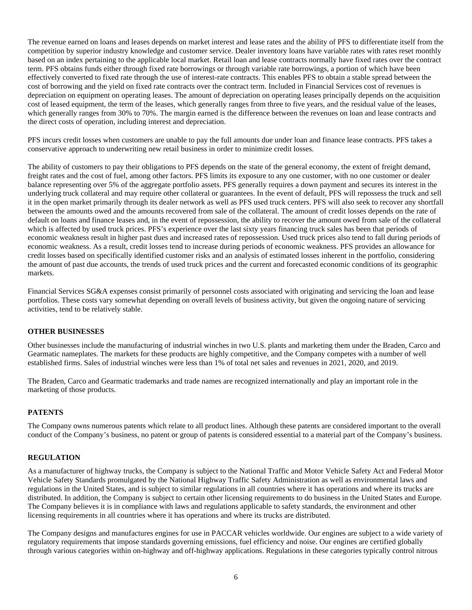The revenue earned on loans and leases depends on market interest and lease rates and the ability of PFS to differentiate itself from the competition by superior industry knowledge and customer service. Dealer inventory loans have variable rates with rates reset monthly based on an index pertaining to the applicable local market. Retail loan and lease contracts normally have fixed rates over the contract term. PFS obtains funds either through fixed rate borrowings or through variable rate borrowings, a portion of which have been effectively converted to fixed rate through the use of interest-rate contracts. This enables PFS to obtain a stable spread between the cost of borrowing and the yield on fixed rate contracts over the contract term. Included in Financial Services cost of revenues is depreciation on equipment on operating leases. The amount of depreciation on operating leases principally depends on the acquisition cost of leased equipment, the term of the leases, which generally ranges from three to five years, and the residual value of the leases, which generally ranges from 30% to 70%. The margin earned is the difference between the revenues on loan and lease contracts and the direct costs of operation, including interest and depreciation.

PFS incurs credit losses when customers are unable to pay the full amounts due under loan and finance lease contracts. PFS takes a conservative approach to underwriting new retail business in order to minimize credit losses.

The ability of customers to pay their obligations to PFS depends on the state of the general economy, the extent of freight demand, freight rates and the cost of fuel, among other factors. PFS limits its exposure to any one customer, with no one customer or dealer balance representing over 5% of the aggregate portfolio assets. PFS generally requires a down payment and secures its interest in the underlying truck collateral and may require other collateral or guarantees. In the event of default, PFS will repossess the truck and sell it in the open market primarily through its dealer network as well as PFS used truck centers. PFS will also seek to recover any shortfall between the amounts owed and the amounts recovered from sale of the collateral. The amount of credit losses depends on the rate of default on loans and finance leases and, in the event of repossession, the ability to recover the amount owed from sale of the collateral which is affected by used truck prices. PFS's experience over the last sixty years financing truck sales has been that periods of economic weakness result in higher past dues and increased rates of repossession. Used truck prices also tend to fall during periods of economic weakness. As a result, credit losses tend to increase during periods of economic weakness. PFS provides an allowance for credit losses based on specifically identified customer risks and an analysis of estimated losses inherent in the portfolio, considering the amount of past due accounts, the trends of used truck prices and the current and forecasted economic conditions of its geographic markets.

Financial Services SG&A expenses consist primarily of personnel costs associated with originating and servicing the loan and lease portfolios. These costs vary somewhat depending on overall levels of business activity, but given the ongoing nature of servicing activities, tend to be relatively stable.

#### **OTHER BUSINESSES**

Other businesses include the manufacturing of industrial winches in two U.S. plants and marketing them under the Braden, Carco and Gearmatic nameplates. The markets for these products are highly competitive, and the Company competes with a number of well established firms. Sales of industrial winches were less than 1% of total net sales and revenues in 2021, 2020, and 2019.

The Braden, Carco and Gearmatic trademarks and trade names are recognized internationally and play an important role in the marketing of those products.

#### **PATENTS**

The Company owns numerous patents which relate to all product lines. Although these patents are considered important to the overall conduct of the Company's business, no patent or group of patents is considered essential to a material part of the Company's business.

#### **REGULATION**

As a manufacturer of highway trucks, the Company is subject to the National Traffic and Motor Vehicle Safety Act and Federal Motor Vehicle Safety Standards promulgated by the National Highway Traffic Safety Administration as well as environmental laws and regulations in the United States, and is subject to similar regulations in all countries where it has operations and where its trucks are distributed. In addition, the Company is subject to certain other licensing requirements to do business in the United States and Europe. The Company believes it is in compliance with laws and regulations applicable to safety standards, the environment and other licensing requirements in all countries where it has operations and where its trucks are distributed.

The Company designs and manufactures engines for use in PACCAR vehicles worldwide. Our engines are subject to a wide variety of regulatory requirements that impose standards governing emissions, fuel efficiency and noise. Our engines are certified globally through various categories within on-highway and off-highway applications. Regulations in these categories typically control nitrous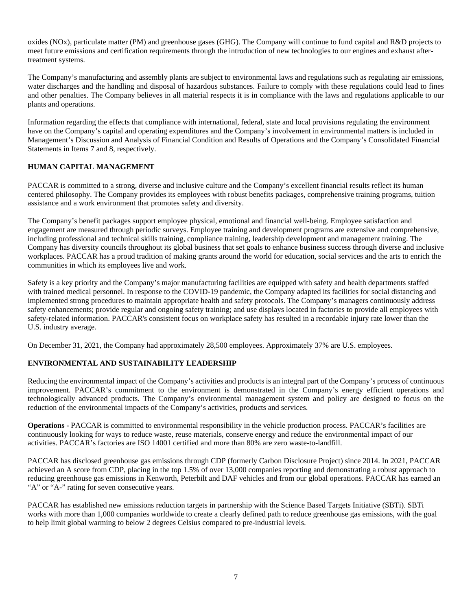oxides (NOx), particulate matter (PM) and greenhouse gases (GHG). The Company will continue to fund capital and R&D projects to meet future emissions and certification requirements through the introduction of new technologies to our engines and exhaust aftertreatment systems.

The Company's manufacturing and assembly plants are subject to environmental laws and regulations such as regulating air emissions, water discharges and the handling and disposal of hazardous substances. Failure to comply with these regulations could lead to fines and other penalties. The Company believes in all material respects it is in compliance with the laws and regulations applicable to our plants and operations.

Information regarding the effects that compliance with international, federal, state and local provisions regulating the environment have on the Company's capital and operating expenditures and the Company's involvement in environmental matters is included in Management's Discussion and Analysis of Financial Condition and Results of Operations and the Company's Consolidated Financial Statements in Items 7 and 8, respectively.

#### **HUMAN CAPITAL MANAGEMENT**

PACCAR is committed to a strong, diverse and inclusive culture and the Company's excellent financial results reflect its human centered philosophy. The Company provides its employees with robust benefits packages, comprehensive training programs, tuition assistance and a work environment that promotes safety and diversity.

The Company's benefit packages support employee physical, emotional and financial well-being. Employee satisfaction and engagement are measured through periodic surveys. Employee training and development programs are extensive and comprehensive, including professional and technical skills training, compliance training, leadership development and management training. The Company has diversity councils throughout its global business that set goals to enhance business success through diverse and inclusive workplaces. PACCAR has a proud tradition of making grants around the world for education, social services and the arts to enrich the communities in which its employees live and work.

Safety is a key priority and the Company's major manufacturing facilities are equipped with safety and health departments staffed with trained medical personnel. In response to the COVID-19 pandemic, the Company adapted its facilities for social distancing and implemented strong procedures to maintain appropriate health and safety protocols. The Company's managers continuously address safety enhancements; provide regular and ongoing safety training; and use displays located in factories to provide all employees with safety-related information. PACCAR's consistent focus on workplace safety has resulted in a recordable injury rate lower than the U.S. industry average.

On December 31, 2021, the Company had approximately 28,500 employees. Approximately 37% are U.S. employees.

#### **ENVIRONMENTAL AND SUSTAINABILITY LEADERSHIP**

Reducing the environmental impact of the Company's activities and products is an integral part of the Company's process of continuous improvement. PACCAR's commitment to the environment is demonstrated in the Company's energy efficient operations and technologically advanced products. The Company's environmental management system and policy are designed to focus on the reduction of the environmental impacts of the Company's activities, products and services.

**Operations -** PACCAR is committed to environmental responsibility in the vehicle production process. PACCAR's facilities are continuously looking for ways to reduce waste, reuse materials, conserve energy and reduce the environmental impact of our activities. PACCAR's factories are ISO 14001 certified and more than 80% are zero waste-to-landfill.

PACCAR has disclosed greenhouse gas emissions through CDP (formerly Carbon Disclosure Project) since 2014. In 2021, PACCAR achieved an A score from CDP, placing in the top 1.5% of over 13,000 companies reporting and demonstrating a robust approach to reducing greenhouse gas emissions in Kenworth, Peterbilt and DAF vehicles and from our global operations. PACCAR has earned an "A" or "A-" rating for seven consecutive years.

PACCAR has established new emissions reduction targets in partnership with the Science Based Targets Initiative (SBTi). SBTi works with more than 1,000 companies worldwide to create a clearly defined path to reduce greenhouse gas emissions, with the goal to help limit global warming to below 2 degrees Celsius compared to pre-industrial levels.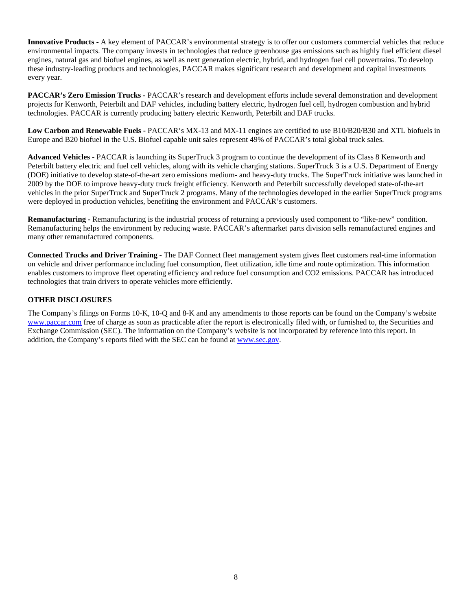**Innovative Products -** A key element of PACCAR's environmental strategy is to offer our customers commercial vehicles that reduce environmental impacts. The company invests in technologies that reduce greenhouse gas emissions such as highly fuel efficient diesel engines, natural gas and biofuel engines, as well as next generation electric, hybrid, and hydrogen fuel cell powertrains. To develop these industry-leading products and technologies, PACCAR makes significant research and development and capital investments every year.

**PACCAR's Zero Emission Trucks -** PACCAR's research and development efforts include several demonstration and development projects for Kenworth, Peterbilt and DAF vehicles, including battery electric, hydrogen fuel cell, hydrogen combustion and hybrid technologies. PACCAR is currently producing battery electric Kenworth, Peterbilt and DAF trucks.

**Low Carbon and Renewable Fuels -** PACCAR's MX-13 and MX-11 engines are certified to use B10/B20/B30 and XTL biofuels in Europe and B20 biofuel in the U.S. Biofuel capable unit sales represent 49% of PACCAR's total global truck sales.

**Advanced Vehicles -** PACCAR is launching its SuperTruck 3 program to continue the development of its Class 8 Kenworth and Peterbilt battery electric and fuel cell vehicles, along with its vehicle charging stations. SuperTruck 3 is a U.S. Department of Energy (DOE) initiative to develop state-of-the-art zero emissions medium- and heavy-duty trucks. The SuperTruck initiative was launched in 2009 by the DOE to improve heavy-duty truck freight efficiency. Kenworth and Peterbilt successfully developed state-of-the-art vehicles in the prior SuperTruck and SuperTruck 2 programs. Many of the technologies developed in the earlier SuperTruck programs were deployed in production vehicles, benefiting the environment and PACCAR's customers.

**Remanufacturing -** Remanufacturing is the industrial process of returning a previously used component to "like-new" condition. Remanufacturing helps the environment by reducing waste. PACCAR's aftermarket parts division sells remanufactured engines and many other remanufactured components.

**Connected Trucks and Driver Training -** The DAF Connect fleet management system gives fleet customers real-time information on vehicle and driver performance including fuel consumption, fleet utilization, idle time and route optimization. This information enables customers to improve fleet operating efficiency and reduce fuel consumption and CO2 emissions. PACCAR has introduced technologies that train drivers to operate vehicles more efficiently.

#### **OTHER DISCLOSURES**

The Company's filings on Forms 10-K, 10-Q and 8-K and any amendments to those reports can be found on the Company's website [www.paccar.com](file:///C:/Users/2011%20Ann%20Rpt/Master%20documents/www.paccar.com) free of charge as soon as practicable after the report is electronically filed with, or furnished to, the Securities and Exchange Commission (SEC). The information on the Company's website is not incorporated by reference into this report. In addition, the Company's reports filed with the SEC can be found at [www.sec.gov](http://www.sec.gov/).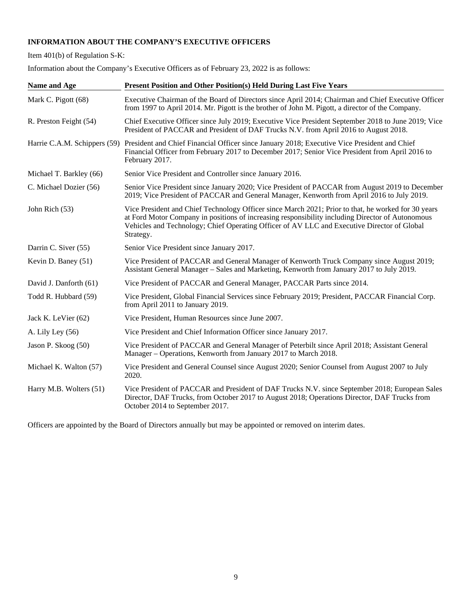# **INFORMATION ABOUT THE COMPANY'S EXECUTIVE OFFICERS**

Item 401(b) of Regulation S-K:

Information about the Company's Executive Officers as of February 23, 2022 is as follows:

| Name and Age            | <b>Present Position and Other Position(s) Held During Last Five Years</b>                                                                                                                                                                                                                                           |
|-------------------------|---------------------------------------------------------------------------------------------------------------------------------------------------------------------------------------------------------------------------------------------------------------------------------------------------------------------|
| Mark C. Pigott (68)     | Executive Chairman of the Board of Directors since April 2014; Chairman and Chief Executive Officer<br>from 1997 to April 2014. Mr. Pigott is the brother of John M. Pigott, a director of the Company.                                                                                                             |
| R. Preston Feight (54)  | Chief Executive Officer since July 2019; Executive Vice President September 2018 to June 2019; Vice<br>President of PACCAR and President of DAF Trucks N.V. from April 2016 to August 2018.                                                                                                                         |
|                         | Harrie C.A.M. Schippers (59) President and Chief Financial Officer since January 2018; Executive Vice President and Chief<br>Financial Officer from February 2017 to December 2017; Senior Vice President from April 2016 to<br>February 2017.                                                                      |
| Michael T. Barkley (66) | Senior Vice President and Controller since January 2016.                                                                                                                                                                                                                                                            |
| C. Michael Dozier (56)  | Senior Vice President since January 2020; Vice President of PACCAR from August 2019 to December<br>2019; Vice President of PACCAR and General Manager, Kenworth from April 2016 to July 2019.                                                                                                                       |
| John Rich (53)          | Vice President and Chief Technology Officer since March 2021; Prior to that, he worked for 30 years<br>at Ford Motor Company in positions of increasing responsibility including Director of Autonomous<br>Vehicles and Technology; Chief Operating Officer of AV LLC and Executive Director of Global<br>Strategy. |
| Darrin C. Siver (55)    | Senior Vice President since January 2017.                                                                                                                                                                                                                                                                           |
| Kevin D. Baney (51)     | Vice President of PACCAR and General Manager of Kenworth Truck Company since August 2019;<br>Assistant General Manager – Sales and Marketing, Kenworth from January 2017 to July 2019.                                                                                                                              |
| David J. Danforth (61)  | Vice President of PACCAR and General Manager, PACCAR Parts since 2014.                                                                                                                                                                                                                                              |
| Todd R. Hubbard (59)    | Vice President, Global Financial Services since February 2019; President, PACCAR Financial Corp.<br>from April 2011 to January 2019.                                                                                                                                                                                |
| Jack K. LeVier (62)     | Vice President, Human Resources since June 2007.                                                                                                                                                                                                                                                                    |
| A. Lily Ley (56)        | Vice President and Chief Information Officer since January 2017.                                                                                                                                                                                                                                                    |
| Jason P. Skoog (50)     | Vice President of PACCAR and General Manager of Peterbilt since April 2018; Assistant General<br>Manager – Operations, Kenworth from January 2017 to March 2018.                                                                                                                                                    |
| Michael K. Walton (57)  | Vice President and General Counsel since August 2020; Senior Counsel from August 2007 to July<br>2020.                                                                                                                                                                                                              |
| Harry M.B. Wolters (51) | Vice President of PACCAR and President of DAF Trucks N.V. since September 2018; European Sales<br>Director, DAF Trucks, from October 2017 to August 2018; Operations Director, DAF Trucks from<br>October 2014 to September 2017.                                                                                   |

Officers are appointed by the Board of Directors annually but may be appointed or removed on interim dates.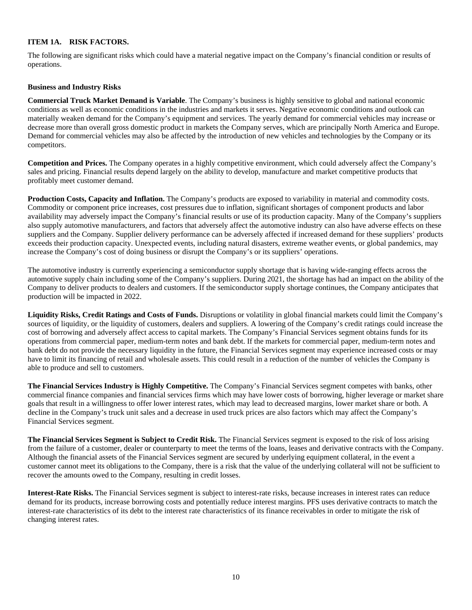#### <span id="page-9-0"></span>**ITEM 1A. RISK FACTORS.**

The following are significant risks which could have a material negative impact on the Company's financial condition or results of operations.

#### **Business and Industry Risks**

**Commercial Truck Market Demand is Variable**. The Company's business is highly sensitive to global and national economic conditions as well as economic conditions in the industries and markets it serves. Negative economic conditions and outlook can materially weaken demand for the Company's equipment and services. The yearly demand for commercial vehicles may increase or decrease more than overall gross domestic product in markets the Company serves, which are principally North America and Europe. Demand for commercial vehicles may also be affected by the introduction of new vehicles and technologies by the Company or its competitors.

**Competition and Prices.** The Company operates in a highly competitive environment, which could adversely affect the Company's sales and pricing. Financial results depend largely on the ability to develop, manufacture and market competitive products that profitably meet customer demand.

**Production Costs, Capacity and Inflation.** The Company's products are exposed to variability in material and commodity costs. Commodity or component price increases, cost pressures due to inflation, significant shortages of component products and labor availability may adversely impact the Company's financial results or use of its production capacity. Many of the Company's suppliers also supply automotive manufacturers, and factors that adversely affect the automotive industry can also have adverse effects on these suppliers and the Company. Supplier delivery performance can be adversely affected if increased demand for these suppliers' products exceeds their production capacity. Unexpected events, including natural disasters, extreme weather events, or global pandemics, may increase the Company's cost of doing business or disrupt the Company's or its suppliers' operations.

The automotive industry is currently experiencing a semiconductor supply shortage that is having wide-ranging effects across the automotive supply chain including some of the Company's suppliers. During 2021, the shortage has had an impact on the ability of the Company to deliver products to dealers and customers. If the semiconductor supply shortage continues, the Company anticipates that production will be impacted in 2022.

**Liquidity Risks, Credit Ratings and Costs of Funds.** Disruptions or volatility in global financial markets could limit the Company's sources of liquidity, or the liquidity of customers, dealers and suppliers. A lowering of the Company's credit ratings could increase the cost of borrowing and adversely affect access to capital markets. The Company's Financial Services segment obtains funds for its operations from commercial paper, medium-term notes and bank debt. If the markets for commercial paper, medium-term notes and bank debt do not provide the necessary liquidity in the future, the Financial Services segment may experience increased costs or may have to limit its financing of retail and wholesale assets. This could result in a reduction of the number of vehicles the Company is able to produce and sell to customers.

**The Financial Services Industry is Highly Competitive.** The Company's Financial Services segment competes with banks, other commercial finance companies and financial services firms which may have lower costs of borrowing, higher leverage or market share goals that result in a willingness to offer lower interest rates, which may lead to decreased margins, lower market share or both. A decline in the Company's truck unit sales and a decrease in used truck prices are also factors which may affect the Company's Financial Services segment.

**The Financial Services Segment is Subject to Credit Risk.** The Financial Services segment is exposed to the risk of loss arising from the failure of a customer, dealer or counterparty to meet the terms of the loans, leases and derivative contracts with the Company. Although the financial assets of the Financial Services segment are secured by underlying equipment collateral, in the event a customer cannot meet its obligations to the Company, there is a risk that the value of the underlying collateral will not be sufficient to recover the amounts owed to the Company, resulting in credit losses.

**Interest-Rate Risks.** The Financial Services segment is subject to interest-rate risks, because increases in interest rates can reduce demand for its products, increase borrowing costs and potentially reduce interest margins. PFS uses derivative contracts to match the interest-rate characteristics of its debt to the interest rate characteristics of its finance receivables in order to mitigate the risk of changing interest rates.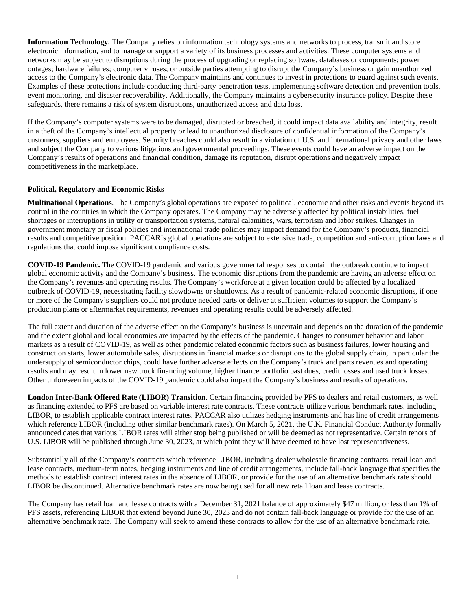**Information Technology.** The Company relies on information technology systems and networks to process, transmit and store electronic information, and to manage or support a variety of its business processes and activities. These computer systems and networks may be subject to disruptions during the process of upgrading or replacing software, databases or components; power outages; hardware failures; computer viruses; or outside parties attempting to disrupt the Company's business or gain unauthorized access to the Company's electronic data. The Company maintains and continues to invest in protections to guard against such events. Examples of these protections include conducting third-party penetration tests, implementing software detection and prevention tools, event monitoring, and disaster recoverability. Additionally, the Company maintains a cybersecurity insurance policy. Despite these safeguards, there remains a risk of system disruptions, unauthorized access and data loss.

If the Company's computer systems were to be damaged, disrupted or breached, it could impact data availability and integrity, result in a theft of the Company's intellectual property or lead to unauthorized disclosure of confidential information of the Company's customers, suppliers and employees. Security breaches could also result in a violation of U.S. and international privacy and other laws and subject the Company to various litigations and governmental proceedings. These events could have an adverse impact on the Company's results of operations and financial condition, damage its reputation, disrupt operations and negatively impact competitiveness in the marketplace.

#### **Political, Regulatory and Economic Risks**

**Multinational Operations**. The Company's global operations are exposed to political, economic and other risks and events beyond its control in the countries in which the Company operates. The Company may be adversely affected by political instabilities, fuel shortages or interruptions in utility or transportation systems, natural calamities, wars, terrorism and labor strikes. Changes in government monetary or fiscal policies and international trade policies may impact demand for the Company's products, financial results and competitive position. PACCAR's global operations are subject to extensive trade, competition and anti-corruption laws and regulations that could impose significant compliance costs.

**COVID-19 Pandemic.** The COVID-19 pandemic and various governmental responses to contain the outbreak continue to impact global economic activity and the Company's business. The economic disruptions from the pandemic are having an adverse effect on the Company's revenues and operating results. The Company's workforce at a given location could be affected by a localized outbreak of COVID-19, necessitating facility slowdowns or shutdowns. As a result of pandemic-related economic disruptions, if one or more of the Company's suppliers could not produce needed parts or deliver at sufficient volumes to support the Company's production plans or aftermarket requirements, revenues and operating results could be adversely affected.

The full extent and duration of the adverse effect on the Company's business is uncertain and depends on the duration of the pandemic and the extent global and local economies are impacted by the effects of the pandemic. Changes to consumer behavior and labor markets as a result of COVID-19, as well as other pandemic related economic factors such as business failures, lower housing and construction starts, lower automobile sales, disruptions in financial markets or disruptions to the global supply chain, in particular the undersupply of semiconductor chips, could have further adverse effects on the Company's truck and parts revenues and operating results and may result in lower new truck financing volume, higher finance portfolio past dues, credit losses and used truck losses. Other unforeseen impacts of the COVID-19 pandemic could also impact the Company's business and results of operations.

**London Inter-Bank Offered Rate (LIBOR) Transition.** Certain financing provided by PFS to dealers and retail customers, as well as financing extended to PFS are based on variable interest rate contracts. These contracts utilize various benchmark rates, including LIBOR, to establish applicable contract interest rates. PACCAR also utilizes hedging instruments and has line of credit arrangements which reference LIBOR (including other similar benchmark rates). On March 5, 2021, the U.K. Financial Conduct Authority formally announced dates that various LIBOR rates will either stop being published or will be deemed as not representative. Certain tenors of U.S. LIBOR will be published through June 30, 2023, at which point they will have deemed to have lost representativeness.

Substantially all of the Company's contracts which reference LIBOR, including dealer wholesale financing contracts, retail loan and lease contracts, medium-term notes, hedging instruments and line of credit arrangements, include fall-back language that specifies the methods to establish contract interest rates in the absence of LIBOR, or provide for the use of an alternative benchmark rate should LIBOR be discontinued. Alternative benchmark rates are now being used for all new retail loan and lease contracts.

The Company has retail loan and lease contracts with a December 31, 2021 balance of approximately \$47 million, or less than 1% of PFS assets, referencing LIBOR that extend beyond June 30, 2023 and do not contain fall-back language or provide for the use of an alternative benchmark rate. The Company will seek to amend these contracts to allow for the use of an alternative benchmark rate.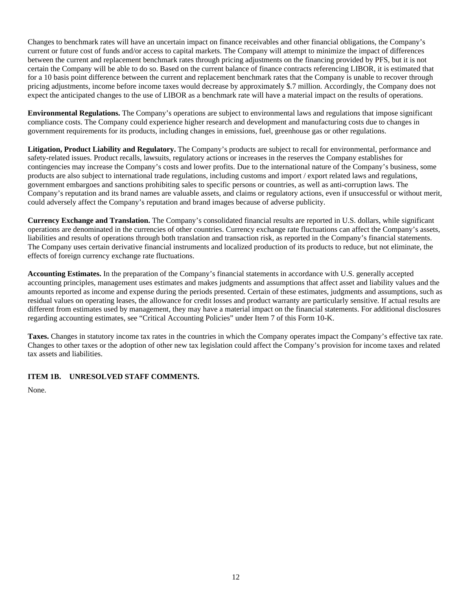Changes to benchmark rates will have an uncertain impact on finance receivables and other financial obligations, the Company's current or future cost of funds and/or access to capital markets. The Company will attempt to minimize the impact of differences between the current and replacement benchmark rates through pricing adjustments on the financing provided by PFS, but it is not certain the Company will be able to do so. Based on the current balance of finance contracts referencing LIBOR, it is estimated that for a 10 basis point difference between the current and replacement benchmark rates that the Company is unable to recover through pricing adjustments, income before income taxes would decrease by approximately \$.7 million. Accordingly, the Company does not expect the anticipated changes to the use of LIBOR as a benchmark rate will have a material impact on the results of operations.

**Environmental Regulations.** The Company's operations are subject to environmental laws and regulations that impose significant compliance costs. The Company could experience higher research and development and manufacturing costs due to changes in government requirements for its products, including changes in emissions, fuel, greenhouse gas or other regulations.

**Litigation, Product Liability and Regulatory.** The Company's products are subject to recall for environmental, performance and safety-related issues. Product recalls, lawsuits, regulatory actions or increases in the reserves the Company establishes for contingencies may increase the Company's costs and lower profits. Due to the international nature of the Company's business, some products are also subject to international trade regulations, including customs and import / export related laws and regulations, government embargoes and sanctions prohibiting sales to specific persons or countries, as well as anti-corruption laws. The Company's reputation and its brand names are valuable assets, and claims or regulatory actions, even if unsuccessful or without merit, could adversely affect the Company's reputation and brand images because of adverse publicity.

**Currency Exchange and Translation.** The Company's consolidated financial results are reported in U.S. dollars, while significant operations are denominated in the currencies of other countries. Currency exchange rate fluctuations can affect the Company's assets, liabilities and results of operations through both translation and transaction risk, as reported in the Company's financial statements. The Company uses certain derivative financial instruments and localized production of its products to reduce, but not eliminate, the effects of foreign currency exchange rate fluctuations.

**Accounting Estimates.** In the preparation of the Company's financial statements in accordance with U.S. generally accepted accounting principles, management uses estimates and makes judgments and assumptions that affect asset and liability values and the amounts reported as income and expense during the periods presented. Certain of these estimates, judgments and assumptions, such as residual values on operating leases, the allowance for credit losses and product warranty are particularly sensitive. If actual results are different from estimates used by management, they may have a material impact on the financial statements. For additional disclosures regarding accounting estimates, see "Critical Accounting Policies" under Item 7 of this Form 10-K.

**Taxes.** Changes in statutory income tax rates in the countries in which the Company operates impact the Company's effective tax rate. Changes to other taxes or the adoption of other new tax legislation could affect the Company's provision for income taxes and related tax assets and liabilities.

#### <span id="page-11-0"></span>**ITEM 1B. UNRESOLVED STAFF COMMENTS.**

None.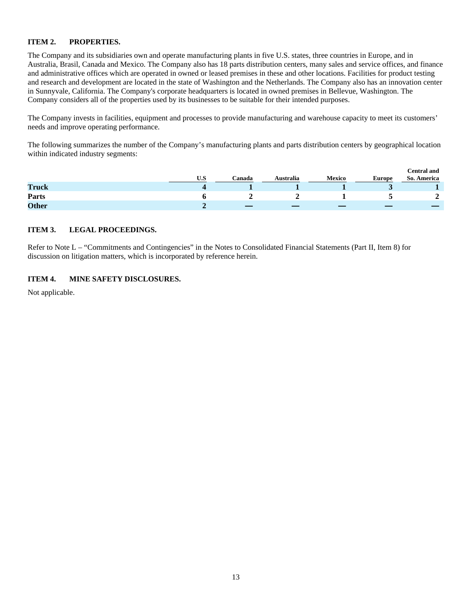#### <span id="page-12-0"></span>**ITEM 2. PROPERTIES.**

The Company and its subsidiaries own and operate manufacturing plants in five U.S. states, three countries in Europe, and in Australia, Brasil, Canada and Mexico. The Company also has 18 parts distribution centers, many sales and service offices, and finance and administrative offices which are operated in owned or leased premises in these and other locations. Facilities for product testing and research and development are located in the state of Washington and the Netherlands. The Company also has an innovation center in Sunnyvale, California. The Company's corporate headquarters is located in owned premises in Bellevue, Washington. The Company considers all of the properties used by its businesses to be suitable for their intended purposes.

The Company invests in facilities, equipment and processes to provide manufacturing and warehouse capacity to meet its customers' needs and improve operating performance.

The following summarizes the number of the Company's manufacturing plants and parts distribution centers by geographical location within indicated industry segments:

|              | U.S | Canada | <b>Australia</b> | <b>Mexico</b> | <b>Europe</b> | <b>Central and</b><br>So. America |
|--------------|-----|--------|------------------|---------------|---------------|-----------------------------------|
| <b>Truck</b> |     |        |                  |               |               |                                   |
| Parts        |     |        |                  |               |               | ◢                                 |
| <b>Other</b> |     |        |                  | _             |               |                                   |

#### <span id="page-12-1"></span>**ITEM 3. LEGAL PROCEEDINGS.**

Refer to Note L – "Commitments and Contingencies" in the Notes to Consolidated Financial Statements (Part II, Item 8) for discussion on litigation matters, which is incorporated by reference herein.

#### <span id="page-12-2"></span>**ITEM 4. MINE SAFETY DISCLOSURES.**

Not applicable.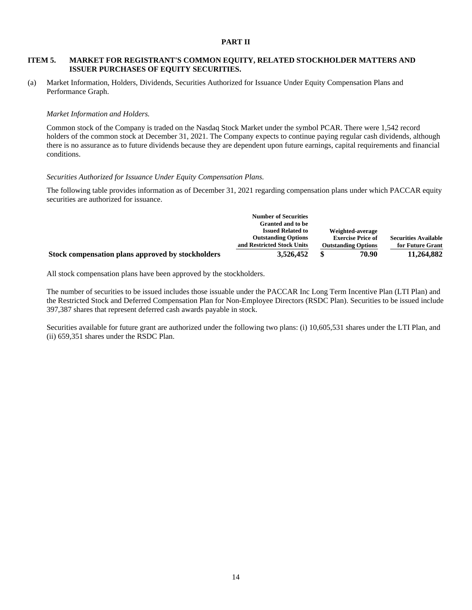#### <span id="page-13-1"></span><span id="page-13-0"></span>**PART II**

#### **ITEM 5. MARKET FOR REGISTRANT'S COMMON EQUITY, RELATED STOCKHOLDER MATTERS AND ISSUER PURCHASES OF EQUITY SECURITIES.**

(a) Market Information, Holders, Dividends, Securities Authorized for Issuance Under Equity Compensation Plans and Performance Graph.

#### *Market Information and Holders.*

Common stock of the Company is traded on the Nasdaq Stock Market under the symbol PCAR. There were 1,542 record holders of the common stock at December 31, 2021. The Company expects to continue paying regular cash dividends, although there is no assurance as to future dividends because they are dependent upon future earnings, capital requirements and financial conditions.

#### *Securities Authorized for Issuance Under Equity Compensation Plans.*

The following table provides information as of December 31, 2021 regarding compensation plans under which PACCAR equity securities are authorized for issuance.

|                                                   | <b>Number of Securities</b> |                            |                             |
|---------------------------------------------------|-----------------------------|----------------------------|-----------------------------|
|                                                   | <b>Granted and to be</b>    |                            |                             |
|                                                   | <b>Issued Related to</b>    | Weighted-average           |                             |
|                                                   | <b>Outstanding Options</b>  | <b>Exercise Price of</b>   | <b>Securities Available</b> |
|                                                   | and Restricted Stock Units  | <b>Outstanding Options</b> | for Future Grant            |
| Stock compensation plans approved by stockholders | 3.526.452                   | 70.90                      | 11.264.882                  |

All stock compensation plans have been approved by the stockholders.

The number of securities to be issued includes those issuable under the PACCAR Inc Long Term Incentive Plan (LTI Plan) and the Restricted Stock and Deferred Compensation Plan for Non-Employee Directors (RSDC Plan). Securities to be issued include 397,387 shares that represent deferred cash awards payable in stock.

Securities available for future grant are authorized under the following two plans: (i) 10,605,531 shares under the LTI Plan, and (ii) 659,351 shares under the RSDC Plan.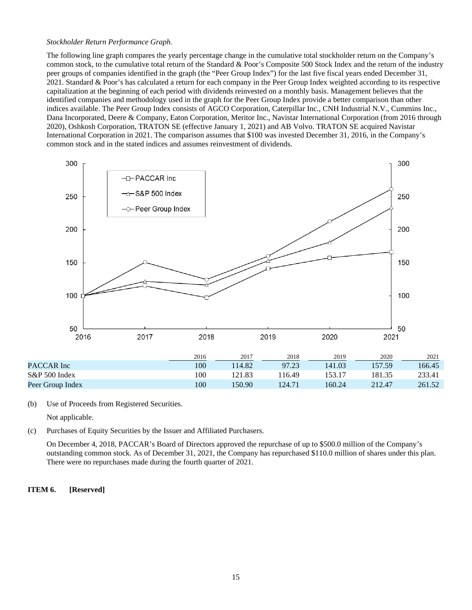#### *Stockholder Return Performance Graph.*

The following line graph compares the yearly percentage change in the cumulative total stockholder return on the Company's common stock, to the cumulative total return of the Standard & Poor's Composite 500 Stock Index and the return of the industry peer groups of companies identified in the graph (the "Peer Group Index") for the last five fiscal years ended December 31, 2021. Standard & Poor's has calculated a return for each company in the Peer Group Index weighted according to its respective capitalization at the beginning of each period with dividends reinvested on a monthly basis. Management believes that the identified companies and methodology used in the graph for the Peer Group Index provide a better comparison than other indices available. The Peer Group Index consists of AGCO Corporation, Caterpillar Inc., CNH Industrial N.V., Cummins Inc., Dana Incorporated, Deere & Company, Eaton Corporation, Meritor Inc., Navistar International Corporation (from 2016 through 2020), Oshkosh Corporation, TRATON SE (effective January 1, 2021) and AB Volvo. TRATON SE acquired Navistar International Corporation in 2021. The comparison assumes that \$100 was invested December 31, 2016, in the Company's common stock and in the stated indices and assumes reinvestment of dividends.



(b) Use of Proceeds from Registered Securities.

Not applicable.

(c) Purchases of Equity Securities by the Issuer and Affiliated Purchasers.

On December 4, 2018, PACCAR's Board of Directors approved the repurchase of up to \$500.0 million of the Company's outstanding common stock. As of December 31, 2021, the Company has repurchased \$110.0 million of shares under this plan. There were no repurchases made during the fourth quarter of 2021.

#### <span id="page-14-0"></span>**ITEM 6.** [Reserved]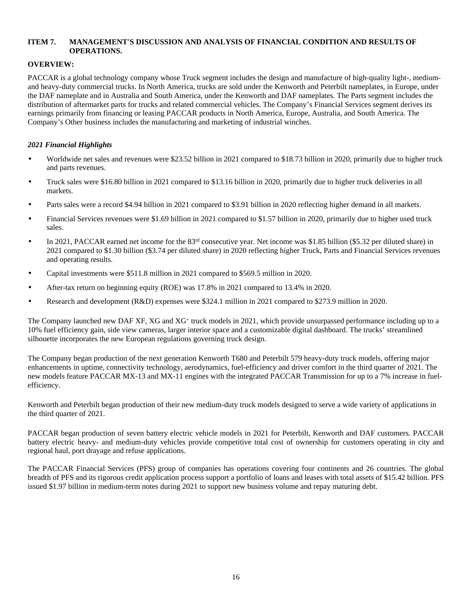#### <span id="page-15-0"></span>**ITEM 7. MANAGEMENT'S DISCUSSION AND ANALYSIS OF FINANCIAL CONDITION AND RESULTS OF OPERATIONS.**

#### **OVERVIEW:**

PACCAR is a global technology company whose Truck segment includes the design and manufacture of high-quality light-, mediumand heavy-duty commercial trucks. In North America, trucks are sold under the Kenworth and Peterbilt nameplates, in Europe, under the DAF nameplate and in Australia and South America, under the Kenworth and DAF nameplates. The Parts segment includes the distribution of aftermarket parts for trucks and related commercial vehicles. The Company's Financial Services segment derives its earnings primarily from financing or leasing PACCAR products in North America, Europe, Australia, and South America. The Company's Other business includes the manufacturing and marketing of industrial winches.

#### *2021 Financial Highlights*

- Worldwide net sales and revenues were \$23.52 billion in 2021 compared to \$18.73 billion in 2020, primarily due to higher truck and parts revenues.
- Truck sales were \$16.80 billion in 2021 compared to \$13.16 billion in 2020, primarily due to higher truck deliveries in all markets.
- Parts sales were a record \$4.94 billion in 2021 compared to \$3.91 billion in 2020 reflecting higher demand in all markets.
- Financial Services revenues were \$1.69 billion in 2021 compared to \$1.57 billion in 2020, primarily due to higher used truck sales.
- In 2021, PACCAR earned net income for the 83<sup>rd</sup> consecutive year. Net income was \$1.85 billion (\$5.32 per diluted share) in 2021 compared to \$1.30 billion (\$3.74 per diluted share) in 2020 reflecting higher Truck, Parts and Financial Services revenues and operating results.
- Capital investments were \$511.8 million in 2021 compared to \$569.5 million in 2020.
- After-tax return on beginning equity (ROE) was 17.8% in 2021 compared to 13.4% in 2020.
- Research and development (R&D) expenses were \$324.1 million in 2021 compared to \$273.9 million in 2020.

The Company launched new DAF XF, XG and XG<sup>+</sup> truck models in 2021, which provide unsurpassed performance including up to a 10% fuel efficiency gain, side view cameras, larger interior space and a customizable digital dashboard. The trucks' streamlined silhouette incorporates the new European regulations governing truck design.

The Company began production of the next generation Kenworth T680 and Peterbilt 579 heavy-duty truck models, offering major enhancements in uptime, connectivity technology, aerodynamics, fuel-efficiency and driver comfort in the third quarter of 2021. The new models feature PACCAR MX-13 and MX-11 engines with the integrated PACCAR Transmission for up to a 7% increase in fuelefficiency.

Kenworth and Peterbilt began production of their new medium-duty truck models designed to serve a wide variety of applications in the third quarter of 2021.

PACCAR began production of seven battery electric vehicle models in 2021 for Peterbilt, Kenworth and DAF customers. PACCAR battery electric heavy- and medium-duty vehicles provide competitive total cost of ownership for customers operating in city and regional haul, port drayage and refuse applications.

The PACCAR Financial Services (PFS) group of companies has operations covering four continents and 26 countries. The global breadth of PFS and its rigorous credit application process support a portfolio of loans and leases with total assets of \$15.42 billion. PFS issued \$1.97 billion in medium-term notes during 2021 to support new business volume and repay maturing debt.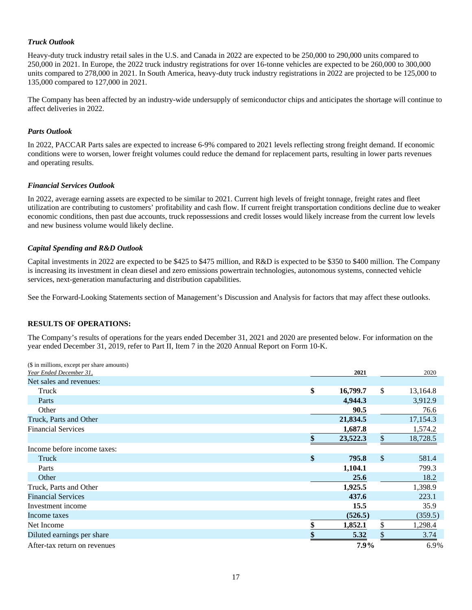#### *Truck Outlook*

Heavy-duty truck industry retail sales in the U.S. and Canada in 2022 are expected to be 250,000 to 290,000 units compared to 250,000 in 2021. In Europe, the 2022 truck industry registrations for over 16-tonne vehicles are expected to be 260,000 to 300,000 units compared to 278,000 in 2021. In South America, heavy-duty truck industry registrations in 2022 are projected to be 125,000 to 135,000 compared to 127,000 in 2021.

The Company has been affected by an industry-wide undersupply of semiconductor chips and anticipates the shortage will continue to affect deliveries in 2022.

#### *Parts Outlook*

In 2022, PACCAR Parts sales are expected to increase 6-9% compared to 2021 levels reflecting strong freight demand. If economic conditions were to worsen, lower freight volumes could reduce the demand for replacement parts, resulting in lower parts revenues and operating results.

#### *Financial Services Outlook*

In 2022, average earning assets are expected to be similar to 2021. Current high levels of freight tonnage, freight rates and fleet utilization are contributing to customers' profitability and cash flow. If current freight transportation conditions decline due to weaker economic conditions, then past due accounts, truck repossessions and credit losses would likely increase from the current low levels and new business volume would likely decline.

#### *Capital Spending and R&D Outlook*

Capital investments in 2022 are expected to be \$425 to \$475 million, and R&D is expected to be \$350 to \$400 million. The Company is increasing its investment in clean diesel and zero emissions powertrain technologies, autonomous systems, connected vehicle services, next-generation manufacturing and distribution capabilities.

See the Forward-Looking Statements section of Management's Discussion and Analysis for factors that may affect these outlooks.

#### **RESULTS OF OPERATIONS:**

The Company's results of operations for the years ended December 31, 2021 and 2020 are presented below. For information on the year ended December 31, 2019, refer to Part II, Item 7 in the 2020 Annual Report on Form 10-K.

| (\$ in millions, except per share amounts) |                |               |          |
|--------------------------------------------|----------------|---------------|----------|
| Year Ended December 31,                    | 2021           |               | 2020     |
| Net sales and revenues:                    |                |               |          |
| Truck                                      | \$<br>16,799.7 | $\mathbb{S}$  | 13,164.8 |
| Parts                                      | 4,944.3        |               | 3,912.9  |
| Other                                      | 90.5           |               | 76.6     |
| Truck, Parts and Other                     | 21,834.5       |               | 17,154.3 |
| <b>Financial Services</b>                  | 1,687.8        |               | 1,574.2  |
|                                            | 23,522.3       | \$            | 18,728.5 |
| Income before income taxes:                |                |               |          |
| Truck                                      | \$<br>795.8    | $\mathcal{S}$ | 581.4    |
| Parts                                      | 1,104.1        |               | 799.3    |
| Other                                      | 25.6           |               | 18.2     |
| Truck, Parts and Other                     | 1,925.5        |               | 1,398.9  |
| <b>Financial Services</b>                  | 437.6          |               | 223.1    |
| Investment income                          | 15.5           |               | 35.9     |
| Income taxes                               | (526.5)        |               | (359.5)  |
| Net Income                                 | \$<br>1,852.1  | \$            | 1,298.4  |
| Diluted earnings per share                 | 5.32           |               | 3.74     |
| After-tax return on revenues               | 7.9%           |               | 6.9%     |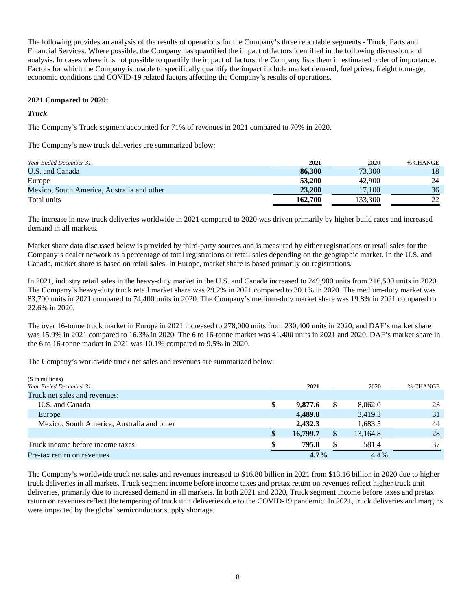The following provides an analysis of the results of operations for the Company's three reportable segments - Truck, Parts and Financial Services. Where possible, the Company has quantified the impact of factors identified in the following discussion and analysis. In cases where it is not possible to quantify the impact of factors, the Company lists them in estimated order of importance. Factors for which the Company is unable to specifically quantify the impact include market demand, fuel prices, freight tonnage, economic conditions and COVID-19 related factors affecting the Company's results of operations.

#### **2021 Compared to 2020:**

#### *Truck*

The Company's Truck segment accounted for 71% of revenues in 2021 compared to 70% in 2020.

The Company's new truck deliveries are summarized below:

| Year Ended December 31,                    | 2021           | 2020   | % CHANGE |
|--------------------------------------------|----------------|--------|----------|
| U.S. and Canada                            | 86,300         | 73,300 | 18       |
| Europe                                     | 53,200         | 42,900 | 24       |
| Mexico, South America, Australia and other | 23,200         | 17.100 | 36       |
| Total units                                | <b>162.700</b> | 33.300 | າາ       |

The increase in new truck deliveries worldwide in 2021 compared to 2020 was driven primarily by higher build rates and increased demand in all markets.

Market share data discussed below is provided by third-party sources and is measured by either registrations or retail sales for the Company's dealer network as a percentage of total registrations or retail sales depending on the geographic market. In the U.S. and Canada, market share is based on retail sales. In Europe, market share is based primarily on registrations.

In 2021, industry retail sales in the heavy-duty market in the U.S. and Canada increased to 249,900 units from 216,500 units in 2020. The Company's heavy-duty truck retail market share was 29.2% in 2021 compared to 30.1% in 2020. The medium-duty market was 83,700 units in 2021 compared to 74,400 units in 2020. The Company's medium-duty market share was 19.8% in 2021 compared to 22.6% in 2020.

The over 16-tonne truck market in Europe in 2021 increased to 278,000 units from 230,400 units in 2020, and DAF's market share was 15.9% in 2021 compared to 16.3% in 2020. The 6 to 16-tonne market was 41,400 units in 2021 and 2020. DAF's market share in the 6 to 16-tonne market in 2021 was 10.1% compared to 9.5% in 2020.

The Company's worldwide truck net sales and revenues are summarized below:

| (\$ in millions)                           |               |          |          |
|--------------------------------------------|---------------|----------|----------|
| Year Ended December 31,                    | 2021          | 2020     | % CHANGE |
| Truck net sales and revenues:              |               |          |          |
| U.S. and Canada                            | \$<br>9.877.6 | 8,062.0  | 23       |
| Europe                                     | 4,489.8       | 3,419.3  | 31       |
| Mexico, South America, Australia and other | 2,432.3       | 1,683.5  | 44       |
|                                            | 16,799.7      | 13,164.8 | 28       |
| Truck income before income taxes           | 795.8         | 581.4    |          |
| Pre-tax return on revenues                 | $4.7\%$       | $4.4\%$  |          |

The Company's worldwide truck net sales and revenues increased to \$16.80 billion in 2021 from \$13.16 billion in 2020 due to higher truck deliveries in all markets. Truck segment income before income taxes and pretax return on revenues reflect higher truck unit deliveries, primarily due to increased demand in all markets. In both 2021 and 2020, Truck segment income before taxes and pretax return on revenues reflect the tempering of truck unit deliveries due to the COVID-19 pandemic. In 2021, truck deliveries and margins were impacted by the global semiconductor supply shortage.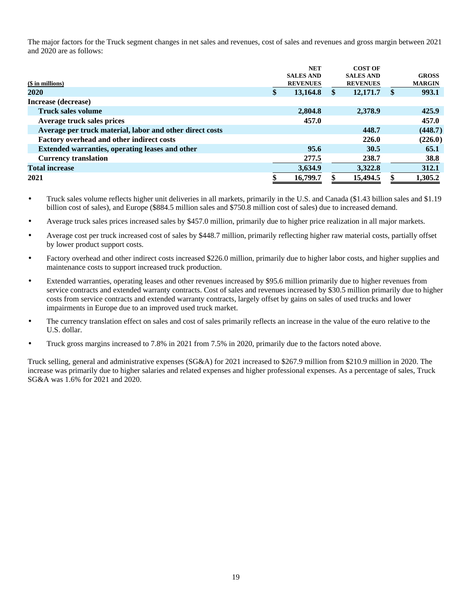The major factors for the Truck segment changes in net sales and revenues, cost of sales and revenues and gross margin between 2021 and 2020 are as follows:

|                                                          | <b>NET</b>       | <b>COST OF</b>   |          |               |
|----------------------------------------------------------|------------------|------------------|----------|---------------|
|                                                          | <b>SALES AND</b> | <b>SALES AND</b> |          | <b>GROSS</b>  |
| $$$ in millions)                                         | <b>REVENUES</b>  | <b>REVENUES</b>  |          | <b>MARGIN</b> |
| 2020                                                     | \$<br>13,164.8   | 12,171.7         | <b>S</b> | 993.1         |
| Increase (decrease)                                      |                  |                  |          |               |
| <b>Truck sales volume</b>                                | 2,804.8          | 2,378.9          |          | 425.9         |
| Average truck sales prices                               | 457.0            |                  |          | 457.0         |
| Average per truck material, labor and other direct costs |                  | 448.7            |          | (448.7)       |
| Factory overhead and other indirect costs                |                  | 226.0            |          | (226.0)       |
| Extended warranties, operating leases and other          | 95.6             | 30.5             |          | 65.1          |
| <b>Currency translation</b>                              | 277.5            | 238.7            |          | 38.8          |
| <b>Total increase</b>                                    | 3,634.9          | 3,322.8          |          | 312.1         |
| 2021                                                     | 16,799.7         | 15,494.5         |          | 1,305.2       |

• Truck sales volume reflects higher unit deliveries in all markets, primarily in the U.S. and Canada (\$1.43 billion sales and \$1.19 billion cost of sales), and Europe (\$884.5 million sales and \$750.8 million cost of sales) due to increased demand.

- Average truck sales prices increased sales by \$457.0 million, primarily due to higher price realization in all major markets.
- Average cost per truck increased cost of sales by \$448.7 million, primarily reflecting higher raw material costs, partially offset by lower product support costs.
- Factory overhead and other indirect costs increased \$226.0 million, primarily due to higher labor costs, and higher supplies and maintenance costs to support increased truck production.
- Extended warranties, operating leases and other revenues increased by \$95.6 million primarily due to higher revenues from service contracts and extended warranty contracts. Cost of sales and revenues increased by \$30.5 million primarily due to higher costs from service contracts and extended warranty contracts, largely offset by gains on sales of used trucks and lower impairments in Europe due to an improved used truck market.
- The currency translation effect on sales and cost of sales primarily reflects an increase in the value of the euro relative to the U.S. dollar.
- Truck gross margins increased to 7.8% in 2021 from 7.5% in 2020, primarily due to the factors noted above.

Truck selling, general and administrative expenses (SG&A) for 2021 increased to \$267.9 million from \$210.9 million in 2020. The increase was primarily due to higher salaries and related expenses and higher professional expenses. As a percentage of sales, Truck SG&A was 1.6% for 2021 and 2020.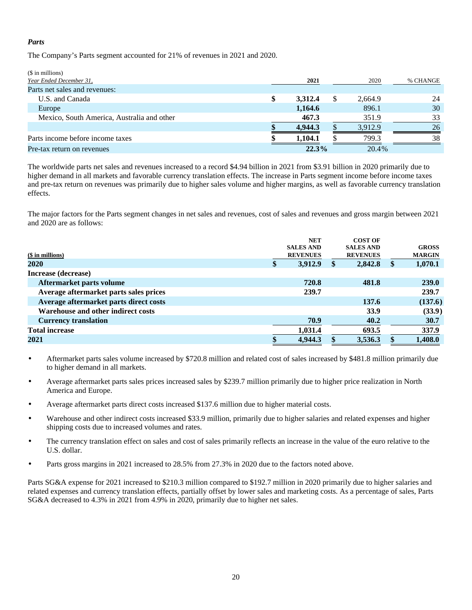#### *Parts*

The Company's Parts segment accounted for 21% of revenues in 2021 and 2020.

| (\$ in millions)                           |               |         |          |
|--------------------------------------------|---------------|---------|----------|
| Year Ended December 31,                    | 2021          | 2020    | % CHANGE |
| Parts net sales and revenues:              |               |         |          |
| U.S. and Canada                            | \$<br>3,312.4 | 2,664.9 | 24       |
| Europe                                     | 1,164.6       | 896.1   | 30       |
| Mexico, South America, Australia and other | 467.3         | 351.9   | 33       |
|                                            | 4,944.3       | 3,912.9 | 26       |
| Parts income before income taxes           | 1,104.1       | 799.3   | 38       |
| Pre-tax return on revenues                 | 22.3%         | 20.4%   |          |

The worldwide parts net sales and revenues increased to a record \$4.94 billion in 2021 from \$3.91 billion in 2020 primarily due to higher demand in all markets and favorable currency translation effects. The increase in Parts segment income before income taxes and pre-tax return on revenues was primarily due to higher sales volume and higher margins, as well as favorable currency translation effects.

The major factors for the Parts segment changes in net sales and revenues, cost of sales and revenues and gross margin between 2021 and 2020 are as follows:

|                                        | <b>NET</b>       |     | <b>COST OF</b>   |   |               |
|----------------------------------------|------------------|-----|------------------|---|---------------|
|                                        | <b>SALES AND</b> |     | <b>SALES AND</b> |   | <b>GROSS</b>  |
| (\$ in millions)                       | <b>REVENUES</b>  |     | <b>REVENUES</b>  |   | <b>MARGIN</b> |
| 2020                                   | \$<br>3,912.9    | -SS | 2,842.8          | S | 1,070.1       |
| Increase (decrease)                    |                  |     |                  |   |               |
| Aftermarket parts volume               | 720.8            |     | 481.8            |   | <b>239.0</b>  |
| Average aftermarket parts sales prices | 239.7            |     |                  |   | 239.7         |
| Average aftermarket parts direct costs |                  |     | 137.6            |   | (137.6)       |
| Warehouse and other indirect costs     |                  |     | 33.9             |   | (33.9)        |
| <b>Currency translation</b>            | 70.9             |     | 40.2             |   | 30.7          |
| <b>Total increase</b>                  | 1.031.4          |     | 693.5            |   | 337.9         |
| 2021                                   | \$<br>4.944.3    |     | 3,536.3          | S | 1.408.0       |

- Aftermarket parts sales volume increased by \$720.8 million and related cost of sales increased by \$481.8 million primarily due to higher demand in all markets.
- Average aftermarket parts sales prices increased sales by \$239.7 million primarily due to higher price realization in North America and Europe.
- Average aftermarket parts direct costs increased \$137.6 million due to higher material costs.
- Warehouse and other indirect costs increased \$33.9 million, primarily due to higher salaries and related expenses and higher shipping costs due to increased volumes and rates.
- The currency translation effect on sales and cost of sales primarily reflects an increase in the value of the euro relative to the U.S. dollar.
- Parts gross margins in 2021 increased to 28.5% from 27.3% in 2020 due to the factors noted above.

Parts SG&A expense for 2021 increased to \$210.3 million compared to \$192.7 million in 2020 primarily due to higher salaries and related expenses and currency translation effects, partially offset by lower sales and marketing costs. As a percentage of sales, Parts SG&A decreased to 4.3% in 2021 from 4.9% in 2020, primarily due to higher net sales.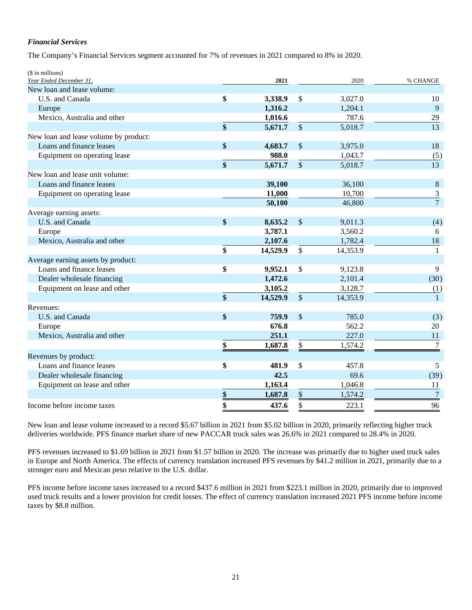#### *Financial Services*

The Company's Financial Services segment accounted for 7% of revenues in 2021 compared to 8% in 2020.

| (\$ in millions)<br>Year Ended December 31, |                        | 2021     |              | 2020     | % CHANGE         |
|---------------------------------------------|------------------------|----------|--------------|----------|------------------|
| New loan and lease volume:                  |                        |          |              |          |                  |
| U.S. and Canada                             | \$                     | 3,338.9  | \$           | 3,027.0  | 10               |
| Europe                                      |                        | 1,316.2  |              | 1,204.1  | 9                |
| Mexico, Australia and other                 |                        | 1,016.6  |              | 787.6    | 29               |
|                                             | $\boldsymbol{\hat{s}}$ | 5,671.7  | $\mathbb{S}$ | 5,018.7  | 13               |
| New loan and lease volume by product:       |                        |          |              |          |                  |
| Loans and finance leases                    | \$                     | 4,683.7  | \$           | 3,975.0  | 18               |
| Equipment on operating lease                |                        | 988.0    |              | 1,043.7  | (5)              |
|                                             | \$                     | 5,671.7  | $\mathbb{S}$ | 5,018.7  | 13               |
| New loan and lease unit volume:             |                        |          |              |          |                  |
| Loans and finance leases                    |                        | 39,100   |              | 36,100   | $\,8\,$          |
| Equipment on operating lease                |                        | 11,000   |              | 10,700   |                  |
|                                             |                        | 50,100   |              | 46,800   | $rac{3}{7}$      |
| Average earning assets:                     |                        |          |              |          |                  |
| U.S. and Canada                             | \$                     | 8,635.2  | \$           | 9,011.3  | (4)              |
| Europe                                      |                        | 3,787.1  |              | 3,560.2  | 6                |
| Mexico, Australia and other                 |                        | 2,107.6  |              | 1,782.4  | 18               |
|                                             | \$                     | 14,529.9 | \$           | 14,353.9 | $\mathbf{1}$     |
| Average earning assets by product:          |                        |          |              |          |                  |
| Loans and finance leases                    | \$                     | 9,952.1  | \$           | 9,123.8  | 9                |
| Dealer wholesale financing                  |                        | 1,472.6  |              | 2,101.4  | (30)             |
| Equipment on lease and other                |                        | 3,105.2  |              | 3,128.7  | (1)              |
|                                             | \$                     | 14,529.9 | $\mathbb{S}$ | 14,353.9 | $\mathbf{1}$     |
| Revenues:                                   |                        |          |              |          |                  |
| U.S. and Canada                             | \$                     | 759.9    | \$           | 785.0    | (3)              |
| Europe                                      |                        | 676.8    |              | 562.2    | 20               |
| Mexico, Australia and other                 |                        | 251.1    |              | 227.0    | 11               |
|                                             | \$                     | 1,687.8  | $\$$         | 1,574.2  | $\tau$           |
| Revenues by product:                        |                        |          |              |          |                  |
| Loans and finance leases                    | \$                     | 481.9    | \$           | 457.8    | 5                |
| Dealer wholesale financing                  |                        | 42.5     |              | 69.6     | (39)             |
| Equipment on lease and other                |                        | 1,163.4  |              | 1,046.8  | 11               |
|                                             | \$                     | 1,687.8  | \$           | 1,574.2  | $\boldsymbol{7}$ |
| Income before income taxes                  | \$                     | 437.6    | \$           | 223.1    | 96               |

New loan and lease volume increased to a record \$5.67 billion in 2021 from \$5.02 billion in 2020, primarily reflecting higher truck deliveries worldwide. PFS finance market share of new PACCAR truck sales was 26.6% in 2021 compared to 28.4% in 2020.

PFS revenues increased to \$1.69 billion in 2021 from \$1.57 billion in 2020. The increase was primarily due to higher used truck sales in Europe and North America. The effects of currency translation increased PFS revenues by \$41.2 million in 2021, primarily due to a stronger euro and Mexican peso relative to the U.S. dollar.

PFS income before income taxes increased to a record \$437.6 million in 2021 from \$223.1 million in 2020, primarily due to improved used truck results and a lower provision for credit losses. The effect of currency translation increased 2021 PFS income before income taxes by \$8.8 million.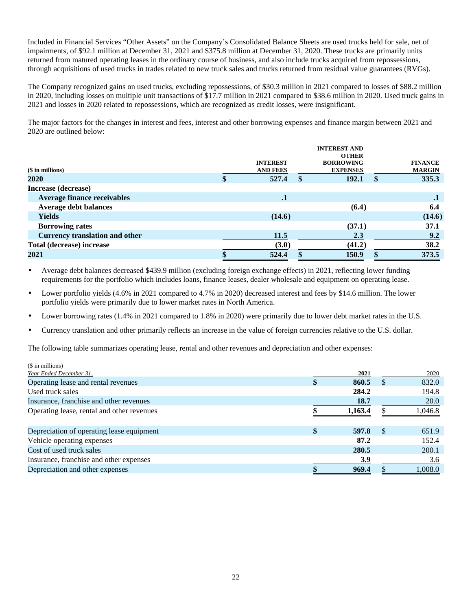Included in Financial Services "Other Assets" on the Company's Consolidated Balance Sheets are used trucks held for sale, net of impairments, of \$92.1 million at December 31, 2021 and \$375.8 million at December 31, 2020. These trucks are primarily units returned from matured operating leases in the ordinary course of business, and also include trucks acquired from repossessions, through acquisitions of used trucks in trades related to new truck sales and trucks returned from residual value guarantees (RVGs).

The Company recognized gains on used trucks, excluding repossessions, of \$30.3 million in 2021 compared to losses of \$88.2 million in 2020, including losses on multiple unit transactions of \$17.7 million in 2021 compared to \$38.6 million in 2020. Used truck gains in 2021 and losses in 2020 related to repossessions, which are recognized as credit losses, were insignificant.

The major factors for the changes in interest and fees, interest and other borrowing expenses and finance margin between 2021 and 2020 are outlined below:

|                                       |                 | <b>INTEREST AND</b> |     |                |
|---------------------------------------|-----------------|---------------------|-----|----------------|
|                                       |                 | <b>OTHER</b>        |     |                |
|                                       | <b>INTEREST</b> | <b>BORROWING</b>    |     | <b>FINANCE</b> |
| $($$ in millions)                     | <b>AND FEES</b> | <b>EXPENSES</b>     |     | <b>MARGIN</b>  |
| 2020                                  | 527.4           | \$<br>192.1         | \$. | 335.3          |
| Increase (decrease)                   |                 |                     |     |                |
| <b>Average finance receivables</b>    | $\cdot$         |                     |     | $\cdot$        |
| Average debt balances                 |                 | (6.4)               |     | 6.4            |
| <b>Yields</b>                         | (14.6)          |                     |     | (14.6)         |
| <b>Borrowing rates</b>                |                 | (37.1)              |     | 37.1           |
| <b>Currency translation and other</b> | 11.5            | 2.3                 |     | 9.2            |
| Total (decrease) increase             | (3.0)           | (41.2)              |     | 38.2           |
| 2021                                  | 524.4           | 150.9               |     | 373.5          |

• Average debt balances decreased \$439.9 million (excluding foreign exchange effects) in 2021, reflecting lower funding requirements for the portfolio which includes loans, finance leases, dealer wholesale and equipment on operating lease.

- Lower portfolio yields (4.6% in 2021 compared to 4.7% in 2020) decreased interest and fees by \$14.6 million. The lower portfolio yields were primarily due to lower market rates in North America.
- Lower borrowing rates (1.4% in 2021 compared to 1.8% in 2020) were primarily due to lower debt market rates in the U.S.
- Currency translation and other primarily reflects an increase in the value of foreign currencies relative to the U.S. dollar.

The following table summarizes operating lease, rental and other revenues and depreciation and other expenses:

| (\$ in millions)                           |             |    |             |
|--------------------------------------------|-------------|----|-------------|
| Year Ended December 31,                    | 2021        |    | 2020        |
| Operating lease and rental revenues        | 860.5       | S  | 832.0       |
| Used truck sales                           | 284.2       |    | 194.8       |
| Insurance, franchise and other revenues    | 18.7        |    | <b>20.0</b> |
| Operating lease, rental and other revenues | 1,163.4     |    | 1,046.8     |
|                                            |             |    |             |
| Depreciation of operating lease equipment  | \$<br>597.8 | -S | 651.9       |
| Vehicle operating expenses                 | 87.2        |    | 152.4       |
| Cost of used truck sales                   | 280.5       |    | 200.1       |
| Insurance, franchise and other expenses    | 3.9         |    | 3.6         |
| Depreciation and other expenses            | 969.4       |    | 1,008.0     |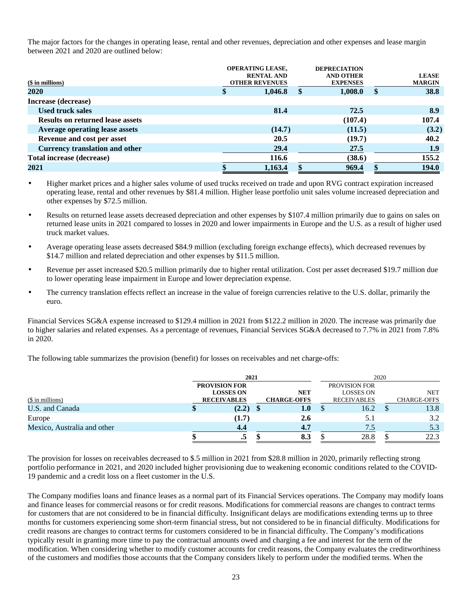The major factors for the changes in operating lease, rental and other revenues, depreciation and other expenses and lease margin between 2021 and 2020 are outlined below:

| $$$ in millions)                        | <b>OPERATING LEASE,</b><br><b>RENTAL AND</b><br><b>OTHER REVENUES</b> |         | <b>DEPRECIATION</b><br><b>AND OTHER</b><br><b>EXPENSES</b> |               | <b>LEASE</b><br><b>MARGIN</b> |
|-----------------------------------------|-----------------------------------------------------------------------|---------|------------------------------------------------------------|---------------|-------------------------------|
| 2020                                    | \$                                                                    | 1,046.8 | 1,008.0                                                    | <sup>\$</sup> | 38.8                          |
| Increase (decrease)                     |                                                                       |         |                                                            |               |                               |
| <b>Used truck sales</b>                 |                                                                       | 81.4    | 72.5                                                       |               | 8.9                           |
| <b>Results on returned lease assets</b> |                                                                       |         | (107.4)                                                    |               | 107.4                         |
| <b>Average operating lease assets</b>   |                                                                       | (14.7)  | (11.5)                                                     |               | (3.2)                         |
| Revenue and cost per asset              |                                                                       | 20.5    | (19.7)                                                     |               | 40.2                          |
| <b>Currency translation and other</b>   |                                                                       | 29.4    | <b>27.5</b>                                                |               | 1.9                           |
| Total increase (decrease)               |                                                                       | 116.6   | (38.6)                                                     |               | 155.2                         |
| 2021                                    |                                                                       | 1,163.4 | 969.4                                                      |               | <b>194.0</b>                  |

• Higher market prices and a higher sales volume of used trucks received on trade and upon RVG contract expiration increased operating lease, rental and other revenues by \$81.4 million. Higher lease portfolio unit sales volume increased depreciation and other expenses by \$72.5 million.

- Results on returned lease assets decreased depreciation and other expenses by \$107.4 million primarily due to gains on sales on returned lease units in 2021 compared to losses in 2020 and lower impairments in Europe and the U.S. as a result of higher used truck market values.
- Average operating lease assets decreased \$84.9 million (excluding foreign exchange effects), which decreased revenues by \$14.7 million and related depreciation and other expenses by \$11.5 million.
- Revenue per asset increased \$20.5 million primarily due to higher rental utilization. Cost per asset decreased \$19.7 million due to lower operating lease impairment in Europe and lower depreciation expense.
- The currency translation effects reflect an increase in the value of foreign currencies relative to the U.S. dollar, primarily the euro.

Financial Services SG&A expense increased to \$129.4 million in 2021 from \$122.2 million in 2020. The increase was primarily due to higher salaries and related expenses. As a percentage of revenues, Financial Services SG&A decreased to 7.7% in 2021 from 7.8% in 2020.

The following table summarizes the provision (benefit) for losses on receivables and net charge-offs:

|                             | 2021                 |  |                    | 2020 |                      |  |                    |
|-----------------------------|----------------------|--|--------------------|------|----------------------|--|--------------------|
|                             | <b>PROVISION FOR</b> |  |                    |      | <b>PROVISION FOR</b> |  |                    |
|                             | <b>LOSSES ON</b>     |  | <b>NET</b>         |      | <b>LOSSES ON</b>     |  | <b>NET</b>         |
| (\$ in millions)            | <b>RECEIVABLES</b>   |  | <b>CHARGE-OFFS</b> |      | <b>RECEIVABLES</b>   |  | <b>CHARGE-OFFS</b> |
| U.S. and Canada             | (2.2)                |  | <b>1.0</b>         |      | 16.2                 |  | 13.8               |
| Europe                      | (1.7)                |  | 2.6                |      | 5.1                  |  | 3.2                |
| Mexico, Australia and other | 4.4                  |  | 4.7                |      | 7.5                  |  | 5.3                |
|                             | .5                   |  | 8.3                |      | 28.8                 |  | 22.3               |

The provision for losses on receivables decreased to \$.5 million in 2021 from \$28.8 million in 2020, primarily reflecting strong portfolio performance in 2021, and 2020 included higher provisioning due to weakening economic conditions related to the COVID-19 pandemic and a credit loss on a fleet customer in the U.S.

The Company modifies loans and finance leases as a normal part of its Financial Services operations. The Company may modify loans and finance leases for commercial reasons or for credit reasons. Modifications for commercial reasons are changes to contract terms for customers that are not considered to be in financial difficulty. Insignificant delays are modifications extending terms up to three months for customers experiencing some short-term financial stress, but not considered to be in financial difficulty. Modifications for credit reasons are changes to contract terms for customers considered to be in financial difficulty. The Company's modifications typically result in granting more time to pay the contractual amounts owed and charging a fee and interest for the term of the modification. When considering whether to modify customer accounts for credit reasons, the Company evaluates the creditworthiness of the customers and modifies those accounts that the Company considers likely to perform under the modified terms. When the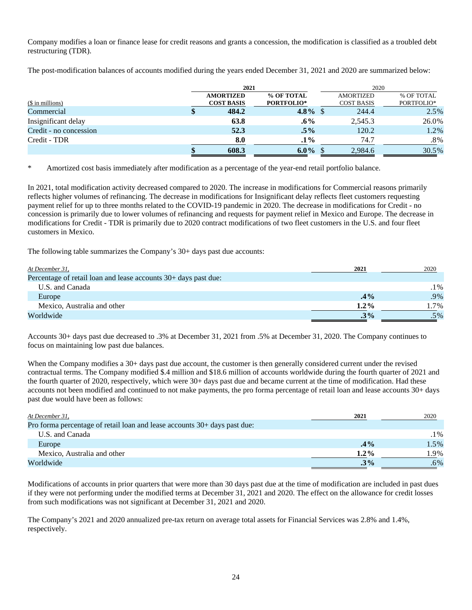Company modifies a loan or finance lease for credit reasons and grants a concession, the modification is classified as a troubled debt restructuring (TDR).

The post-modification balances of accounts modified during the years ended December 31, 2021 and 2020 are summarized below:

|                        |   | 2021              |                   |  | 2020              |            |  |
|------------------------|---|-------------------|-------------------|--|-------------------|------------|--|
|                        |   | <b>AMORTIZED</b>  | % OF TOTAL        |  | <b>AMORTIZED</b>  | % OF TOTAL |  |
| (\$ in millions)       |   | <b>COST BASIS</b> | <b>PORTFOLIO*</b> |  | <b>COST BASIS</b> | PORTFOLIO* |  |
| Commercial             | S | 484.2             | 4.8% \$           |  | 244.4             | 2.5%       |  |
| Insignificant delay    |   | 63.8              | $.6\%$            |  | 2,545.3           | 26.0%      |  |
| Credit - no concession |   | 52.3              | $.5\%$            |  | 120.2             | 1.2%       |  |
| Credit - TDR           |   | 8.0               | $.1\%$            |  | 74.7              | $.8\%$     |  |
|                        |   | 608.3             | $6.0\%$           |  | 2,984.6           | 30.5%      |  |

\* Amortized cost basis immediately after modification as a percentage of the year-end retail portfolio balance.

In 2021, total modification activity decreased compared to 2020. The increase in modifications for Commercial reasons primarily reflects higher volumes of refinancing. The decrease in modifications for Insignificant delay reflects fleet customers requesting payment relief for up to three months related to the COVID-19 pandemic in 2020. The decrease in modifications for Credit - no concession is primarily due to lower volumes of refinancing and requests for payment relief in Mexico and Europe. The decrease in modifications for Credit - TDR is primarily due to 2020 contract modifications of two fleet customers in the U.S. and four fleet customers in Mexico.

The following table summarizes the Company's 30+ days past due accounts:

| At December 31,                                                 | 2021    | 2020    |
|-----------------------------------------------------------------|---------|---------|
| Percentage of retail loan and lease accounts 30+ days past due: |         |         |
| U.S. and Canada                                                 |         | $.1\%$  |
| Europe                                                          | $.4\%$  | .9%     |
| Mexico, Australia and other                                     | $1.2\%$ | $1.7\%$ |
| Worldwide                                                       | $.3\%$  | $.5\%$  |

Accounts 30+ days past due decreased to .3% at December 31, 2021 from .5% at December 31, 2020. The Company continues to focus on maintaining low past due balances.

When the Company modifies a 30+ days past due account, the customer is then generally considered current under the revised contractual terms. The Company modified \$.4 million and \$18.6 million of accounts worldwide during the fourth quarter of 2021 and the fourth quarter of 2020, respectively, which were 30+ days past due and became current at the time of modification. Had these accounts not been modified and continued to not make payments, the pro forma percentage of retail loan and lease accounts 30+ days past due would have been as follows:

| At December 31,                                                           | 2021    | 2020   |
|---------------------------------------------------------------------------|---------|--------|
| Pro forma percentage of retail loan and lease accounts 30+ days past due: |         |        |
| U.S. and Canada                                                           |         | $.1\%$ |
| Europe                                                                    | $.4\%$  | 1.5%   |
| Mexico, Australia and other                                               | $1.2\%$ | 1.9%   |
| Worldwide                                                                 | $.3\%$  | .6%    |

Modifications of accounts in prior quarters that were more than 30 days past due at the time of modification are included in past dues if they were not performing under the modified terms at December 31, 2021 and 2020. The effect on the allowance for credit losses from such modifications was not significant at December 31, 2021 and 2020.

The Company's 2021 and 2020 annualized pre-tax return on average total assets for Financial Services was 2.8% and 1.4%, respectively.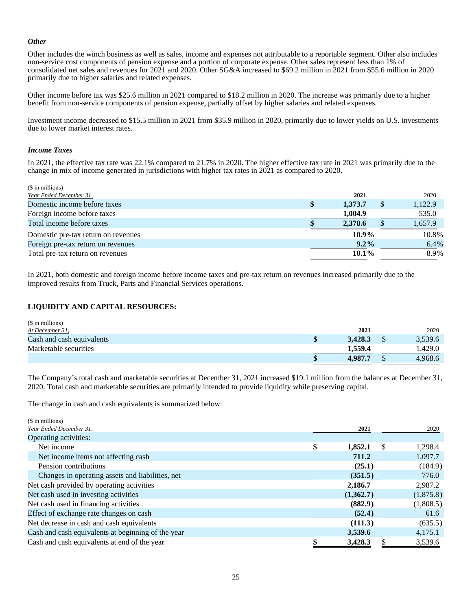#### *Other*

Other includes the winch business as well as sales, income and expenses not attributable to a reportable segment. Other also includes non-service cost components of pension expense and a portion of corporate expense. Other sales represent less than 1% of consolidated net sales and revenues for 2021 and 2020. Other SG&A increased to \$69.2 million in 2021 from \$55.6 million in 2020 primarily due to higher salaries and related expenses.

Other income before tax was \$25.6 million in 2021 compared to \$18.2 million in 2020. The increase was primarily due to a higher benefit from non-service components of pension expense, partially offset by higher salaries and related expenses.

Investment income decreased to \$15.5 million in 2021 from \$35.9 million in 2020, primarily due to lower yields on U.S. investments due to lower market interest rates.

#### *Income Taxes*

In 2021, the effective tax rate was 22.1% compared to 21.7% in 2020. The higher effective tax rate in 2021 was primarily due to the change in mix of income generated in jurisdictions with higher tax rates in 2021 as compared to 2020.

| (\$ in millions)                    |          |         |
|-------------------------------------|----------|---------|
| Year Ended December 31,             | 2021     | 2020    |
| Domestic income before taxes        | 1,373.7  | 1,122.9 |
| Foreign income before taxes         | 1.004.9  | 535.0   |
| Total income before taxes           | 2,378.6  | 1,657.9 |
| Domestic pre-tax return on revenues | $10.9\%$ | 10.8%   |
| Foreign pre-tax return on revenues  | $9.2\%$  | 6.4%    |
| Total pre-tax return on revenues    | $10.1\%$ | 8.9%    |

In 2021, both domestic and foreign income before income taxes and pre-tax return on revenues increased primarily due to the improved results from Truck, Parts and Financial Services operations.

#### **LIQUIDITY AND CAPITAL RESOURCES:**

| (\$ in millions)          |         |         |
|---------------------------|---------|---------|
| At December 31,           | 2021    | 2020    |
| Cash and cash equivalents | 3.428.3 | 3,539.6 |
| Marketable securities     | 1.559.4 | .429.0  |
|                           | 4.987.7 | 4,968.6 |

The Company's total cash and marketable securities at December 31, 2021 increased \$19.1 million from the balances at December 31, 2020. Total cash and marketable securities are primarily intended to provide liquidity while preserving capital.

The change in cash and cash equivalents is summarized below:

| $$$ in millions)                                   |               |               |
|----------------------------------------------------|---------------|---------------|
| Year Ended December 31,                            | 2021          | 2020          |
| Operating activities:                              |               |               |
| Net income                                         | \$<br>1,852.1 | \$<br>1,298.4 |
| Net income items not affecting cash                | 711.2         | 1,097.7       |
| Pension contributions                              | (25.1)        | (184.9)       |
| Changes in operating assets and liabilities, net   | (351.5)       | 776.0         |
| Net cash provided by operating activities          | 2,186.7       | 2,987.2       |
| Net cash used in investing activities              | (1,362.7)     | (1,875.8)     |
| Net cash used in financing activities              | (882.9)       | (1,808.5)     |
| Effect of exchange rate changes on cash            | (52.4)        | 61.6          |
| Net decrease in cash and cash equivalents          | (111.3)       | (635.5)       |
| Cash and cash equivalents at beginning of the year | 3,539.6       | 4,175.1       |
| Cash and cash equivalents at end of the year       | 3,428.3       | 3,539.6       |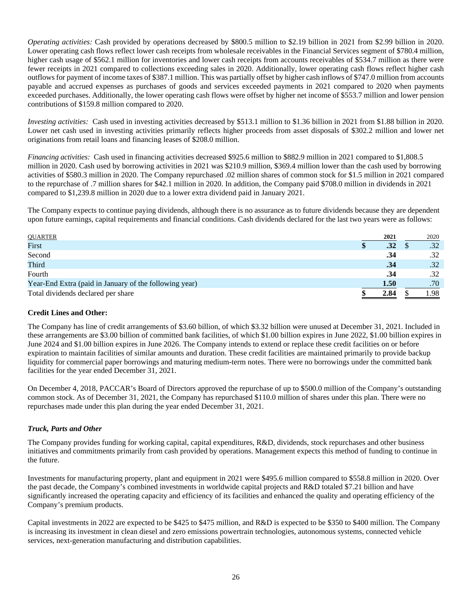*Operating activities:* Cash provided by operations decreased by \$800.5 million to \$2.19 billion in 2021 from \$2.99 billion in 2020. Lower operating cash flows reflect lower cash receipts from wholesale receivables in the Financial Services segment of \$780.4 million, higher cash usage of \$562.1 million for inventories and lower cash receipts from accounts receivables of \$534.7 million as there were fewer receipts in 2021 compared to collections exceeding sales in 2020. Additionally, lower operating cash flows reflect higher cash outflows for payment of income taxes of \$387.1 million. This was partially offset by higher cash inflows of \$747.0 million from accounts payable and accrued expenses as purchases of goods and services exceeded payments in 2021 compared to 2020 when payments exceeded purchases. Additionally, the lower operating cash flows were offset by higher net income of \$553.7 million and lower pension contributions of \$159.8 million compared to 2020.

*Investing activities:* Cash used in investing activities decreased by \$513.1 million to \$1.36 billion in 2021 from \$1.88 billion in 2020. Lower net cash used in investing activities primarily reflects higher proceeds from asset disposals of \$302.2 million and lower net originations from retail loans and financing leases of \$208.0 million.

*Financing activities:* Cash used in financing activities decreased \$925.6 million to \$882.9 million in 2021 compared to \$1,808.5 million in 2020. Cash used by borrowing activities in 2021 was \$210.9 million, \$369.4 million lower than the cash used by borrowing activities of \$580.3 million in 2020. The Company repurchased .02 million shares of common stock for \$1.5 million in 2021 compared to the repurchase of .7 million shares for \$42.1 million in 2020. In addition, the Company paid \$708.0 million in dividends in 2021 compared to \$1,239.8 million in 2020 due to a lower extra dividend paid in January 2021.

The Company expects to continue paying dividends, although there is no assurance as to future dividends because they are dependent upon future earnings, capital requirements and financial conditions. Cash dividends declared for the last two years were as follows:

| <b>QUARTER</b>                                         |   | 2021 | 2020 |
|--------------------------------------------------------|---|------|------|
| First                                                  | ъ | .32  | .32  |
| Second                                                 |   | .34  | .32  |
| Third                                                  |   | .34  | .32  |
| Fourth                                                 |   | .34  |      |
| Year-End Extra (paid in January of the following year) |   | 1.50 | .70  |
| Total dividends declared per share                     |   | 2.84 | 1.98 |

#### **Credit Lines and Other:**

The Company has line of credit arrangements of \$3.60 billion, of which \$3.32 billion were unused at December 31, 2021. Included in these arrangements are \$3.00 billion of committed bank facilities, of which \$1.00 billion expires in June 2022, \$1.00 billion expires in June 2024 and \$1.00 billion expires in June 2026. The Company intends to extend or replace these credit facilities on or before expiration to maintain facilities of similar amounts and duration. These credit facilities are maintained primarily to provide backup liquidity for commercial paper borrowings and maturing medium-term notes. There were no borrowings under the committed bank facilities for the year ended December 31, 2021.

On December 4, 2018, PACCAR's Board of Directors approved the repurchase of up to \$500.0 million of the Company's outstanding common stock. As of December 31, 2021, the Company has repurchased \$110.0 million of shares under this plan. There were no repurchases made under this plan during the year ended December 31, 2021.

#### *Truck, Parts and Other*

The Company provides funding for working capital, capital expenditures, R&D, dividends, stock repurchases and other business initiatives and commitments primarily from cash provided by operations. Management expects this method of funding to continue in the future.

Investments for manufacturing property, plant and equipment in 2021 were \$495.6 million compared to \$558.8 million in 2020. Over the past decade, the Company's combined investments in worldwide capital projects and R&D totaled \$7.21 billion and have significantly increased the operating capacity and efficiency of its facilities and enhanced the quality and operating efficiency of the Company's premium products.

Capital investments in 2022 are expected to be \$425 to \$475 million, and R&D is expected to be \$350 to \$400 million. The Company is increasing its investment in clean diesel and zero emissions powertrain technologies, autonomous systems, connected vehicle services, next-generation manufacturing and distribution capabilities.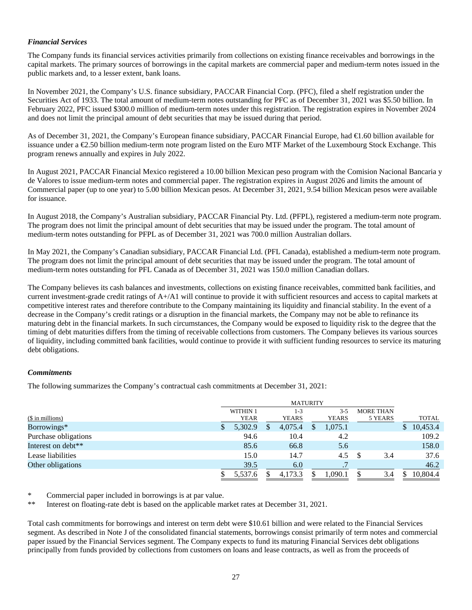#### *Financial Services*

The Company funds its financial services activities primarily from collections on existing finance receivables and borrowings in the capital markets. The primary sources of borrowings in the capital markets are commercial paper and medium-term notes issued in the public markets and, to a lesser extent, bank loans.

In November 2021, the Company's U.S. finance subsidiary, PACCAR Financial Corp. (PFC), filed a shelf registration under the Securities Act of 1933. The total amount of medium-term notes outstanding for PFC as of December 31, 2021 was \$5.50 billion. In February 2022, PFC issued \$300.0 million of medium-term notes under this registration. The registration expires in November 2024 and does not limit the principal amount of debt securities that may be issued during that period.

As of December 31, 2021, the Company's European finance subsidiary, PACCAR Financial Europe, had €1.60 billion available for issuance under a €2.50 billion medium-term note program listed on the Euro MTF Market of the Luxembourg Stock Exchange. This program renews annually and expires in July 2022.

In August 2021, PACCAR Financial Mexico registered a 10.00 billion Mexican peso program with the Comision Nacional Bancaria y de Valores to issue medium-term notes and commercial paper. The registration expires in August 2026 and limits the amount of Commercial paper (up to one year) to 5.00 billion Mexican pesos. At December 31, 2021, 9.54 billion Mexican pesos were available for issuance.

In August 2018, the Company's Australian subsidiary, PACCAR Financial Pty. Ltd. (PFPL), registered a medium-term note program. The program does not limit the principal amount of debt securities that may be issued under the program. The total amount of medium-term notes outstanding for PFPL as of December 31, 2021 was 700.0 million Australian dollars.

In May 2021, the Company's Canadian subsidiary, PACCAR Financial Ltd. (PFL Canada), established a medium-term note program. The program does not limit the principal amount of debt securities that may be issued under the program. The total amount of medium-term notes outstanding for PFL Canada as of December 31, 2021 was 150.0 million Canadian dollars.

The Company believes its cash balances and investments, collections on existing finance receivables, committed bank facilities, and current investment-grade credit ratings of A+/A1 will continue to provide it with sufficient resources and access to capital markets at competitive interest rates and therefore contribute to the Company maintaining its liquidity and financial stability. In the event of a decrease in the Company's credit ratings or a disruption in the financial markets, the Company may not be able to refinance its maturing debt in the financial markets. In such circumstances, the Company would be exposed to liquidity risk to the degree that the timing of debt maturities differs from the timing of receivable collections from customers. The Company believes its various sources of liquidity, including committed bank facilities, would continue to provide it with sufficient funding resources to service its maturing debt obligations.

#### *Commitments*

The following summarizes the Company's contractual cash commitments at December 31, 2021:

|                                | <b>MATURITY</b> |                 |  |              |  |              |  |                  |  |              |
|--------------------------------|-----------------|-----------------|--|--------------|--|--------------|--|------------------|--|--------------|
|                                |                 | <b>WITHIN 1</b> |  | $1 - 3$      |  | $3 - 5$      |  | <b>MORE THAN</b> |  |              |
| (\$ in millions)               |                 | <b>YEAR</b>     |  | <b>YEARS</b> |  | <b>YEARS</b> |  | 5 YEARS          |  | <b>TOTAL</b> |
| Borrowings*                    |                 | 5,302.9         |  | 4,075.4      |  | 1,075.1      |  |                  |  | \$10,453.4   |
| Purchase obligations           |                 | 94.6            |  | 10.4         |  | 4.2          |  |                  |  | 109.2        |
| Interest on debt <sup>**</sup> |                 | 85.6            |  | 66.8         |  | 5.6          |  |                  |  | 158.0        |
| Lease liabilities              |                 | 15.0            |  | 14.7         |  | 4.5          |  | 3.4              |  | 37.6         |
| Other obligations              |                 | 39.5            |  | 6.0          |  | $\cdot$      |  |                  |  | 46.2         |
|                                |                 | 5.537.6         |  | 4,173.3      |  | 1,090.1      |  | 3.4              |  | 10.804.4     |

\* Commercial paper included in borrowings is at par value.

Interest on floating-rate debt is based on the applicable market rates at December 31, 2021.

Total cash commitments for borrowings and interest on term debt were \$10.61 billion and were related to the Financial Services segment. As described in Note J of the consolidated financial statements, borrowings consist primarily of term notes and commercial paper issued by the Financial Services segment. The Company expects to fund its maturing Financial Services debt obligations principally from funds provided by collections from customers on loans and lease contracts, as well as from the proceeds of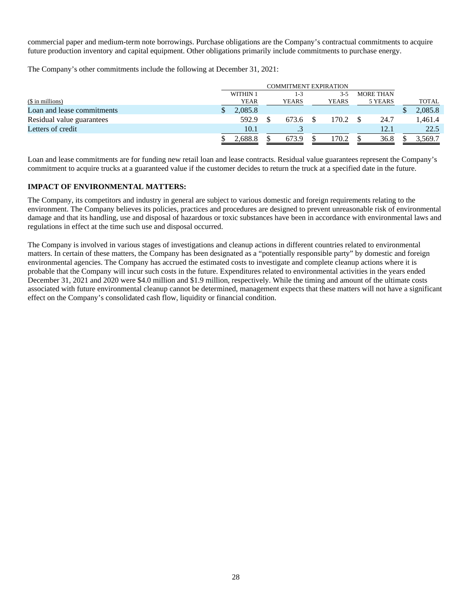commercial paper and medium-term note borrowings. Purchase obligations are the Company's contractual commitments to acquire future production inventory and capital equipment. Other obligations primarily include commitments to purchase energy.

The Company's other commitments include the following at December 31, 2021:

|                            | <b>COMMITMENT EXPIRATION</b> |         |  |       |  |       |  |                  |         |
|----------------------------|------------------------------|---------|--|-------|--|-------|--|------------------|---------|
|                            | WITHIN 1                     |         |  | $1-3$ |  | 3-5   |  | <b>MORE THAN</b> |         |
| (\$ in millions)           |                              | YEAR    |  | YEARS |  | YEARS |  | 5 YEARS          | TOTAL   |
| Loan and lease commitments |                              | 2,085.8 |  |       |  |       |  |                  | 2,085.8 |
| Residual value guarantees  |                              | 592.9   |  | 673.6 |  | 170.2 |  | 24.7             | 1.461.4 |
| Letters of credit          |                              | 10.1    |  |       |  |       |  | 12.1             | 22.5    |
|                            |                              | 2,688.8 |  | 673.9 |  | 170.2 |  | 36.8             | 3.569.7 |

Loan and lease commitments are for funding new retail loan and lease contracts. Residual value guarantees represent the Company's commitment to acquire trucks at a guaranteed value if the customer decides to return the truck at a specified date in the future.

#### **IMPACT OF ENVIRONMENTAL MATTERS:**

The Company, its competitors and industry in general are subject to various domestic and foreign requirements relating to the environment. The Company believes its policies, practices and procedures are designed to prevent unreasonable risk of environmental damage and that its handling, use and disposal of hazardous or toxic substances have been in accordance with environmental laws and regulations in effect at the time such use and disposal occurred.

The Company is involved in various stages of investigations and cleanup actions in different countries related to environmental matters. In certain of these matters, the Company has been designated as a "potentially responsible party" by domestic and foreign environmental agencies. The Company has accrued the estimated costs to investigate and complete cleanup actions where it is probable that the Company will incur such costs in the future. Expenditures related to environmental activities in the years ended December 31, 2021 and 2020 were \$4.0 million and \$1.9 million, respectively. While the timing and amount of the ultimate costs associated with future environmental cleanup cannot be determined, management expects that these matters will not have a significant effect on the Company's consolidated cash flow, liquidity or financial condition.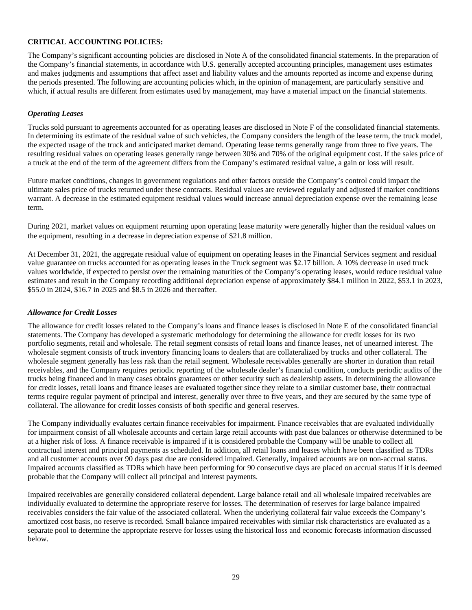#### **CRITICAL ACCOUNTING POLICIES:**

The Company's significant accounting policies are disclosed in Note A of the consolidated financial statements. In the preparation of the Company's financial statements, in accordance with U.S. generally accepted accounting principles, management uses estimates and makes judgments and assumptions that affect asset and liability values and the amounts reported as income and expense during the periods presented. The following are accounting policies which, in the opinion of management, are particularly sensitive and which, if actual results are different from estimates used by management, may have a material impact on the financial statements.

#### *Operating Leases*

Trucks sold pursuant to agreements accounted for as operating leases are disclosed in Note F of the consolidated financial statements. In determining its estimate of the residual value of such vehicles, the Company considers the length of the lease term, the truck model, the expected usage of the truck and anticipated market demand. Operating lease terms generally range from three to five years. The resulting residual values on operating leases generally range between 30% and 70% of the original equipment cost. If the sales price of a truck at the end of the term of the agreement differs from the Company's estimated residual value, a gain or loss will result.

Future market conditions, changes in government regulations and other factors outside the Company's control could impact the ultimate sales price of trucks returned under these contracts. Residual values are reviewed regularly and adjusted if market conditions warrant. A decrease in the estimated equipment residual values would increase annual depreciation expense over the remaining lease term.

During 2021, market values on equipment returning upon operating lease maturity were generally higher than the residual values on the equipment, resulting in a decrease in depreciation expense of \$21.8 million.

At December 31, 2021, the aggregate residual value of equipment on operating leases in the Financial Services segment and residual value guarantee on trucks accounted for as operating leases in the Truck segment was \$2.17 billion. A 10% decrease in used truck values worldwide, if expected to persist over the remaining maturities of the Company's operating leases, would reduce residual value estimates and result in the Company recording additional depreciation expense of approximately \$84.1 million in 2022, \$53.1 in 2023, \$55.0 in 2024, \$16.7 in 2025 and \$8.5 in 2026 and thereafter.

#### *Allowance for Credit Losses*

The allowance for credit losses related to the Company's loans and finance leases is disclosed in Note E of the consolidated financial statements. The Company has developed a systematic methodology for determining the allowance for credit losses for its two portfolio segments, retail and wholesale. The retail segment consists of retail loans and finance leases, net of unearned interest. The wholesale segment consists of truck inventory financing loans to dealers that are collateralized by trucks and other collateral. The wholesale segment generally has less risk than the retail segment. Wholesale receivables generally are shorter in duration than retail receivables, and the Company requires periodic reporting of the wholesale dealer's financial condition, conducts periodic audits of the trucks being financed and in many cases obtains guarantees or other security such as dealership assets. In determining the allowance for credit losses, retail loans and finance leases are evaluated together since they relate to a similar customer base, their contractual terms require regular payment of principal and interest, generally over three to five years, and they are secured by the same type of collateral. The allowance for credit losses consists of both specific and general reserves.

The Company individually evaluates certain finance receivables for impairment. Finance receivables that are evaluated individually for impairment consist of all wholesale accounts and certain large retail accounts with past due balances or otherwise determined to be at a higher risk of loss. A finance receivable is impaired if it is considered probable the Company will be unable to collect all contractual interest and principal payments as scheduled. In addition, all retail loans and leases which have been classified as TDRs and all customer accounts over 90 days past due are considered impaired. Generally, impaired accounts are on non-accrual status. Impaired accounts classified as TDRs which have been performing for 90 consecutive days are placed on accrual status if it is deemed probable that the Company will collect all principal and interest payments.

Impaired receivables are generally considered collateral dependent. Large balance retail and all wholesale impaired receivables are individually evaluated to determine the appropriate reserve for losses. The determination of reserves for large balance impaired receivables considers the fair value of the associated collateral. When the underlying collateral fair value exceeds the Company's amortized cost basis, no reserve is recorded. Small balance impaired receivables with similar risk characteristics are evaluated as a separate pool to determine the appropriate reserve for losses using the historical loss and economic forecasts information discussed below.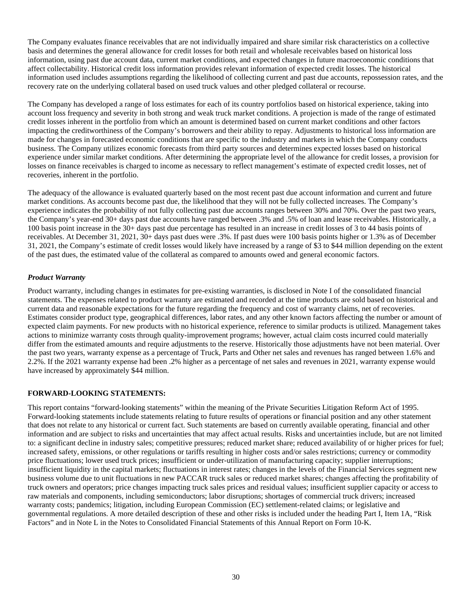The Company evaluates finance receivables that are not individually impaired and share similar risk characteristics on a collective basis and determines the general allowance for credit losses for both retail and wholesale receivables based on historical loss information, using past due account data, current market conditions, and expected changes in future macroeconomic conditions that affect collectability. Historical credit loss information provides relevant information of expected credit losses. The historical information used includes assumptions regarding the likelihood of collecting current and past due accounts, repossession rates, and the recovery rate on the underlying collateral based on used truck values and other pledged collateral or recourse.

The Company has developed a range of loss estimates for each of its country portfolios based on historical experience, taking into account loss frequency and severity in both strong and weak truck market conditions. A projection is made of the range of estimated credit losses inherent in the portfolio from which an amount is determined based on current market conditions and other factors impacting the creditworthiness of the Company's borrowers and their ability to repay. Adjustments to historical loss information are made for changes in forecasted economic conditions that are specific to the industry and markets in which the Company conducts business. The Company utilizes economic forecasts from third party sources and determines expected losses based on historical experience under similar market conditions. After determining the appropriate level of the allowance for credit losses, a provision for losses on finance receivables is charged to income as necessary to reflect management's estimate of expected credit losses, net of recoveries, inherent in the portfolio.

The adequacy of the allowance is evaluated quarterly based on the most recent past due account information and current and future market conditions. As accounts become past due, the likelihood that they will not be fully collected increases. The Company's experience indicates the probability of not fully collecting past due accounts ranges between 30% and 70%. Over the past two years, the Company's year-end 30+ days past due accounts have ranged between .3% and .5% of loan and lease receivables. Historically, a 100 basis point increase in the 30+ days past due percentage has resulted in an increase in credit losses of 3 to 44 basis points of receivables. At December 31, 2021, 30+ days past dues were .3%. If past dues were 100 basis points higher or 1.3% as of December 31, 2021, the Company's estimate of credit losses would likely have increased by a range of \$3 to \$44 million depending on the extent of the past dues, the estimated value of the collateral as compared to amounts owed and general economic factors.

#### *Product Warranty*

Product warranty, including changes in estimates for pre-existing warranties, is disclosed in Note I of the consolidated financial statements. The expenses related to product warranty are estimated and recorded at the time products are sold based on historical and current data and reasonable expectations for the future regarding the frequency and cost of warranty claims, net of recoveries. Estimates consider product type, geographical differences, labor rates, and any other known factors affecting the number or amount of expected claim payments. For new products with no historical experience, reference to similar products is utilized. Management takes actions to minimize warranty costs through quality-improvement programs; however, actual claim costs incurred could materially differ from the estimated amounts and require adjustments to the reserve. Historically those adjustments have not been material. Over the past two years, warranty expense as a percentage of Truck, Parts and Other net sales and revenues has ranged between 1.6% and 2.2%. If the 2021 warranty expense had been .2% higher as a percentage of net sales and revenues in 2021, warranty expense would have increased by approximately \$44 million.

#### **FORWARD-LOOKING STATEMENTS:**

This report contains "forward-looking statements" within the meaning of the Private Securities Litigation Reform Act of 1995. Forward-looking statements include statements relating to future results of operations or financial position and any other statement that does not relate to any historical or current fact. Such statements are based on currently available operating, financial and other information and are subject to risks and uncertainties that may affect actual results. Risks and uncertainties include, but are not limited to: a significant decline in industry sales; competitive pressures; reduced market share; reduced availability of or higher prices for fuel; increased safety, emissions, or other regulations or tariffs resulting in higher costs and/or sales restrictions; currency or commodity price fluctuations; lower used truck prices; insufficient or under-utilization of manufacturing capacity; supplier interruptions; insufficient liquidity in the capital markets; fluctuations in interest rates; changes in the levels of the Financial Services segment new business volume due to unit fluctuations in new PACCAR truck sales or reduced market shares; changes affecting the profitability of truck owners and operators; price changes impacting truck sales prices and residual values; insufficient supplier capacity or access to raw materials and components, including semiconductors; labor disruptions; shortages of commercial truck drivers; increased warranty costs; pandemics; litigation, including European Commission (EC) settlement-related claims; or legislative and governmental regulations. A more detailed description of these and other risks is included under the heading Part I, Item 1A, "Risk Factors" and in Note L in the Notes to Consolidated Financial Statements of this Annual Report on Form 10-K.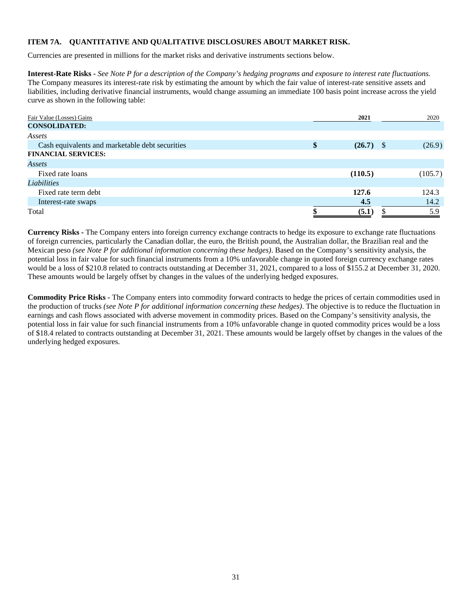#### <span id="page-30-0"></span>**ITEM 7A. QUANTITATIVE AND QUALITATIVE DISCLOSURES ABOUT MARKET RISK.**

Currencies are presented in millions for the market risks and derivative instruments sections below.

**Interest-Rate Risks -** *See Note P for a description of the Company's hedging programs and exposure to interest rate fluctuations.*  The Company measures its interest-rate risk by estimating the amount by which the fair value of interest-rate sensitive assets and liabilities, including derivative financial instruments, would change assuming an immediate 100 basis point increase across the yield curve as shown in the following table:

| Fair Value (Losses) Gains                       | 2021              | 2020    |
|-------------------------------------------------|-------------------|---------|
| <b>CONSOLIDATED:</b>                            |                   |         |
| Assets                                          |                   |         |
| Cash equivalents and marketable debt securities | \$<br>$(26.7)$ \$ | (26.9)  |
| <b>FINANCIAL SERVICES:</b>                      |                   |         |
| Assets                                          |                   |         |
| Fixed rate loans                                | (110.5)           | (105.7) |
| Liabilities                                     |                   |         |
| Fixed rate term debt                            | 127.6             | 124.3   |
| Interest-rate swaps                             | 4.5               | 14.2    |
| Total                                           | (5.1)             | 5.9     |

**Currency Risks -** The Company enters into foreign currency exchange contracts to hedge its exposure to exchange rate fluctuations of foreign currencies, particularly the Canadian dollar, the euro, the British pound, the Australian dollar, the Brazilian real and the Mexican peso *(see Note P for additional information concerning these hedges)*. Based on the Company's sensitivity analysis, the potential loss in fair value for such financial instruments from a 10% unfavorable change in quoted foreign currency exchange rates would be a loss of \$210.8 related to contracts outstanding at December 31, 2021, compared to a loss of \$155.2 at December 31, 2020. These amounts would be largely offset by changes in the values of the underlying hedged exposures.

**Commodity Price Risks -** The Company enters into commodity forward contracts to hedge the prices of certain commodities used in the production of trucks *(see Note P for additional information concerning these hedges)*. The objective is to reduce the fluctuation in earnings and cash flows associated with adverse movement in commodity prices. Based on the Company's sensitivity analysis, the potential loss in fair value for such financial instruments from a 10% unfavorable change in quoted commodity prices would be a loss of \$18.4 related to contracts outstanding at December 31, 2021. These amounts would be largely offset by changes in the values of the underlying hedged exposures.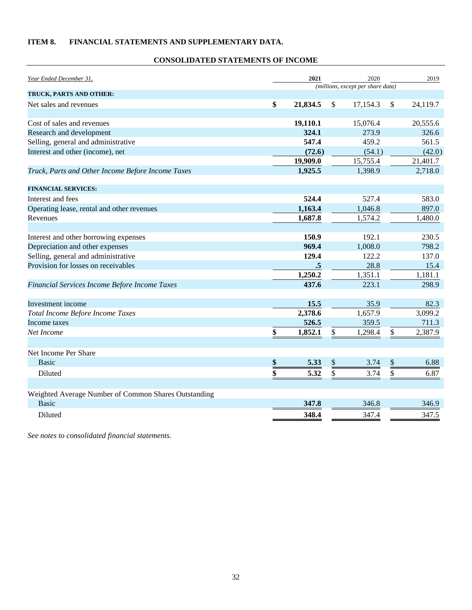#### **ITEM 8. FINANCIAL STATEMENTS AND SUPPLEMENTARY DATA.**

#### <span id="page-31-0"></span>**CONSOLIDATED STATEMENTS OF INCOME**

| Year Ended December 31,                              | 2021           | 2020<br>(millions, except per share data) |                                   | 2019     |
|------------------------------------------------------|----------------|-------------------------------------------|-----------------------------------|----------|
| TRUCK, PARTS AND OTHER:                              |                |                                           |                                   |          |
| Net sales and revenues                               | \$<br>21,834.5 | \$<br>17,154.3                            | \$                                | 24,119.7 |
|                                                      |                |                                           |                                   |          |
| Cost of sales and revenues                           | 19,110.1       | 15,076.4                                  |                                   | 20,555.6 |
| Research and development                             | 324.1          | 273.9                                     |                                   | 326.6    |
| Selling, general and administrative                  | 547.4          | 459.2                                     |                                   | 561.5    |
| Interest and other (income), net                     | (72.6)         | (54.1)                                    |                                   | (42.0)   |
|                                                      | 19,909.0       | 15,755.4                                  |                                   | 21,401.7 |
| Truck, Parts and Other Income Before Income Taxes    | 1,925.5        | 1,398.9                                   |                                   | 2,718.0  |
|                                                      |                |                                           |                                   |          |
| <b>FINANCIAL SERVICES:</b>                           |                |                                           |                                   |          |
| Interest and fees                                    | 524.4          | 527.4                                     |                                   | 583.0    |
| Operating lease, rental and other revenues           | 1,163.4        | 1,046.8                                   |                                   | 897.0    |
| Revenues                                             | 1,687.8        | 1,574.2                                   |                                   | 1,480.0  |
|                                                      |                |                                           |                                   |          |
| Interest and other borrowing expenses                | 150.9          | 192.1                                     |                                   | 230.5    |
| Depreciation and other expenses                      | 969.4          | 1,008.0                                   |                                   | 798.2    |
| Selling, general and administrative                  | 129.4          | 122.2                                     |                                   | 137.0    |
| Provision for losses on receivables                  | .5             | 28.8                                      |                                   | 15.4     |
|                                                      | 1,250.2        | 1,351.1                                   |                                   | 1,181.1  |
| Financial Services Income Before Income Taxes        | 437.6          | 223.1                                     |                                   | 298.9    |
|                                                      |                |                                           |                                   |          |
| Investment income                                    | 15.5           | 35.9                                      |                                   | 82.3     |
| Total Income Before Income Taxes                     | 2,378.6        | 1,657.9                                   |                                   | 3,099.2  |
| Income taxes                                         | 526.5          | 359.5                                     |                                   | 711.3    |
| Net Income                                           | \$<br>1,852.1  | \$<br>1,298.4                             | \$                                | 2,387.9  |
|                                                      |                |                                           |                                   |          |
| Net Income Per Share                                 |                |                                           |                                   |          |
| <b>Basic</b>                                         | \$<br>5.33     | \$<br>3.74                                | $\frac{\mathcal{L}}{\mathcal{L}}$ | 6.88     |
| Diluted                                              | \$<br>5.32     | \$<br>3.74                                | \$                                | 6.87     |
|                                                      |                |                                           |                                   |          |
| Weighted Average Number of Common Shares Outstanding |                |                                           |                                   |          |
| <b>Basic</b>                                         | 347.8          | 346.8                                     |                                   | 346.9    |
|                                                      |                |                                           |                                   |          |
| Diluted                                              | 348.4          | 347.4                                     |                                   | 347.5    |

*See notes to consolidated financial statements.*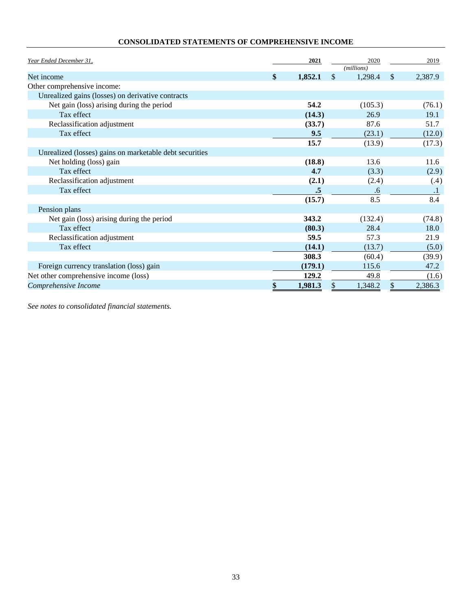# **CONSOLIDATED STATEMENTS OF COMPREHENSIVE INCOME**

| 2021          |              | 2020          | 2019      |
|---------------|--------------|---------------|-----------|
|               |              | (millions)    |           |
| 1,852.1       | $\mathbb{S}$ | $\mathcal{S}$ | 2,387.9   |
|               |              |               |           |
|               |              |               |           |
| 54.2          |              | (105.3)       | (76.1)    |
| (14.3)        |              | 26.9          | 19.1      |
| (33.7)        |              | 87.6          | 51.7      |
| 9.5           |              | (23.1)        | (12.0)    |
| 15.7          |              | (13.9)        | (17.3)    |
|               |              |               |           |
| (18.8)        |              | 13.6          | 11.6      |
| 4.7           |              | (3.3)         | (2.9)     |
| (2.1)         |              | (2.4)         | (.4)      |
| $\cdot$ 5     |              | .6            | $\cdot^1$ |
| (15.7)        |              | 8.5           | 8.4       |
|               |              |               |           |
| 343.2         |              | (132.4)       | (74.8)    |
| (80.3)        |              | 28.4          | 18.0      |
| 59.5          |              | 57.3          | 21.9      |
| (14.1)        |              | (13.7)        | (5.0)     |
| 308.3         |              | (60.4)        | (39.9)    |
| (179.1)       |              | 115.6         | 47.2      |
| 129.2         |              | 49.8          | (1.6)     |
| \$<br>1,981.3 | \$           | \$<br>1,348.2 | 2,386.3   |
| \$            |              |               | 1,298.4   |

*See notes to consolidated financial statements.*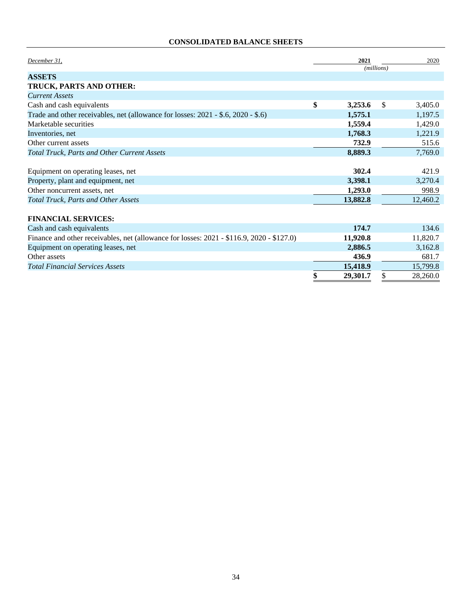## **CONSOLIDATED BALANCE SHEETS**

| December 31,                                                                              | 2021<br>( <i>millions</i> ) |              | 2020     |
|-------------------------------------------------------------------------------------------|-----------------------------|--------------|----------|
| <b>ASSETS</b>                                                                             |                             |              |          |
| TRUCK, PARTS AND OTHER:                                                                   |                             |              |          |
| <b>Current Assets</b>                                                                     |                             |              |          |
| Cash and cash equivalents                                                                 | \$<br>3,253.6               | $\mathbb{S}$ | 3,405.0  |
| Trade and other receivables, net (allowance for losses: 2021 - \$.6, 2020 - \$.6)         | 1,575.1                     |              | 1,197.5  |
| Marketable securities                                                                     | 1,559.4                     |              | 1,429.0  |
| Inventories, net                                                                          | 1,768.3                     |              | 1,221.9  |
| Other current assets                                                                      | 732.9                       |              | 515.6    |
| <b>Total Truck, Parts and Other Current Assets</b>                                        | 8,889.3                     |              | 7,769.0  |
|                                                                                           |                             |              |          |
| Equipment on operating leases, net                                                        | 302.4                       |              | 421.9    |
| Property, plant and equipment, net                                                        | 3,398.1                     |              | 3,270.4  |
| Other noncurrent assets, net                                                              | 1,293.0                     |              | 998.9    |
| <b>Total Truck, Parts and Other Assets</b>                                                | 13,882.8                    |              | 12,460.2 |
|                                                                                           |                             |              |          |
| <b>FINANCIAL SERVICES:</b>                                                                |                             |              |          |
| Cash and cash equivalents                                                                 | 174.7                       |              | 134.6    |
| Finance and other receivables, net (allowance for losses: 2021 - \$116.9, 2020 - \$127.0) | 11,920.8                    |              | 11,820.7 |
| Equipment on operating leases, net                                                        | 2,886.5                     |              | 3,162.8  |
| Other assets                                                                              | 436.9                       |              | 681.7    |
| <b>Total Financial Services Assets</b>                                                    | 15,418.9                    |              | 15,799.8 |
|                                                                                           | \$<br>29,301.7              | \$           | 28,260.0 |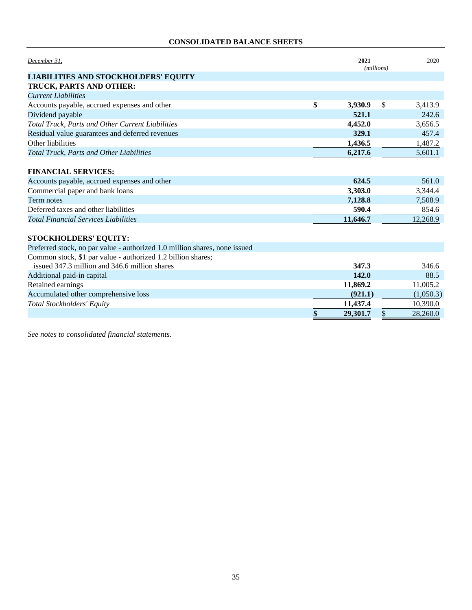# **CONSOLIDATED BALANCE SHEETS**

| December 31,                                                               | 2021           | 2020 |           |
|----------------------------------------------------------------------------|----------------|------|-----------|
| <b>LIABILITIES AND STOCKHOLDERS' EQUITY</b>                                | (millions)     |      |           |
| TRUCK, PARTS AND OTHER:                                                    |                |      |           |
| <b>Current Liabilities</b>                                                 |                |      |           |
| Accounts payable, accrued expenses and other                               | \$<br>3,930.9  | \$   | 3,413.9   |
| Dividend payable                                                           | 521.1          |      | 242.6     |
| Total Truck, Parts and Other Current Liabilities                           | 4,452.0        |      | 3,656.5   |
| Residual value guarantees and deferred revenues                            | 329.1          |      | 457.4     |
| Other liabilities                                                          | 1,436.5        |      | 1,487.2   |
| <b>Total Truck. Parts and Other Liabilities</b>                            | 6,217.6        |      | 5,601.1   |
|                                                                            |                |      |           |
| <b>FINANCIAL SERVICES:</b>                                                 |                |      |           |
| Accounts payable, accrued expenses and other                               | 624.5          |      | 561.0     |
| Commercial paper and bank loans                                            | 3,303.0        |      | 3,344.4   |
| Term notes                                                                 | 7,128.8        |      | 7,508.9   |
| Deferred taxes and other liabilities                                       | 590.4          |      | 854.6     |
| <b>Total Financial Services Liabilities</b>                                | 11,646.7       |      | 12,268.9  |
|                                                                            |                |      |           |
| <b>STOCKHOLDERS' EQUITY:</b>                                               |                |      |           |
| Preferred stock, no par value - authorized 1.0 million shares, none issued |                |      |           |
| Common stock, \$1 par value - authorized 1.2 billion shares;               |                |      |           |
| issued 347.3 million and 346.6 million shares                              | 347.3          |      | 346.6     |
| Additional paid-in capital                                                 | 142.0          |      | 88.5      |
| Retained earnings                                                          | 11,869.2       |      | 11,005.2  |
| Accumulated other comprehensive loss                                       | (921.1)        |      | (1,050.3) |
| <b>Total Stockholders' Equity</b>                                          | 11,437.4       |      | 10,390.0  |
|                                                                            | \$<br>29,301.7 | \$   | 28,260.0  |

*See notes to consolidated financial statements.*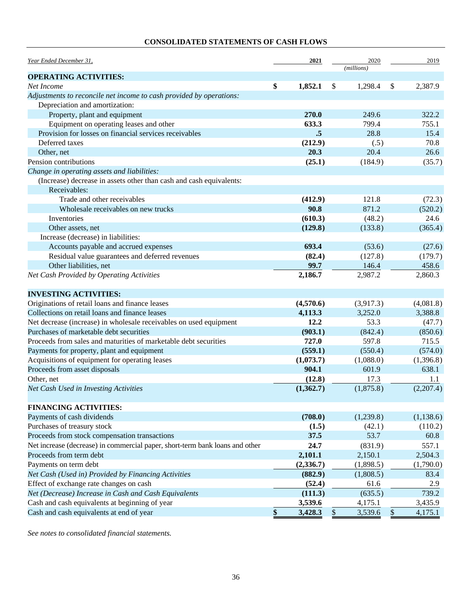## **CONSOLIDATED STATEMENTS OF CASH FLOWS**

| Year Ended December 31,                                                      | 2021          |              | 2020       |                           | 2019       |
|------------------------------------------------------------------------------|---------------|--------------|------------|---------------------------|------------|
| <b>OPERATING ACTIVITIES:</b>                                                 |               |              | (millions) |                           |            |
| Net Income                                                                   | \$<br>1,852.1 | \$           | 1,298.4    | \$                        | 2,387.9    |
| Adjustments to reconcile net income to cash provided by operations:          |               |              |            |                           |            |
| Depreciation and amortization:                                               |               |              |            |                           |            |
| Property, plant and equipment                                                | 270.0         |              | 249.6      |                           | 322.2      |
| Equipment on operating leases and other                                      | 633.3         |              | 799.4      |                           | 755.1      |
| Provision for losses on financial services receivables                       | .5            |              | 28.8       |                           | 15.4       |
| Deferred taxes                                                               | (212.9)       |              | (.5)       |                           | 70.8       |
| Other, net                                                                   | 20.3          |              | 20.4       |                           | 26.6       |
| Pension contributions                                                        | (25.1)        |              | (184.9)    |                           | (35.7)     |
| Change in operating assets and liabilities:                                  |               |              |            |                           |            |
| (Increase) decrease in assets other than cash and cash equivalents:          |               |              |            |                           |            |
| Receivables:                                                                 |               |              |            |                           |            |
| Trade and other receivables                                                  | (412.9)       |              | 121.8      |                           | (72.3)     |
| Wholesale receivables on new trucks                                          | 90.8          |              | 871.2      |                           | (520.2)    |
| Inventories                                                                  | (610.3)       |              | (48.2)     |                           | 24.6       |
| Other assets, net                                                            | (129.8)       |              | (133.8)    |                           |            |
| Increase (decrease) in liabilities:                                          |               |              |            |                           | (365.4)    |
|                                                                              |               |              |            |                           |            |
| Accounts payable and accrued expenses                                        | 693.4         |              | (53.6)     |                           | (27.6)     |
| Residual value guarantees and deferred revenues<br>Other liabilities, net    | (82.4)        |              | (127.8)    |                           | (179.7)    |
|                                                                              | 99.7          |              | 146.4      |                           | 458.6      |
| Net Cash Provided by Operating Activities                                    | 2,186.7       |              | 2,987.2    |                           | 2,860.3    |
| <b>INVESTING ACTIVITIES:</b>                                                 |               |              |            |                           |            |
| Originations of retail loans and finance leases                              | (4,570.6)     |              | (3,917.3)  |                           | (4,081.8)  |
| Collections on retail loans and finance leases                               | 4,113.3       |              | 3,252.0    |                           | 3,388.8    |
| Net decrease (increase) in wholesale receivables on used equipment           | 12.2          |              | 53.3       |                           | (47.7)     |
| Purchases of marketable debt securities                                      | (903.1)       |              | (842.4)    |                           | (850.6)    |
| Proceeds from sales and maturities of marketable debt securities             | 727.0         |              | 597.8      |                           | 715.5      |
| Payments for property, plant and equipment                                   | (559.1)       |              | (550.4)    |                           | (574.0)    |
| Acquisitions of equipment for operating leases                               | (1,073.7)     |              | (1,088.0)  |                           | (1,396.8)  |
| Proceeds from asset disposals                                                | 904.1         |              | 601.9      |                           | 638.1      |
| Other, net                                                                   | (12.8)        |              | 17.3       |                           | 1.1        |
| Net Cash Used in Investing Activities                                        | (1,362.7)     |              | (1,875.8)  |                           | (2,207.4)  |
|                                                                              |               |              |            |                           |            |
| <b>FINANCING ACTIVITIES:</b>                                                 |               |              |            |                           |            |
| Payments of cash dividends                                                   | (708.0)       |              | (1,239.8)  |                           | (1, 138.6) |
| Purchases of treasury stock                                                  | (1.5)         |              | (42.1)     |                           | (110.2)    |
| Proceeds from stock compensation transactions                                | 37.5          |              | 53.7       |                           | 60.8       |
| Net increase (decrease) in commercial paper, short-term bank loans and other | 24.7          |              | (831.9)    |                           | 557.1      |
| Proceeds from term debt                                                      | 2,101.1       |              | 2,150.1    |                           | 2,504.3    |
| Payments on term debt                                                        | (2,336.7)     |              | (1,898.5)  |                           | (1,790.0)  |
| Net Cash (Used in) Provided by Financing Activities                          | (882.9)       |              | (1,808.5)  |                           | 83.4       |
| Effect of exchange rate changes on cash                                      | (52.4)        |              | 61.6       |                           | 2.9        |
| Net (Decrease) Increase in Cash and Cash Equivalents                         | (111.3)       |              | (635.5)    |                           | 739.2      |
| Cash and cash equivalents at beginning of year                               | 3,539.6       |              | 4,175.1    |                           | 3,435.9    |
| Cash and cash equivalents at end of year                                     | \$<br>3,428.3 | $\mathbb{S}$ | 3,539.6    | $\boldsymbol{\mathsf{S}}$ | 4,175.1    |
|                                                                              |               |              |            |                           |            |

*See notes to consolidated financial statements.*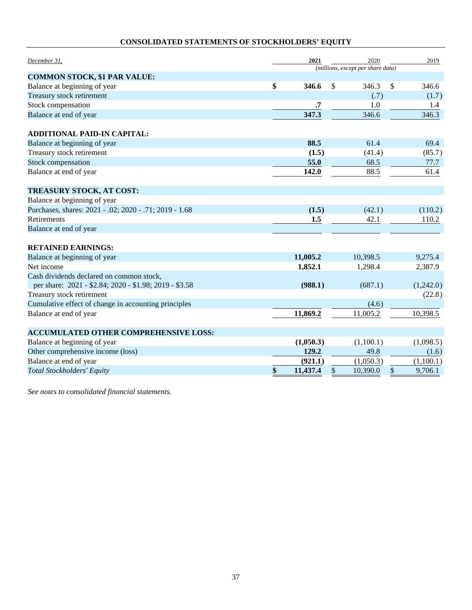# **CONSOLIDATED STATEMENTS OF STOCKHOLDERS' EQUITY**

| December 31,                                                                        |                                   | 2021      |    | 2020      |    | 2019                |
|-------------------------------------------------------------------------------------|-----------------------------------|-----------|----|-----------|----|---------------------|
|                                                                                     | (millions, except per share data) |           |    |           |    |                     |
| <b>COMMON STOCK, \$1 PAR VALUE:</b>                                                 |                                   |           |    |           |    |                     |
| Balance at beginning of year                                                        | \$                                | 346.6     | \$ | 346.3     | \$ | 346.6               |
| Treasury stock retirement                                                           |                                   |           |    | (.7)      |    | (1.7)               |
| Stock compensation                                                                  |                                   | $\cdot^7$ |    | 1.0       |    | 1.4                 |
| Balance at end of year                                                              |                                   | 347.3     |    | 346.6     |    | 346.3               |
| <b>ADDITIONAL PAID-IN CAPITAL:</b>                                                  |                                   |           |    |           |    |                     |
| Balance at beginning of year                                                        |                                   | 88.5      |    | 61.4      |    | 69.4                |
| Treasury stock retirement                                                           |                                   | (1.5)     |    | (41.4)    |    | (85.7)              |
| Stock compensation                                                                  |                                   | 55.0      |    | 68.5      |    | 77.7                |
| Balance at end of year                                                              |                                   | 142.0     |    | 88.5      |    | 61.4                |
| TREASURY STOCK, AT COST:                                                            |                                   |           |    |           |    |                     |
| Balance at beginning of year                                                        |                                   |           |    |           |    |                     |
| Purchases, shares: 2021 - .02; 2020 - .71; 2019 - 1.68                              |                                   | (1.5)     |    | (42.1)    |    | (110.2)             |
| <b>Retirements</b>                                                                  |                                   | 1.5       |    | 42.1      |    | 110.2               |
| Balance at end of year                                                              |                                   |           |    |           |    |                     |
| <b>RETAINED EARNINGS:</b>                                                           |                                   |           |    |           |    |                     |
| Balance at beginning of year                                                        |                                   | 11,005.2  |    | 10,398.5  |    | 9,275.4             |
| Net income                                                                          |                                   | 1,852.1   |    | 1,298.4   |    | 2,387.9             |
| Cash dividends declared on common stock,                                            |                                   | (988.1)   |    | (687.1)   |    |                     |
| per share: 2021 - \$2.84; 2020 - \$1.98; 2019 - \$3.58<br>Treasury stock retirement |                                   |           |    |           |    | (1,242.0)<br>(22.8) |
| Cumulative effect of change in accounting principles                                |                                   |           |    | (4.6)     |    |                     |
| Balance at end of year                                                              |                                   | 11,869.2  |    | 11,005.2  |    | 10,398.5            |
|                                                                                     |                                   |           |    |           |    |                     |
| <b>ACCUMULATED OTHER COMPREHENSIVE LOSS:</b>                                        |                                   |           |    |           |    |                     |
| Balance at beginning of year                                                        |                                   | (1,050.3) |    | (1,100.1) |    | (1,098.5)           |
| Other comprehensive income (loss)                                                   |                                   | 129.2     |    | 49.8      |    | (1.6)               |
| Balance at end of year                                                              |                                   | (921.1)   |    | (1,050.3) |    | (1,100.1)           |
| <b>Total Stockholders' Equity</b>                                                   | \$                                | 11,437.4  | \$ | 10,390.0  | \$ | 9,706.1             |

*See notes to consolidated financial statements.*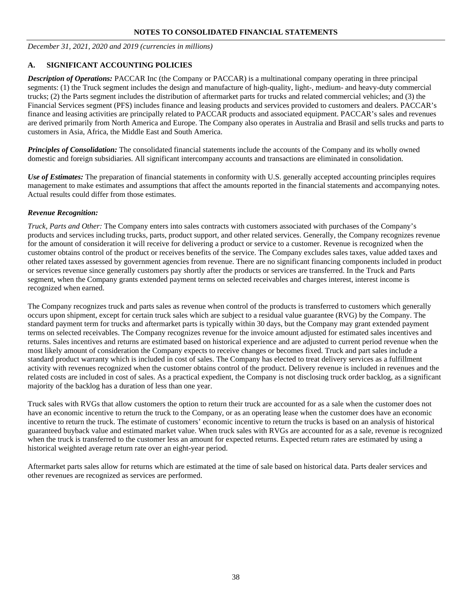# **A. SIGNIFICANT ACCOUNTING POLICIES**

*Description of Operations:* PACCAR Inc (the Company or PACCAR) is a multinational company operating in three principal segments: (1) the Truck segment includes the design and manufacture of high-quality, light-, medium- and heavy-duty commercial trucks; (2) the Parts segment includes the distribution of aftermarket parts for trucks and related commercial vehicles; and (3) the Financial Services segment (PFS) includes finance and leasing products and services provided to customers and dealers. PACCAR's finance and leasing activities are principally related to PACCAR products and associated equipment. PACCAR's sales and revenues are derived primarily from North America and Europe. The Company also operates in Australia and Brasil and sells trucks and parts to customers in Asia, Africa, the Middle East and South America.

*Principles of Consolidation:* The consolidated financial statements include the accounts of the Company and its wholly owned domestic and foreign subsidiaries. All significant intercompany accounts and transactions are eliminated in consolidation.

*Use of Estimates:* The preparation of financial statements in conformity with U.S. generally accepted accounting principles requires management to make estimates and assumptions that affect the amounts reported in the financial statements and accompanying notes. Actual results could differ from those estimates.

## *Revenue Recognition:*

*Truck, Parts and Other:* The Company enters into sales contracts with customers associated with purchases of the Company's products and services including trucks, parts, product support, and other related services. Generally, the Company recognizes revenue for the amount of consideration it will receive for delivering a product or service to a customer. Revenue is recognized when the customer obtains control of the product or receives benefits of the service. The Company excludes sales taxes, value added taxes and other related taxes assessed by government agencies from revenue. There are no significant financing components included in product or services revenue since generally customers pay shortly after the products or services are transferred. In the Truck and Parts segment, when the Company grants extended payment terms on selected receivables and charges interest, interest income is recognized when earned.

The Company recognizes truck and parts sales as revenue when control of the products is transferred to customers which generally occurs upon shipment, except for certain truck sales which are subject to a residual value guarantee (RVG) by the Company. The standard payment term for trucks and aftermarket parts is typically within 30 days, but the Company may grant extended payment terms on selected receivables. The Company recognizes revenue for the invoice amount adjusted for estimated sales incentives and returns. Sales incentives and returns are estimated based on historical experience and are adjusted to current period revenue when the most likely amount of consideration the Company expects to receive changes or becomes fixed. Truck and part sales include a standard product warranty which is included in cost of sales. The Company has elected to treat delivery services as a fulfillment activity with revenues recognized when the customer obtains control of the product. Delivery revenue is included in revenues and the related costs are included in cost of sales. As a practical expedient, the Company is not disclosing truck order backlog, as a significant majority of the backlog has a duration of less than one year.

Truck sales with RVGs that allow customers the option to return their truck are accounted for as a sale when the customer does not have an economic incentive to return the truck to the Company, or as an operating lease when the customer does have an economic incentive to return the truck. The estimate of customers' economic incentive to return the trucks is based on an analysis of historical guaranteed buyback value and estimated market value. When truck sales with RVGs are accounted for as a sale, revenue is recognized when the truck is transferred to the customer less an amount for expected returns. Expected return rates are estimated by using a historical weighted average return rate over an eight-year period.

Aftermarket parts sales allow for returns which are estimated at the time of sale based on historical data. Parts dealer services and other revenues are recognized as services are performed.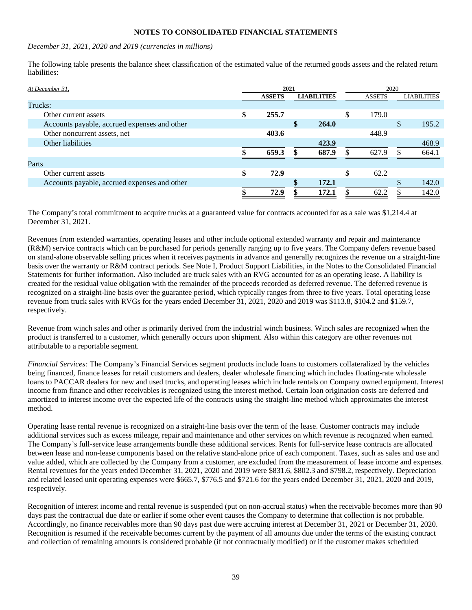The following table presents the balance sheet classification of the estimated value of the returned goods assets and the related return liabilities:

| At December 31,                              | 2021          |    |                    | 2020    |               |   |                    |
|----------------------------------------------|---------------|----|--------------------|---------|---------------|---|--------------------|
|                                              | <b>ASSETS</b> |    | <b>LIABILITIES</b> |         | <b>ASSETS</b> |   | <b>LIABILITIES</b> |
| Trucks:                                      |               |    |                    |         |               |   |                    |
| Other current assets                         | \$<br>255.7   |    |                    | \$      | 179.0         |   |                    |
| Accounts payable, accrued expenses and other |               | \$ | 264.0              |         |               | S | 195.2              |
| Other noncurrent assets, net                 | 403.6         |    |                    |         | 448.9         |   |                    |
| Other liabilities                            |               |    | 423.9              |         |               |   | 468.9              |
|                                              | 659.3         | \$ | 687.9              | S       | 627.9         |   | 664.1              |
| Parts                                        |               |    |                    |         |               |   |                    |
| Other current assets                         | 72.9          |    |                    | ¢<br>۰D | 62.2          |   |                    |
| Accounts payable, accrued expenses and other |               | \$ | 172.1              |         |               |   | 142.0              |
|                                              | 72.9          | ¢  | 172.1              |         | 62.2          |   | 142.0              |

The Company's total commitment to acquire trucks at a guaranteed value for contracts accounted for as a sale was \$1,214.4 at December 31, 2021.

Revenues from extended warranties, operating leases and other include optional extended warranty and repair and maintenance (R&M) service contracts which can be purchased for periods generally ranging up to five years. The Company defers revenue based on stand-alone observable selling prices when it receives payments in advance and generally recognizes the revenue on a straight-line basis over the warranty or R&M contract periods. See Note I, Product Support Liabilities, in the Notes to the Consolidated Financial Statements for further information. Also included are truck sales with an RVG accounted for as an operating lease. A liability is created for the residual value obligation with the remainder of the proceeds recorded as deferred revenue. The deferred revenue is recognized on a straight-line basis over the guarantee period, which typically ranges from three to five years. Total operating lease revenue from truck sales with RVGs for the years ended December 31, 2021, 2020 and 2019 was \$113.8, \$104.2 and \$159.7, respectively.

Revenue from winch sales and other is primarily derived from the industrial winch business. Winch sales are recognized when the product is transferred to a customer, which generally occurs upon shipment. Also within this category are other revenues not attributable to a reportable segment.

*Financial Services:* The Company's Financial Services segment products include loans to customers collateralized by the vehicles being financed, finance leases for retail customers and dealers, dealer wholesale financing which includes floating-rate wholesale loans to PACCAR dealers for new and used trucks, and operating leases which include rentals on Company owned equipment. Interest income from finance and other receivables is recognized using the interest method. Certain loan origination costs are deferred and amortized to interest income over the expected life of the contracts using the straight-line method which approximates the interest method.

Operating lease rental revenue is recognized on a straight-line basis over the term of the lease. Customer contracts may include additional services such as excess mileage, repair and maintenance and other services on which revenue is recognized when earned. The Company's full-service lease arrangements bundle these additional services. Rents for full-service lease contracts are allocated between lease and non-lease components based on the relative stand-alone price of each component. Taxes, such as sales and use and value added, which are collected by the Company from a customer, are excluded from the measurement of lease income and expenses. Rental revenues for the years ended December 31, 2021, 2020 and 2019 were \$831.6, \$802.3 and \$798.2, respectively. Depreciation and related leased unit operating expenses were \$665.7, \$776.5 and \$721.6 for the years ended December 31, 2021, 2020 and 2019, respectively.

Recognition of interest income and rental revenue is suspended (put on non-accrual status) when the receivable becomes more than 90 days past the contractual due date or earlier if some other event causes the Company to determine that collection is not probable. Accordingly, no finance receivables more than 90 days past due were accruing interest at December 31, 2021 or December 31, 2020. Recognition is resumed if the receivable becomes current by the payment of all amounts due under the terms of the existing contract and collection of remaining amounts is considered probable (if not contractually modified) or if the customer makes scheduled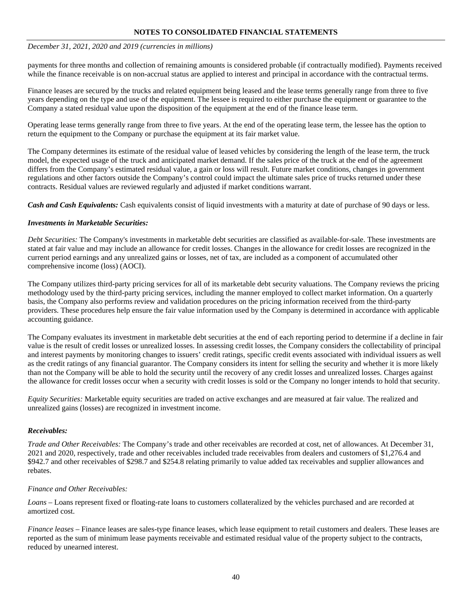#### *December 31, 2021, 2020 and 2019 (currencies in millions)*

payments for three months and collection of remaining amounts is considered probable (if contractually modified). Payments received while the finance receivable is on non-accrual status are applied to interest and principal in accordance with the contractual terms.

Finance leases are secured by the trucks and related equipment being leased and the lease terms generally range from three to five years depending on the type and use of the equipment. The lessee is required to either purchase the equipment or guarantee to the Company a stated residual value upon the disposition of the equipment at the end of the finance lease term.

Operating lease terms generally range from three to five years. At the end of the operating lease term, the lessee has the option to return the equipment to the Company or purchase the equipment at its fair market value.

The Company determines its estimate of the residual value of leased vehicles by considering the length of the lease term, the truck model, the expected usage of the truck and anticipated market demand. If the sales price of the truck at the end of the agreement differs from the Company's estimated residual value, a gain or loss will result. Future market conditions, changes in government regulations and other factors outside the Company's control could impact the ultimate sales price of trucks returned under these contracts. Residual values are reviewed regularly and adjusted if market conditions warrant.

*Cash and Cash Equivalents:* Cash equivalents consist of liquid investments with a maturity at date of purchase of 90 days or less.

## *Investments in Marketable Securities:*

*Debt Securities:* The Company's investments in marketable debt securities are classified as available-for-sale. These investments are stated at fair value and may include an allowance for credit losses. Changes in the allowance for credit losses are recognized in the current period earnings and any unrealized gains or losses, net of tax, are included as a component of accumulated other comprehensive income (loss) (AOCI).

The Company utilizes third-party pricing services for all of its marketable debt security valuations. The Company reviews the pricing methodology used by the third-party pricing services, including the manner employed to collect market information. On a quarterly basis, the Company also performs review and validation procedures on the pricing information received from the third-party providers. These procedures help ensure the fair value information used by the Company is determined in accordance with applicable accounting guidance.

The Company evaluates its investment in marketable debt securities at the end of each reporting period to determine if a decline in fair value is the result of credit losses or unrealized losses. In assessing credit losses, the Company considers the collectability of principal and interest payments by monitoring changes to issuers' credit ratings, specific credit events associated with individual issuers as well as the credit ratings of any financial guarantor. The Company considers its intent for selling the security and whether it is more likely than not the Company will be able to hold the security until the recovery of any credit losses and unrealized losses. Charges against the allowance for credit losses occur when a security with credit losses is sold or the Company no longer intends to hold that security.

*Equity Securities:* Marketable equity securities are traded on active exchanges and are measured at fair value. The realized and unrealized gains (losses) are recognized in investment income.

## *Receivables:*

*Trade and Other Receivables:* The Company's trade and other receivables are recorded at cost, net of allowances. At December 31, 2021 and 2020, respectively, trade and other receivables included trade receivables from dealers and customers of \$1,276.4 and \$942.7 and other receivables of \$298.7 and \$254.8 relating primarily to value added tax receivables and supplier allowances and rebates.

#### *Finance and Other Receivables:*

*Loans* – Loans represent fixed or floating-rate loans to customers collateralized by the vehicles purchased and are recorded at amortized cost.

*Finance leases* – Finance leases are sales-type finance leases, which lease equipment to retail customers and dealers. These leases are reported as the sum of minimum lease payments receivable and estimated residual value of the property subject to the contracts, reduced by unearned interest.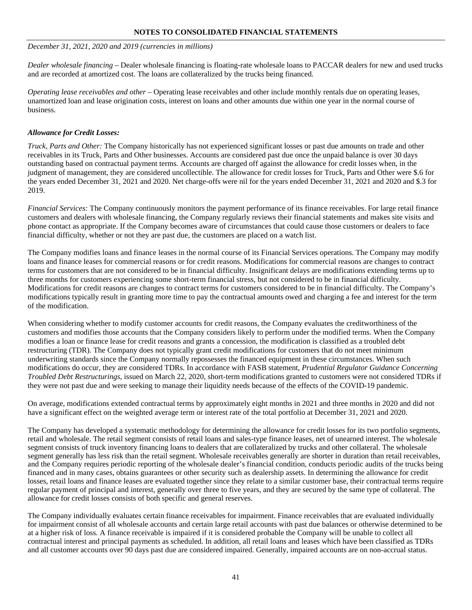*Dealer wholesale financing* – Dealer wholesale financing is floating-rate wholesale loans to PACCAR dealers for new and used trucks and are recorded at amortized cost. The loans are collateralized by the trucks being financed.

*Operating lease receivables and other* – Operating lease receivables and other include monthly rentals due on operating leases, unamortized loan and lease origination costs, interest on loans and other amounts due within one year in the normal course of business.

#### *Allowance for Credit Losses:*

*Truck, Parts and Other:* The Company historically has not experienced significant losses or past due amounts on trade and other receivables in its Truck, Parts and Other businesses. Accounts are considered past due once the unpaid balance is over 30 days outstanding based on contractual payment terms. Accounts are charged off against the allowance for credit losses when, in the judgment of management, they are considered uncollectible. The allowance for credit losses for Truck, Parts and Other were \$.6 for the years ended December 31, 2021 and 2020. Net charge-offs were nil for the years ended December 31, 2021 and 2020 and \$.3 for 2019.

*Financial Services:* The Company continuously monitors the payment performance of its finance receivables. For large retail finance customers and dealers with wholesale financing, the Company regularly reviews their financial statements and makes site visits and phone contact as appropriate. If the Company becomes aware of circumstances that could cause those customers or dealers to face financial difficulty, whether or not they are past due, the customers are placed on a watch list.

The Company modifies loans and finance leases in the normal course of its Financial Services operations. The Company may modify loans and finance leases for commercial reasons or for credit reasons. Modifications for commercial reasons are changes to contract terms for customers that are not considered to be in financial difficulty. Insignificant delays are modifications extending terms up to three months for customers experiencing some short-term financial stress, but not considered to be in financial difficulty. Modifications for credit reasons are changes to contract terms for customers considered to be in financial difficulty. The Company's modifications typically result in granting more time to pay the contractual amounts owed and charging a fee and interest for the term of the modification.

When considering whether to modify customer accounts for credit reasons, the Company evaluates the creditworthiness of the customers and modifies those accounts that the Company considers likely to perform under the modified terms. When the Company modifies a loan or finance lease for credit reasons and grants a concession, the modification is classified as a troubled debt restructuring (TDR). The Company does not typically grant credit modifications for customers that do not meet minimum underwriting standards since the Company normally repossesses the financed equipment in these circumstances. When such modifications do occur, they are considered TDRs. In accordance with FASB statement, *Prudential Regulator Guidance Concerning Troubled Debt Restructurings*, issued on March 22, 2020, short-term modifications granted to customers were not considered TDRs if they were not past due and were seeking to manage their liquidity needs because of the effects of the COVID-19 pandemic.

On average, modifications extended contractual terms by approximately eight months in 2021 and three months in 2020 and did not have a significant effect on the weighted average term or interest rate of the total portfolio at December 31, 2021 and 2020.

The Company has developed a systematic methodology for determining the allowance for credit losses for its two portfolio segments, retail and wholesale. The retail segment consists of retail loans and sales-type finance leases, net of unearned interest. The wholesale segment consists of truck inventory financing loans to dealers that are collateralized by trucks and other collateral. The wholesale segment generally has less risk than the retail segment. Wholesale receivables generally are shorter in duration than retail receivables, and the Company requires periodic reporting of the wholesale dealer's financial condition, conducts periodic audits of the trucks being financed and in many cases, obtains guarantees or other security such as dealership assets. In determining the allowance for credit losses, retail loans and finance leases are evaluated together since they relate to a similar customer base, their contractual terms require regular payment of principal and interest, generally over three to five years, and they are secured by the same type of collateral. The allowance for credit losses consists of both specific and general reserves.

The Company individually evaluates certain finance receivables for impairment. Finance receivables that are evaluated individually for impairment consist of all wholesale accounts and certain large retail accounts with past due balances or otherwise determined to be at a higher risk of loss. A finance receivable is impaired if it is considered probable the Company will be unable to collect all contractual interest and principal payments as scheduled. In addition, all retail loans and leases which have been classified as TDRs and all customer accounts over 90 days past due are considered impaired. Generally, impaired accounts are on non-accrual status.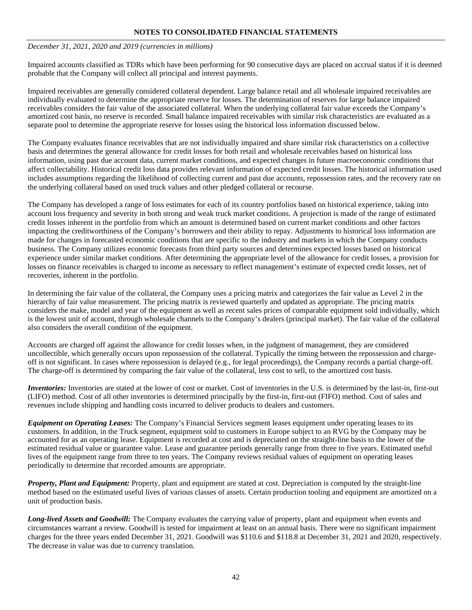Impaired accounts classified as TDRs which have been performing for 90 consecutive days are placed on accrual status if it is deemed probable that the Company will collect all principal and interest payments.

Impaired receivables are generally considered collateral dependent. Large balance retail and all wholesale impaired receivables are individually evaluated to determine the appropriate reserve for losses. The determination of reserves for large balance impaired receivables considers the fair value of the associated collateral. When the underlying collateral fair value exceeds the Company's amortized cost basis, no reserve is recorded. Small balance impaired receivables with similar risk characteristics are evaluated as a separate pool to determine the appropriate reserve for losses using the historical loss information discussed below.

The Company evaluates finance receivables that are not individually impaired and share similar risk characteristics on a collective basis and determines the general allowance for credit losses for both retail and wholesale receivables based on historical loss information, using past due account data, current market conditions, and expected changes in future macroeconomic conditions that affect collectability. Historical credit loss data provides relevant information of expected credit losses. The historical information used includes assumptions regarding the likelihood of collecting current and past due accounts, repossession rates, and the recovery rate on the underlying collateral based on used truck values and other pledged collateral or recourse.

The Company has developed a range of loss estimates for each of its country portfolios based on historical experience, taking into account loss frequency and severity in both strong and weak truck market conditions. A projection is made of the range of estimated credit losses inherent in the portfolio from which an amount is determined based on current market conditions and other factors impacting the creditworthiness of the Company's borrowers and their ability to repay. Adjustments to historical loss information are made for changes in forecasted economic conditions that are specific to the industry and markets in which the Company conducts business. The Company utilizes economic forecasts from third party sources and determines expected losses based on historical experience under similar market conditions. After determining the appropriate level of the allowance for credit losses, a provision for losses on finance receivables is charged to income as necessary to reflect management's estimate of expected credit losses, net of recoveries, inherent in the portfolio.

In determining the fair value of the collateral, the Company uses a pricing matrix and categorizes the fair value as Level 2 in the hierarchy of fair value measurement. The pricing matrix is reviewed quarterly and updated as appropriate. The pricing matrix considers the make, model and year of the equipment as well as recent sales prices of comparable equipment sold individually, which is the lowest unit of account, through wholesale channels to the Company's dealers (principal market). The fair value of the collateral also considers the overall condition of the equipment.

Accounts are charged off against the allowance for credit losses when, in the judgment of management, they are considered uncollectible, which generally occurs upon repossession of the collateral. Typically the timing between the repossession and chargeoff is not significant. In cases where repossession is delayed (e.g., for legal proceedings), the Company records a partial charge-off. The charge-off is determined by comparing the fair value of the collateral, less cost to sell, to the amortized cost basis.

*Inventories:* Inventories are stated at the lower of cost or market. Cost of inventories in the U.S. is determined by the last-in, first-out (LIFO) method. Cost of all other inventories is determined principally by the first-in, first-out (FIFO) method. Cost of sales and revenues include shipping and handling costs incurred to deliver products to dealers and customers.

*Equipment on Operating Leases:* The Company's Financial Services segment leases equipment under operating leases to its customers. In addition, in the Truck segment, equipment sold to customers in Europe subject to an RVG by the Company may be accounted for as an operating lease. Equipment is recorded at cost and is depreciated on the straight-line basis to the lower of the estimated residual value or guarantee value. Lease and guarantee periods generally range from three to five years. Estimated useful lives of the equipment range from three to ten years. The Company reviews residual values of equipment on operating leases periodically to determine that recorded amounts are appropriate.

*Property, Plant and Equipment:* Property, plant and equipment are stated at cost. Depreciation is computed by the straight-line method based on the estimated useful lives of various classes of assets. Certain production tooling and equipment are amortized on a unit of production basis.

*Long-lived Assets and Goodwill:* The Company evaluates the carrying value of property, plant and equipment when events and circumstances warrant a review. Goodwill is tested for impairment at least on an annual basis. There were no significant impairment charges for the three years ended December 31, 2021. Goodwill was \$110.6 and \$118.8 at December 31, 2021 and 2020, respectively. The decrease in value was due to currency translation.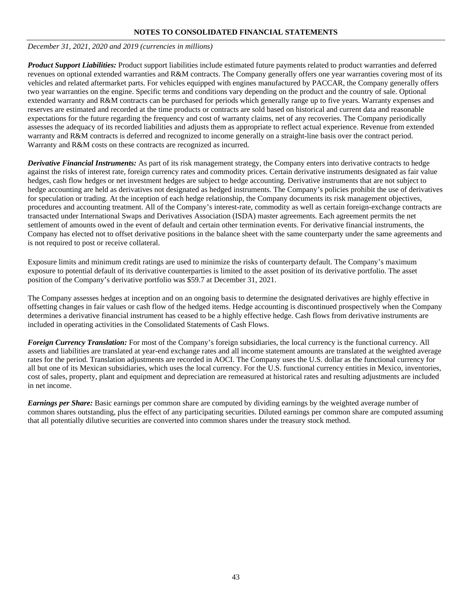#### *December 31, 2021, 2020 and 2019 (currencies in millions)*

*Product Support Liabilities:* Product support liabilities include estimated future payments related to product warranties and deferred revenues on optional extended warranties and R&M contracts. The Company generally offers one year warranties covering most of its vehicles and related aftermarket parts. For vehicles equipped with engines manufactured by PACCAR, the Company generally offers two year warranties on the engine. Specific terms and conditions vary depending on the product and the country of sale. Optional extended warranty and R&M contracts can be purchased for periods which generally range up to five years. Warranty expenses and reserves are estimated and recorded at the time products or contracts are sold based on historical and current data and reasonable expectations for the future regarding the frequency and cost of warranty claims, net of any recoveries. The Company periodically assesses the adequacy of its recorded liabilities and adjusts them as appropriate to reflect actual experience. Revenue from extended warranty and R&M contracts is deferred and recognized to income generally on a straight-line basis over the contract period. Warranty and R&M costs on these contracts are recognized as incurred.

*Derivative Financial Instruments:* As part of its risk management strategy, the Company enters into derivative contracts to hedge against the risks of interest rate, foreign currency rates and commodity prices. Certain derivative instruments designated as fair value hedges, cash flow hedges or net investment hedges are subject to hedge accounting. Derivative instruments that are not subject to hedge accounting are held as derivatives not designated as hedged instruments. The Company's policies prohibit the use of derivatives for speculation or trading. At the inception of each hedge relationship, the Company documents its risk management objectives, procedures and accounting treatment. All of the Company's interest-rate, commodity as well as certain foreign-exchange contracts are transacted under International Swaps and Derivatives Association (ISDA) master agreements. Each agreement permits the net settlement of amounts owed in the event of default and certain other termination events. For derivative financial instruments, the Company has elected not to offset derivative positions in the balance sheet with the same counterparty under the same agreements and is not required to post or receive collateral.

Exposure limits and minimum credit ratings are used to minimize the risks of counterparty default. The Company's maximum exposure to potential default of its derivative counterparties is limited to the asset position of its derivative portfolio. The asset position of the Company's derivative portfolio was \$59.7 at December 31, 2021.

The Company assesses hedges at inception and on an ongoing basis to determine the designated derivatives are highly effective in offsetting changes in fair values or cash flow of the hedged items. Hedge accounting is discontinued prospectively when the Company determines a derivative financial instrument has ceased to be a highly effective hedge. Cash flows from derivative instruments are included in operating activities in the Consolidated Statements of Cash Flows.

*Foreign Currency Translation:* For most of the Company's foreign subsidiaries, the local currency is the functional currency. All assets and liabilities are translated at year-end exchange rates and all income statement amounts are translated at the weighted average rates for the period. Translation adjustments are recorded in AOCI. The Company uses the U.S. dollar as the functional currency for all but one of its Mexican subsidiaries, which uses the local currency. For the U.S. functional currency entities in Mexico, inventories, cost of sales, property, plant and equipment and depreciation are remeasured at historical rates and resulting adjustments are included in net income.

*Earnings per Share:* Basic earnings per common share are computed by dividing earnings by the weighted average number of common shares outstanding, plus the effect of any participating securities. Diluted earnings per common share are computed assuming that all potentially dilutive securities are converted into common shares under the treasury stock method.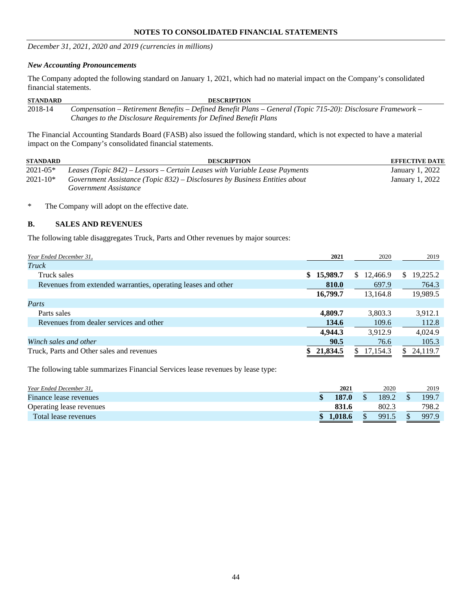*December 31, 2021, 2020 and 2019 (currencies in millions)*

### *New Accounting Pronouncements*

The Company adopted the following standard on January 1, 2021, which had no material impact on the Company's consolidated financial statements.

**STANDARD DESCRIPTION**

2018-14 *Compensation – Retirement Benefits – Defined Benefit Plans – General (Topic 715-20): Disclosure Framework – Changes to the Disclosure Requirements for Defined Benefit Plans*

The Financial Accounting Standards Board (FASB) also issued the following standard, which is not expected to have a material impact on the Company's consolidated financial statements.

| <b>STANDARD</b> | <b>DESCRIPTION</b>                                                            | <b>EFFECTIVE DATE</b> |
|-----------------|-------------------------------------------------------------------------------|-----------------------|
| $2021 - 05*$    | Leases (Topic 842) – Lessors – Certain Leases with Variable Lease Payments    | January 1, 2022       |
| $2021 - 10*$    | Government Assistance (Topic $832$ ) – Disclosures by Business Entities about | January 1, 2022       |
|                 | Government Assistance                                                         |                       |

\* The Company will adopt on the effective date.

# **B. SALES AND REVENUES**

The following table disaggregates Truck, Parts and Other revenues by major sources:

| Year Ended December 31,                                       | 2021            | 2020           | 2019           |
|---------------------------------------------------------------|-----------------|----------------|----------------|
| Truck                                                         |                 |                |                |
| Truck sales                                                   | 15,989.7<br>\$  | 12,466.9<br>S. | 19,225.2<br>S. |
| Revenues from extended warranties, operating leases and other | 810.0           | 697.9          | 764.3          |
|                                                               | 16,799.7        | 13,164.8       | 19,989.5       |
| Parts                                                         |                 |                |                |
| Parts sales                                                   | 4,809.7         | 3,803.3        | 3,912.1        |
| Revenues from dealer services and other                       | 134.6           | 109.6          | 112.8          |
|                                                               | 4,944.3         | 3.912.9        | 4,024.9        |
| Winch sales and other                                         | 90.5            | 76.6           | 105.3          |
| Truck, Parts and Other sales and revenues                     | 21,834.5<br>SS. | 17,154.3       | 24,119.7       |

The following table summarizes Financial Services lease revenues by lease type:

| Year Ended December 31,  | 2021    | 2020  | 2019  |
|--------------------------|---------|-------|-------|
| Finance lease revenues   | 187.0   | 189.2 | 199.7 |
| Operating lease revenues | 831.6   | 802.3 | 798.2 |
| Total lease revenues     | 1.018.6 | 991.  | 997.9 |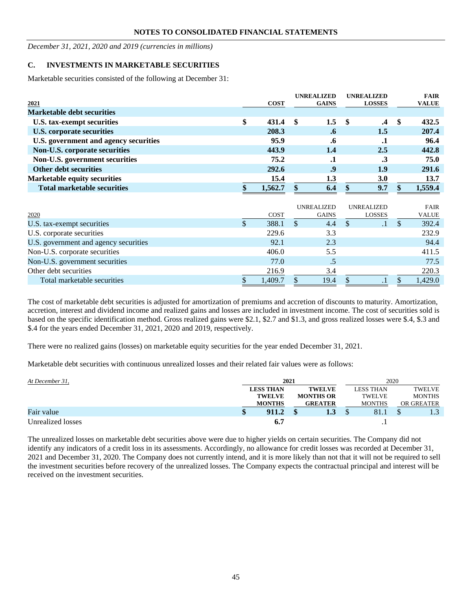# **C. INVESTMENTS IN MARKETABLE SECURITIES**

Marketable securities consisted of the following at December 31:

|                                       |             | <b>UNREALIZED</b>   | <b>UNREALIZED</b>          |               | <b>FAIR</b>  |
|---------------------------------------|-------------|---------------------|----------------------------|---------------|--------------|
| 2021                                  | <b>COST</b> | <b>GAINS</b>        | <b>LOSSES</b>              |               | <b>VALUE</b> |
| <b>Marketable debt securities</b>     |             |                     |                            |               |              |
| U.S. tax-exempt securities            | \$<br>431.4 | 1.5<br>\$           | - \$<br>$\cdot$ 4          | \$            | 432.5        |
| U.S. corporate securities             | 208.3       | $\cdot$ 6           | 1.5                        |               | 207.4        |
| U.S. government and agency securities | 95.9        | .6                  | .1                         |               | 96.4         |
| <b>Non-U.S. corporate securities</b>  | 443.9       | 1.4                 | 2.5                        |               | 442.8        |
| Non-U.S. government securities        | 75.2        | $\cdot$             | $\cdot$ 3                  |               | 75.0         |
| Other debt securities                 | 292.6       | .9                  | 1.9                        |               | 291.6        |
| <b>Marketable equity securities</b>   | 15.4        | 1.3                 | 3.0                        |               | 13.7         |
| <b>Total marketable securities</b>    | 1,562.7     | 6.4<br>\$           | \$<br>9.7                  |               | 1,559.4      |
|                                       |             |                     |                            |               |              |
|                                       |             | <b>UNREALIZED</b>   | <b>UNREALIZED</b>          |               | <b>FAIR</b>  |
| 2020                                  | COST        | <b>GAINS</b>        | <b>LOSSES</b>              |               | VALUE        |
| U.S. tax-exempt securities            | \$<br>388.1 | $\mathbb{S}$<br>4.4 | $\mathcal{S}$<br>$\cdot$ 1 | <sup>\$</sup> | 392.4        |
| U.S. corporate securities             | 229.6       | 3.3                 |                            |               | 232.9        |
| U.S. government and agency securities | 92.1        | 2.3                 |                            |               | 94.4         |
| Non-U.S. corporate securities         | 406.0       | 5.5                 |                            |               | 411.5        |
| Non-U.S. government securities        | 77.0        | .5                  |                            |               | 77.5         |
| Other debt securities                 | 216.9       | 3.4                 |                            |               | 220.3        |
| Total marketable securities           | 1,409.7     | \$<br>19.4          | \$<br>$\cdot$ 1            | $\mathbb{S}$  | 1,429.0      |

The cost of marketable debt securities is adjusted for amortization of premiums and accretion of discounts to maturity. Amortization, accretion, interest and dividend income and realized gains and losses are included in investment income. The cost of securities sold is based on the specific identification method. Gross realized gains were \$2.1, \$2.7 and \$1.3, and gross realized losses were \$.4, \$.3 and \$.4 for the years ended December 31, 2021, 2020 and 2019, respectively.

There were no realized gains (losses) on marketable equity securities for the year ended December 31, 2021.

Marketable debt securities with continuous unrealized losses and their related fair values were as follows:

| At December 31.   | 2021             |    |                  |  |                  |  | 2020          |  |
|-------------------|------------------|----|------------------|--|------------------|--|---------------|--|
|                   | <b>LESS THAN</b> |    | <b>TWELVE</b>    |  | <b>LESS THAN</b> |  | <b>TWELVE</b> |  |
|                   | <b>TWELVE</b>    |    | <b>MONTHS OR</b> |  | <b>TWELVE</b>    |  | <b>MONTHS</b> |  |
|                   | <b>MONTHS</b>    |    | <b>GREATER</b>   |  | <b>MONTHS</b>    |  | OR GREATER    |  |
| Fair value        | 911.2            | \$ | 1.3              |  | 81.1             |  | ر. د          |  |
| Unrealized losses | -6.7             |    |                  |  |                  |  |               |  |

The unrealized losses on marketable debt securities above were due to higher yields on certain securities. The Company did not identify any indicators of a credit loss in its assessments. Accordingly, no allowance for credit losses was recorded at December 31, 2021 and December 31, 2020. The Company does not currently intend, and it is more likely than not that it will not be required to sell the investment securities before recovery of the unrealized losses. The Company expects the contractual principal and interest will be received on the investment securities.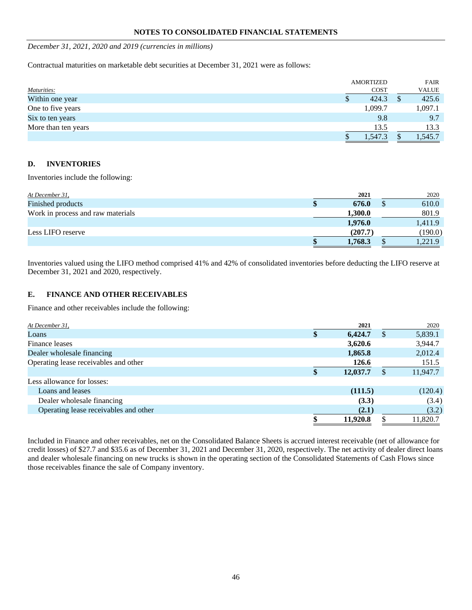# Contractual maturities on marketable debt securities at December 31, 2021 were as follows:

|                     |   | <b>AMORTIZED</b> | FAIR         |
|---------------------|---|------------------|--------------|
| Maturities:         |   | <b>COST</b>      | <b>VALUE</b> |
| Within one year     | D | 424.3            | 425.6        |
| One to five years   |   | 1,099.7          | 1,097.1      |
| Six to ten years    |   | 9.8              | 9.7          |
| More than ten years |   | 13.5             | 13.3         |
|                     |   | 1,547.3          | 1,545.7      |

## **D. INVENTORIES**

Inventories include the following:

| At December 31,                   | 2021    | 2020    |
|-----------------------------------|---------|---------|
| Finished products                 | 676.0   | 610.0   |
| Work in process and raw materials | 1,300.0 | 801.9   |
|                                   | 1,976.0 | 1,411.9 |
| Less LIFO reserve                 | (207.7) | (190.0) |
|                                   | 1,768.3 | .221.9  |

Inventories valued using the LIFO method comprised 41% and 42% of consolidated inventories before deducting the LIFO reserve at December 31, 2021 and 2020, respectively.

# **E. FINANCE AND OTHER RECEIVABLES**

Finance and other receivables include the following:

| At December 31,                       | 2021           |              | 2020     |
|---------------------------------------|----------------|--------------|----------|
| Loans                                 | \$<br>6,424.7  | $\mathbb{S}$ | 5,839.1  |
| Finance leases                        | 3,620.6        |              | 3,944.7  |
| Dealer wholesale financing            | 1,865.8        |              | 2,012.4  |
| Operating lease receivables and other | 126.6          |              | 151.5    |
|                                       | \$<br>12,037.7 | \$           | 11,947.7 |
| Less allowance for losses:            |                |              |          |
| Loans and leases                      | (111.5)        |              | (120.4)  |
| Dealer wholesale financing            | (3.3)          |              | (3.4)    |
| Operating lease receivables and other | (2.1)          |              | (3.2)    |
|                                       | 11,920.8       |              | 11,820.7 |

Included in Finance and other receivables, net on the Consolidated Balance Sheets is accrued interest receivable (net of allowance for credit losses) of \$27.7 and \$35.6 as of December 31, 2021 and December 31, 2020, respectively. The net activity of dealer direct loans and dealer wholesale financing on new trucks is shown in the operating section of the Consolidated Statements of Cash Flows since those receivables finance the sale of Company inventory.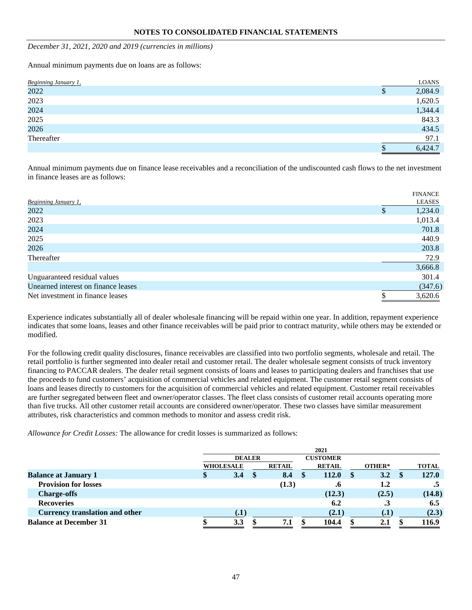Annual minimum payments due on loans are as follows:

| <b>Beginning January 1.</b> | <b>LOANS</b>  |
|-----------------------------|---------------|
| 2022                        | \$<br>2,084.9 |
| 2023                        | 1,620.5       |
| 2024                        | 1,344.4       |
| 2025                        | 843.3         |
| 2026                        | 434.5         |
| Thereafter                  | 97.1          |
|                             | \$<br>6,424.7 |

Annual minimum payments due on finance lease receivables and a reconciliation of the undiscounted cash flows to the net investment in finance leases are as follows:

|                                     | <b>FINANCE</b> |
|-------------------------------------|----------------|
| Beginning January 1,                | <b>LEASES</b>  |
| 2022                                | \$<br>1,234.0  |
| 2023                                | 1,013.4        |
| 2024                                | 701.8          |
| 2025                                | 440.9          |
| 2026                                | 203.8          |
| Thereafter                          | 72.9           |
|                                     | 3,666.8        |
| Unguaranteed residual values        | 301.4          |
| Unearned interest on finance leases | (347.6)        |
| Net investment in finance leases    | \$<br>3,620.6  |

Experience indicates substantially all of dealer wholesale financing will be repaid within one year. In addition, repayment experience indicates that some loans, leases and other finance receivables will be paid prior to contract maturity, while others may be extended or modified.

For the following credit quality disclosures, finance receivables are classified into two portfolio segments, wholesale and retail. The retail portfolio is further segmented into dealer retail and customer retail. The dealer wholesale segment consists of truck inventory financing to PACCAR dealers. The dealer retail segment consists of loans and leases to participating dealers and franchises that use the proceeds to fund customers' acquisition of commercial vehicles and related equipment. The customer retail segment consists of loans and leases directly to customers for the acquisition of commercial vehicles and related equipment. Customer retail receivables are further segregated between fleet and owner/operator classes. The fleet class consists of customer retail accounts operating more than five trucks. All other customer retail accounts are considered owner/operator. These two classes have similar measurement attributes, risk characteristics and common methods to monitor and assess credit risk.

*Allowance for Credit Losses:* The allowance for credit losses is summarized as follows:

|                                       |                  |     |               | 2021            |    |        |              |
|---------------------------------------|------------------|-----|---------------|-----------------|----|--------|--------------|
|                                       | <b>DEALER</b>    |     |               | <b>CUSTOMER</b> |    |        |              |
|                                       | <b>WHOLESALE</b> |     | <b>RETAIL</b> | <b>RETAIL</b>   |    | OTHER* | <b>TOTAL</b> |
| <b>Balance at January 1</b>           | \$<br>3.4        | \$. | 8.4           | 112.0           | -S | 3.2    | 127.0        |
| <b>Provision for losses</b>           |                  |     | (1.3)         | .0              |    | 1.2    | .5           |
| <b>Charge-offs</b>                    |                  |     |               | (12.3)          |    | (2.5)  | (14.8)       |
| <b>Recoveries</b>                     |                  |     |               | 6.2             |    | .3     | 6.5          |
| <b>Currency translation and other</b> | (.1)             |     |               | (2.1)           |    | (.1)   | (2.3)        |
| <b>Balance at December 31</b>         | 3.3              |     | 7.1           | 104.4           |    | 2.1    | 116.9        |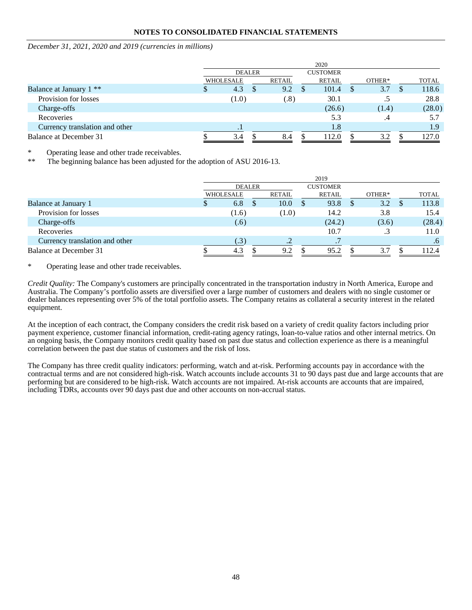# *December 31, 2021, 2020 and 2019 (currencies in millions)*

|                                |                  |               |               | 2020            |          |        |              |
|--------------------------------|------------------|---------------|---------------|-----------------|----------|--------|--------------|
|                                |                  | <b>DEALER</b> |               | <b>CUSTOMER</b> |          |        |              |
|                                | <b>WHOLESALE</b> |               | <b>RETAIL</b> | <b>RETAIL</b>   |          | OTHER* | <b>TOTAL</b> |
| Balance at January 1 **        | 4.3              |               | 9.2           | 101.4           | <b>S</b> | 3.7    | 118.6        |
| Provision for losses           | (1.0)            |               | (0.8)         | 30.1            |          | ت      | 28.8         |
| Charge-offs                    |                  |               |               | (26.6)          |          | (1.4)  | (28.0)       |
| Recoveries                     |                  |               |               | 5.3             |          |        | 5.7          |
| Currency translation and other | $\cdot$ 1        |               |               | 1.8             |          |        | 1.9          |
| Balance at December 31         | 3.4              |               | 8.4           | 12.0            |          | 3.2    | 127.0        |

Operating lease and other trade receivables.

\*\* The beginning balance has been adjusted for the adoption of ASU 2016-13.

|                                |   |                  |    |        | 2019            |               |        |         |
|--------------------------------|---|------------------|----|--------|-----------------|---------------|--------|---------|
|                                |   | <b>DEALER</b>    |    |        | <b>CUSTOMER</b> |               |        |         |
|                                |   | <b>WHOLESALE</b> |    | RETAIL | <b>RETAIL</b>   |               | OTHER* | TOTAL   |
| <b>Balance at January 1</b>    | D | 6.8              | -S | 10.0   | 93.8            | <sup>\$</sup> | 3.2    | 113.8   |
| Provision for losses           |   | (1.6)            |    | (1.0)  | 14.2            |               | 3.8    | 15.4    |
| Charge-offs                    |   | (.6)             |    |        | (24.2)          |               | (3.6)  | (28.4)  |
| Recoveries                     |   |                  |    |        | 10.7            |               |        | 11.0    |
| Currency translation and other |   | (.3)             |    |        | .7              |               |        | $\cdot$ |
| Balance at December 31         |   | 4.3              |    | 9.2    | 95.2            |               | 3.7    | 112.4   |

\* Operating lease and other trade receivables.

*Credit Quality:* The Company's customers are principally concentrated in the transportation industry in North America, Europe and Australia. The Company's portfolio assets are diversified over a large number of customers and dealers with no single customer or dealer balances representing over 5% of the total portfolio assets. The Company retains as collateral a security interest in the related equipment.

At the inception of each contract, the Company considers the credit risk based on a variety of credit quality factors including prior payment experience, customer financial information, credit-rating agency ratings, loan-to-value ratios and other internal metrics. On an ongoing basis, the Company monitors credit quality based on past due status and collection experience as there is a meaningful correlation between the past due status of customers and the risk of loss.

The Company has three credit quality indicators: performing, watch and at-risk. Performing accounts pay in accordance with the contractual terms and are not considered high-risk. Watch accounts include accounts 31 to 90 days past due and large accounts that are performing but are considered to be high-risk. Watch accounts are not impaired. At-risk accounts are accounts that are impaired, including TDRs, accounts over 90 days past due and other accounts on non-accrual status.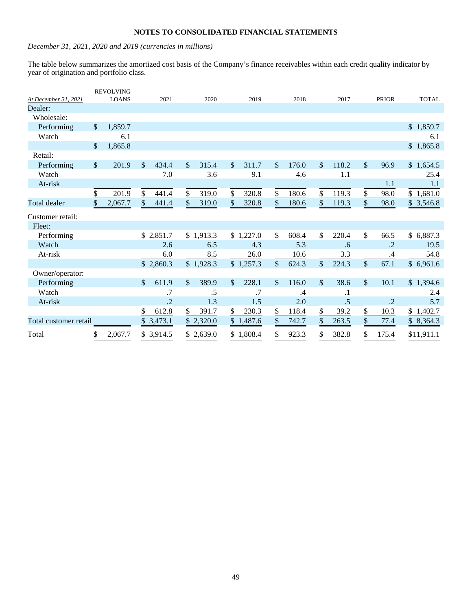The table below summarizes the amortized cost basis of the Company's finance receivables within each credit quality indicator by year of origination and portfolio class.

|                       | <b>REVOLVING</b> |               |           |               |           |               |               |       |               |         |               |              |               |
|-----------------------|------------------|---------------|-----------|---------------|-----------|---------------|---------------|-------|---------------|---------|---------------|--------------|---------------|
| At December 31, 2021  | <b>LOANS</b>     |               | 2021      |               | 2020      | 2019          |               | 2018  |               | 2017    |               | <b>PRIOR</b> | <b>TOTAL</b>  |
| Dealer:               |                  |               |           |               |           |               |               |       |               |         |               |              |               |
| Wholesale:            |                  |               |           |               |           |               |               |       |               |         |               |              |               |
| Performing            | \$<br>1,859.7    |               |           |               |           |               |               |       |               |         |               |              | \$1,859.7     |
| Watch                 | 6.1              |               |           |               |           |               |               |       |               |         |               |              | 6.1           |
|                       | \$<br>1,865.8    |               |           |               |           |               |               |       |               |         |               |              | \$1,865.8     |
| Retail:               |                  |               |           |               |           |               |               |       |               |         |               |              |               |
| Performing            | \$<br>201.9      | \$            | 434.4     | $\mathcal{S}$ | 315.4     | \$<br>311.7   | <sup>\$</sup> | 176.0 | $\mathcal{S}$ | 118.2   | $\mathcal{S}$ | 96.9         | \$1,654.5     |
| Watch                 |                  |               | 7.0       |               | 3.6       | 9.1           |               | 4.6   |               | 1.1     |               |              | 25.4          |
| At-risk               |                  |               |           |               |           |               |               |       |               |         |               | 1.1          | 1.1           |
|                       | \$<br>201.9      | \$            | 441.4     | \$            | 319.0     | \$<br>320.8   | \$            | 180.6 | \$            | 119.3   | \$            | 98.0         | \$<br>1,681.0 |
| Total dealer          | \$<br>2,067.7    | \$            | 441.4     | \$            | 319.0     | \$<br>320.8   | \$            | 180.6 | \$            | 119.3   | \$            | 98.0         | \$3,546.8     |
| Customer retail:      |                  |               |           |               |           |               |               |       |               |         |               |              |               |
| Fleet:                |                  |               |           |               |           |               |               |       |               |         |               |              |               |
| Performing            |                  |               | \$2,851.7 |               | \$1,913.3 | \$1,227.0     | \$.           | 608.4 | \$            | 220.4   | \$            | 66.5         | \$6,887.3     |
| Watch                 |                  |               | 2.6       |               | 6.5       | 4.3           |               | 5.3   |               | .6      |               | $\cdot$ .2   | 19.5          |
| At-risk               |                  |               | 6.0       |               | 8.5       | 26.0          |               | 10.6  |               | 3.3     |               | $\cdot$ 4    | 54.8          |
|                       |                  |               | \$2,860.3 |               | \$1,928.3 | \$1,257.3     | $\mathcal{S}$ | 624.3 | $\mathcal{S}$ | 224.3   | $\mathcal{S}$ | 67.1         | \$6,961.6     |
| Owner/operator:       |                  |               |           |               |           |               |               |       |               |         |               |              |               |
| Performing            |                  | $\mathcal{S}$ | 611.9     | \$            | 389.9     | \$<br>228.1   | $\mathcal{S}$ | 116.0 | $\mathbb{S}$  | 38.6    | $\mathbb{S}$  | 10.1         | \$1,394.6     |
| Watch                 |                  |               | .7        |               | .5        | .7            |               | .4    |               | $\cdot$ |               |              | 2.4           |
| At-risk               |                  |               | $\cdot$   |               | 1.3       | 1.5           |               | 2.0   |               | .5      |               | $\cdot$      | 5.7           |
|                       |                  | \$            | 612.8     | \$            | 391.7     | \$<br>230.3   | \$            | 118.4 | \$            | 39.2    | \$            | 10.3         | \$<br>1,402.7 |
| Total customer retail |                  | \$            | 3,473.1   | \$            | 2,320.0   | \$<br>1,487.6 | \$            | 742.7 | \$            | 263.5   | \$            | 77.4         | \$<br>8,364.3 |
| Total                 | \$<br>2,067.7    |               | \$3,914.5 | \$            | 2,639.0   | \$<br>1,808.4 | \$            | 923.3 |               | 382.8   |               | 175.4        | \$11,911.1    |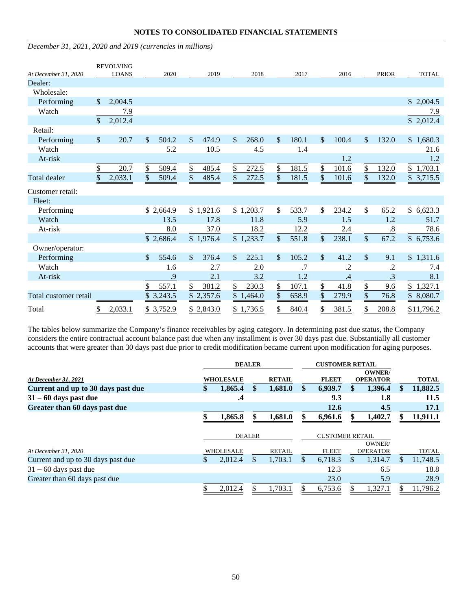*December 31, 2021, 2020 and 2019 (currencies in millions)*

|                       |               | <b>REVOLVING</b> |               |           |               |           |               |           |               |       |               |         |               |              |               |
|-----------------------|---------------|------------------|---------------|-----------|---------------|-----------|---------------|-----------|---------------|-------|---------------|---------|---------------|--------------|---------------|
| At December 31, 2020  |               | <b>LOANS</b>     |               | 2020      |               | 2019      |               | 2018      |               | 2017  |               | 2016    |               | <b>PRIOR</b> | <b>TOTAL</b>  |
| Dealer:               |               |                  |               |           |               |           |               |           |               |       |               |         |               |              |               |
| Wholesale:            |               |                  |               |           |               |           |               |           |               |       |               |         |               |              |               |
| Performing            | $\mathbb{S}$  | 2,004.5          |               |           |               |           |               |           |               |       |               |         |               |              | \$2,004.5     |
| Watch                 |               | 7.9              |               |           |               |           |               |           |               |       |               |         |               |              | 7.9           |
|                       | $\mathcal{S}$ | 2,012.4          |               |           |               |           |               |           |               |       |               |         |               |              | \$2,012.4     |
| Retail:               |               |                  |               |           |               |           |               |           |               |       |               |         |               |              |               |
| Performing            | $\mathbb{S}$  | 20.7             | $\mathcal{S}$ | 504.2     | \$            | 474.9     | \$            | 268.0     | \$            | 180.1 | \$            | 100.4   | $\mathcal{S}$ | 132.0        | \$1,680.3     |
| Watch                 |               |                  |               | 5.2       |               | 10.5      |               | 4.5       |               | 1.4   |               |         |               |              | 21.6          |
| At-risk               |               |                  |               |           |               |           |               |           |               |       |               | 1.2     |               |              | 1.2           |
|                       | \$            | 20.7             | \$            | 509.4     | \$            | 485.4     | \$            | 272.5     | \$            | 181.5 | \$            | 101.6   | \$            | 132.0        | \$1,703.1     |
| <b>Total dealer</b>   | \$            | 2,033.1          | \$            | 509.4     | \$            | 485.4     | \$            | 272.5     | \$            | 181.5 | \$            | 101.6   | \$            | 132.0        | \$3,715.5     |
| Customer retail:      |               |                  |               |           |               |           |               |           |               |       |               |         |               |              |               |
| Fleet:                |               |                  |               |           |               |           |               |           |               |       |               |         |               |              |               |
| Performing            |               |                  |               | \$2,664.9 |               | \$1,921.6 |               | \$1,203.7 | \$            | 533.7 | \$            | 234.2   | \$            | 65.2         | \$6,623.3     |
| Watch                 |               |                  |               | 13.5      |               | 17.8      |               | 11.8      |               | 5.9   |               | 1.5     |               | 1.2          | 51.7          |
| At-risk               |               |                  |               | 8.0       |               | 37.0      |               | 18.2      |               | 12.2  |               | 2.4     |               | .8           | 78.6          |
|                       |               |                  |               | \$2,686.4 |               | \$1,976.4 |               | \$1,233.7 | $\mathcal{S}$ | 551.8 | $\mathbb{S}$  | 238.1   | \$            | 67.2         | \$6,753.6     |
| Owner/operator:       |               |                  |               |           |               |           |               |           |               |       |               |         |               |              |               |
| Performing            |               |                  | $\mathcal{S}$ | 554.6     | $\mathcal{S}$ | 376.4     | $\mathcal{S}$ | 225.1     | \$            | 105.2 | <sup>\$</sup> | 41.2    | $\mathcal{S}$ | 9.1          | \$1,311.6     |
| Watch                 |               |                  |               | 1.6       |               | 2.7       |               | 2.0       |               | .7    |               | .2      |               | $\cdot$      | 7.4           |
| At-risk               |               |                  |               | .9        |               | 2.1       |               | 3.2       |               | 1.2   |               | $\cdot$ |               | .3           | 8.1           |
|                       |               |                  | \$            | 557.1     | \$            | 381.2     | \$            | 230.3     | \$            | 107.1 | \$            | 41.8    | \$            | 9.6          | \$1,327.1     |
| Total customer retail |               |                  | \$            | 3,243.5   | \$            | 2,357.6   |               | 1,464.0   | \$            | 658.9 | \$            | 279.9   | \$            | 76.8         | \$<br>8,080.7 |
| Total                 | \$            | 2,033.1          |               | \$3,752.9 | \$            | 2,843.0   |               | \$1,736.5 | \$            | 840.4 | \$            | 381.5   |               | 208.8        | \$11,796.2    |

The tables below summarize the Company's finance receivables by aging category. In determining past due status, the Company considers the entire contractual account balance past due when any installment is over 30 days past due. Substantially all customer accounts that were greater than 30 days past due prior to credit modification became current upon modification for aging purposes.

|                                    | <b>DEALER</b>    |               |               | <b>CUSTOMER RETAIL</b> |                        |    |                 |     |              |
|------------------------------------|------------------|---------------|---------------|------------------------|------------------------|----|-----------------|-----|--------------|
|                                    |                  |               |               |                        |                        |    | OWNER/          |     |              |
| At December 31, 2021               | <b>WHOLESALE</b> |               | <b>RETAIL</b> |                        | <b>FLEET</b>           |    | <b>OPERATOR</b> |     | <b>TOTAL</b> |
| Current and up to 30 days past due | \$<br>1,865.4    |               | 1,681.0       | \$.                    | 6.939.7                | S  | 1,396.4         | \$. | 11,882.5     |
| $31 - 60$ days past due            | .4               |               |               |                        | 9.3                    |    | 1.8             |     | 11.5         |
| Greater than 60 days past due      |                  |               |               |                        | 12.6                   |    | 4.5             |     | <b>17.1</b>  |
|                                    | 1,865.8          |               | 1,681.0       |                        | 6,961.6                |    | 1,402.7         |     | 11,911.1     |
|                                    |                  | <b>DEALER</b> |               |                        | <b>CUSTOMER RETAIL</b> |    |                 |     |              |
|                                    |                  |               |               |                        |                        |    | OWNER/          |     |              |
| At December 31, 2020               | <b>WHOLESALE</b> |               | <b>RETAIL</b> |                        | <b>FLEET</b>           |    | <b>OPERATOR</b> |     | <b>TOTAL</b> |
| Current and up to 30 days past due | \$<br>2,012.4    | \$.           | 1,703.1       | S                      | 6,718.3                | S. | 1,314.7         | S   | 11,748.5     |
| $31 - 60$ days past due            |                  |               |               |                        | 12.3                   |    | 6.5             |     | 18.8         |
| Greater than 60 days past due      |                  |               |               |                        | 23.0                   |    | 5.9             |     | 28.9         |
|                                    | \$<br>2.012.4    |               | 1.703.1       |                        | 6,753.6                |    | 1.327.1         |     | 11.796.2     |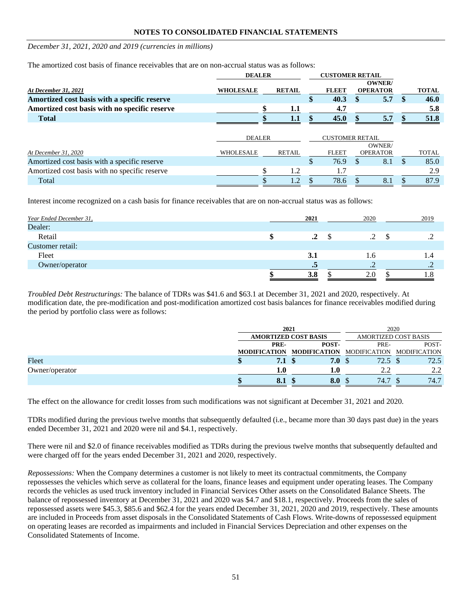The amortized cost basis of finance receivables that are on non-accrual status was as follows:

|                                               | <b>DEALER</b>    |    |               | <b>CUSTOMER RETAIL</b> |                        |          |                 |          |              |
|-----------------------------------------------|------------------|----|---------------|------------------------|------------------------|----------|-----------------|----------|--------------|
|                                               |                  |    |               |                        |                        |          | <b>OWNER</b>    |          |              |
| At December 31, 2021                          | <b>WHOLESALE</b> |    | <b>RETAIL</b> |                        | <b>FLEET</b>           |          | <b>OPERATOR</b> |          | <b>TOTAL</b> |
| Amortized cost basis with a specific reserve  |                  |    |               | S                      | 40.3                   | S        | 5.7             | <b>S</b> | 46.0         |
| Amortized cost basis with no specific reserve |                  | \$ | 1.1           |                        | 4.7                    |          |                 |          | 5.8          |
| <b>Total</b>                                  |                  |    | 1.1           |                        | 45.0                   |          | 5.7             |          | 51.8         |
|                                               |                  |    |               |                        |                        |          |                 |          |              |
|                                               | <b>DEALER</b>    |    |               |                        | <b>CUSTOMER RETAIL</b> |          |                 |          |              |
|                                               |                  |    |               |                        |                        |          | OWNER/          |          |              |
| At December 31, 2020                          | <b>WHOLESALE</b> |    | <b>RETAIL</b> |                        | <b>FLEET</b>           |          | <b>OPERATOR</b> |          | <b>TOTAL</b> |
| Amortized cost basis with a specific reserve  |                  |    |               | ъĐ                     | 76.9                   | <b>S</b> | 8.1             |          | 85.0         |
| Amortized cost basis with no specific reserve |                  |    | 1.2           |                        | 1.7                    |          |                 |          | 2.9          |
| Total                                         |                  |    | 1.2           |                        | 78.6                   |          | 8.1             |          | 87.9         |

Interest income recognized on a cash basis for finance receivables that are on non-accrual status was as follows:

| Year Ended December 31, | 2021                 | 2020    | 2019    |
|-------------------------|----------------------|---------|---------|
| Dealer:                 |                      |         |         |
| Retail                  | $\cdot$ <sup>2</sup> | ت       |         |
| Customer retail:        |                      |         |         |
| Fleet                   | 3.1                  | 1.0     |         |
| Owner/operator          | $\bullet$            | $\cdot$ | $\cdot$ |
|                         | <b>3.8</b>           | 2.0     |         |

*Troubled Debt Restructurings:* The balance of TDRs was \$41.6 and \$63.1 at December 31, 2021 and 2020, respectively. At modification date, the pre-modification and post-modification amortized cost basis balances for finance receivables modified during the period by portfolio class were as follows:

|                | 2021                        |     |                     |                     | 2020                 |  |
|----------------|-----------------------------|-----|---------------------|---------------------|----------------------|--|
|                | <b>AMORTIZED COST BASIS</b> |     |                     |                     | AMORTIZED COST BASIS |  |
|                | POST-<br>PRE-               |     |                     | PRE-                | POST-                |  |
|                | <b>MODIFICATION</b>         |     | <b>MODIFICATION</b> | <b>MODIFICATION</b> | MODIFICATION         |  |
| Fleet          |                             | 7.1 | 7.0                 | 72.5                | 72.5                 |  |
| Owner/operator |                             |     |                     | 2.2                 | 2.2                  |  |
|                |                             | 8.1 | 8.0                 | 74.7                | 74.7                 |  |

The effect on the allowance for credit losses from such modifications was not significant at December 31, 2021 and 2020.

TDRs modified during the previous twelve months that subsequently defaulted (i.e., became more than 30 days past due) in the years ended December 31, 2021 and 2020 were nil and \$4.1, respectively.

There were nil and \$2.0 of finance receivables modified as TDRs during the previous twelve months that subsequently defaulted and were charged off for the years ended December 31, 2021 and 2020, respectively.

*Repossessions:* When the Company determines a customer is not likely to meet its contractual commitments, the Company repossesses the vehicles which serve as collateral for the loans, finance leases and equipment under operating leases. The Company records the vehicles as used truck inventory included in Financial Services Other assets on the Consolidated Balance Sheets. The balance of repossessed inventory at December 31, 2021 and 2020 was \$4.7 and \$18.1, respectively. Proceeds from the sales of repossessed assets were \$45.3, \$85.6 and \$62.4 for the years ended December 31, 2021, 2020 and 2019, respectively. These amounts are included in Proceeds from asset disposals in the Consolidated Statements of Cash Flows. Write-downs of repossessed equipment on operating leases are recorded as impairments and included in Financial Services Depreciation and other expenses on the Consolidated Statements of Income.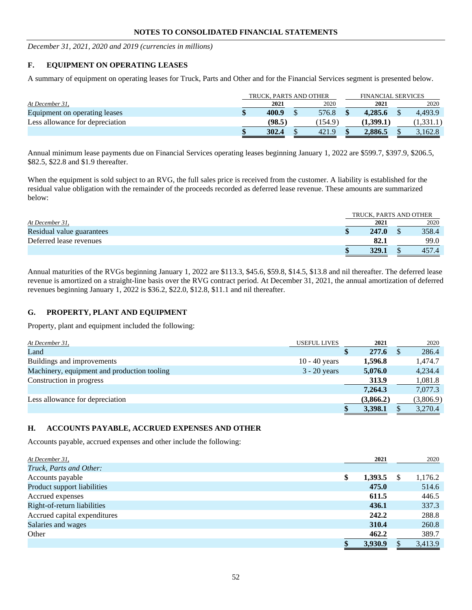## **F. EQUIPMENT ON OPERATING LEASES**

A summary of equipment on operating leases for Truck, Parts and Other and for the Financial Services segment is presented below.

|                                 | TRUCK. PARTS AND OTHER |        |  |        |  |          | <b>FINANCIAL SERVICES</b> |          |  |
|---------------------------------|------------------------|--------|--|--------|--|----------|---------------------------|----------|--|
| At December 31.                 |                        | 2021   |  | 2020   |  | 2021     |                           | 2020     |  |
| Equipment on operating leases   |                        | 400.9  |  | 576.8  |  | 4.285.6  |                           | 4.493.9  |  |
| Less allowance for depreciation |                        | (98.5) |  | 154.9) |  | (1.399.1 |                           | 1,331.1) |  |
|                                 |                        | 302.4  |  | 421.9  |  | 2,886.5  |                           | 3.162.8  |  |

Annual minimum lease payments due on Financial Services operating leases beginning January 1, 2022 are \$599.7, \$397.9, \$206.5, \$82.5, \$22.8 and \$1.9 thereafter.

When the equipment is sold subject to an RVG, the full sales price is received from the customer. A liability is established for the residual value obligation with the remainder of the proceeds recorded as deferred lease revenue. These amounts are summarized below:

|                           | TRUCK, PARTS AND OTHER |       |  |  |  |  |
|---------------------------|------------------------|-------|--|--|--|--|
| At December 31,           | 2021                   | 2020  |  |  |  |  |
| Residual value guarantees | 247.0                  | 358.4 |  |  |  |  |
| Deferred lease revenues   | 82.1                   | 99.0  |  |  |  |  |
|                           | 329.1                  | 457.4 |  |  |  |  |

Annual maturities of the RVGs beginning January 1, 2022 are \$113.3, \$45.6, \$59.8, \$14.5, \$13.8 and nil thereafter. The deferred lease revenue is amortized on a straight-line basis over the RVG contract period. At December 31, 2021, the annual amortization of deferred revenues beginning January 1, 2022 is \$36.2, \$22.0, \$12.8, \$11.1 and nil thereafter.

## **G. PROPERTY, PLANT AND EQUIPMENT**

Property, plant and equipment included the following:

| At December 31,                             | <b>USEFUL LIVES</b> | 2021      | 2020      |
|---------------------------------------------|---------------------|-----------|-----------|
| Land                                        |                     | 277.6     | 286.4     |
| Buildings and improvements                  | $10 - 40$ years     | 1.596.8   | 1.474.7   |
| Machinery, equipment and production tooling | $3 - 20$ years      | 5,076.0   | 4,234.4   |
| Construction in progress                    |                     | 313.9     | 1,081.8   |
|                                             |                     | 7.264.3   | 7,077.3   |
| Less allowance for depreciation             |                     | (3,866.2) | (3,806.9) |
|                                             |                     | 3,398.1   | 3.270.4   |

## **H. ACCOUNTS PAYABLE, ACCRUED EXPENSES AND OTHER**

Accounts payable, accrued expenses and other include the following:

| At December 31,              | 2021          | 2020    |
|------------------------------|---------------|---------|
| Truck, Parts and Other:      |               |         |
| Accounts payable             | \$<br>1,393.5 | 1,176.2 |
| Product support liabilities  | 475.0         | 514.6   |
| Accrued expenses             | 611.5         | 446.5   |
| Right-of-return liabilities  | 436.1         | 337.3   |
| Accrued capital expenditures | 242.2         | 288.8   |
| Salaries and wages           | 310.4         | 260.8   |
| Other                        | 462.2         | 389.7   |
|                              | 3.930.9       | 3.413.9 |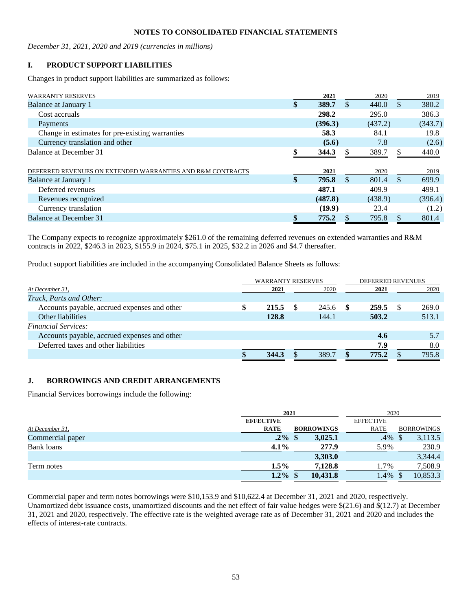# **I. PRODUCT SUPPORT LIABILITIES**

Changes in product support liabilities are summarized as follows:

| 2021        |               | 2020    |               | 2019    |
|-------------|---------------|---------|---------------|---------|
| \$<br>389.7 | <sup>\$</sup> | 440.0   | <sup>\$</sup> | 380.2   |
| 298.2       |               | 295.0   |               | 386.3   |
| (396.3)     |               | (437.2) |               | (343.7) |
| 58.3        |               | 84.1    |               | 19.8    |
| (5.6)       |               | 7.8     |               | (2.6)   |
| 344.3       |               | 389.7   |               | 440.0   |
| 2021        |               | 2020    |               | 2019    |
| \$<br>795.8 | $\mathcal{S}$ | 801.4   | -S            | 699.9   |
| 487.1       |               | 409.9   |               | 499.1   |
| (487.8)     |               | (438.9) |               | (396.4) |
| (19.9)      |               | 23.4    |               | (1.2)   |
| 775.2       |               | 795.8   |               | 801.4   |
|             |               |         |               |         |

The Company expects to recognize approximately \$261.0 of the remaining deferred revenues on extended warranties and R&M contracts in 2022, \$246.3 in 2023, \$155.9 in 2024, \$75.1 in 2025, \$32.2 in 2026 and \$4.7 thereafter.

Product support liabilities are included in the accompanying Consolidated Balance Sheets as follows:

|                                              | <b>WARRANTY RESERVES</b> |       |       | <b>DEFERRED REVENUES</b> |       |
|----------------------------------------------|--------------------------|-------|-------|--------------------------|-------|
| At December 31,                              | 2021                     | 2020  | 2021  |                          | 2020  |
| Truck, Parts and Other:                      |                          |       |       |                          |       |
| Accounts payable, accrued expenses and other | 215.5                    | 245.6 | 259.5 |                          | 269.0 |
| Other liabilities                            | 128.8                    | 144.1 | 503.2 |                          | 513.1 |
| <b>Financial Services:</b>                   |                          |       |       |                          |       |
| Accounts payable, accrued expenses and other |                          |       | 4.6   |                          | 5.7   |
| Deferred taxes and other liabilities         |                          |       | 7.9   |                          | 8.0   |
|                                              | 344.3                    | 389.7 | 775.2 |                          | 795.8 |

## **J. BORROWINGS AND CREDIT ARRANGEMENTS**

Financial Services borrowings include the following:

|                   | 2021             |  |                   |          | 2020             |  |                   |  |
|-------------------|------------------|--|-------------------|----------|------------------|--|-------------------|--|
|                   | <b>EFFECTIVE</b> |  |                   |          | <b>EFFECTIVE</b> |  |                   |  |
| At December 31,   | <b>RATE</b>      |  | <b>BORROWINGS</b> |          | RATE             |  | <b>BORROWINGS</b> |  |
| Commercial paper  | $.2\%$ \$        |  |                   | 3,025.1  | $.4\%$           |  | 3,113.5           |  |
| <b>Bank loans</b> | $4.1\%$          |  |                   | 277.9    | 5.9%             |  | 230.9             |  |
|                   |                  |  |                   | 3,303.0  |                  |  | 3,344.4           |  |
| Term notes        | $1.5\%$          |  |                   | 7,128.8  | 1.7%             |  | 7,508.9           |  |
|                   | $1.2\%$          |  |                   | 10,431.8 | 1.4%             |  | 10,853.3          |  |

Commercial paper and term notes borrowings were \$10,153.9 and \$10,622.4 at December 31, 2021 and 2020, respectively. Unamortized debt issuance costs, unamortized discounts and the net effect of fair value hedges were \$(21.6) and \$(12.7) at December 31, 2021 and 2020, respectively. The effective rate is the weighted average rate as of December 31, 2021 and 2020 and includes the effects of interest-rate contracts.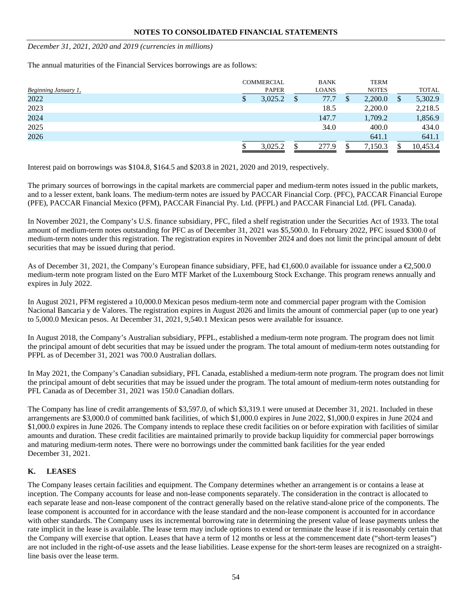#### *December 31, 2021, 2020 and 2019 (currencies in millions)*

The annual maturities of the Financial Services borrowings are as follows:

|                      | <b>COMMERCIAL</b> |              |    | <b>BANK</b>  |  | <b>TERM</b>  |              |
|----------------------|-------------------|--------------|----|--------------|--|--------------|--------------|
| Beginning January 1, |                   | <b>PAPER</b> |    | <b>LOANS</b> |  | <b>NOTES</b> | <b>TOTAL</b> |
| 2022                 |                   | 3,025.2      | \$ | 77.7         |  | 2,200.0      | 5,302.9      |
| 2023                 |                   |              |    | 18.5         |  | 2,200.0      | 2,218.5      |
| 2024                 |                   |              |    | 147.7        |  | 1,709.2      | 1,856.9      |
| 2025                 |                   |              |    | 34.0         |  | 400.0        | 434.0        |
| 2026                 |                   |              |    |              |  | 641.1        | 641.1        |
|                      |                   | 3,025.2      | \$ | 277.9        |  | 7,150.3      | 10.453.4     |

Interest paid on borrowings was \$104.8, \$164.5 and \$203.8 in 2021, 2020 and 2019, respectively.

The primary sources of borrowings in the capital markets are commercial paper and medium-term notes issued in the public markets, and to a lesser extent, bank loans. The medium-term notes are issued by PACCAR Financial Corp. (PFC), PACCAR Financial Europe (PFE), PACCAR Financial Mexico (PFM), PACCAR Financial Pty. Ltd. (PFPL) and PACCAR Financial Ltd. (PFL Canada).

In November 2021, the Company's U.S. finance subsidiary, PFC, filed a shelf registration under the Securities Act of 1933. The total amount of medium-term notes outstanding for PFC as of December 31, 2021 was \$5,500.0. In February 2022, PFC issued \$300.0 of medium-term notes under this registration. The registration expires in November 2024 and does not limit the principal amount of debt securities that may be issued during that period.

As of December 31, 2021, the Company's European finance subsidiary, PFE, had €1,600.0 available for issuance under a €2,500.0 medium-term note program listed on the Euro MTF Market of the Luxembourg Stock Exchange. This program renews annually and expires in July 2022.

In August 2021, PFM registered a 10,000.0 Mexican pesos medium-term note and commercial paper program with the Comision Nacional Bancaria y de Valores. The registration expires in August 2026 and limits the amount of commercial paper (up to one year) to 5,000.0 Mexican pesos. At December 31, 2021, 9,540.1 Mexican pesos were available for issuance.

In August 2018, the Company's Australian subsidiary, PFPL, established a medium-term note program. The program does not limit the principal amount of debt securities that may be issued under the program. The total amount of medium-term notes outstanding for PFPL as of December 31, 2021 was 700.0 Australian dollars.

In May 2021, the Company's Canadian subsidiary, PFL Canada, established a medium-term note program. The program does not limit the principal amount of debt securities that may be issued under the program. The total amount of medium-term notes outstanding for PFL Canada as of December 31, 2021 was 150.0 Canadian dollars.

The Company has line of credit arrangements of \$3,597.0, of which \$3,319.1 were unused at December 31, 2021. Included in these arrangements are \$3,000.0 of committed bank facilities, of which \$1,000.0 expires in June 2022, \$1,000.0 expires in June 2024 and \$1,000.0 expires in June 2026. The Company intends to replace these credit facilities on or before expiration with facilities of similar amounts and duration. These credit facilities are maintained primarily to provide backup liquidity for commercial paper borrowings and maturing medium-term notes. There were no borrowings under the committed bank facilities for the year ended December 31, 2021.

## **K. LEASES**

The Company leases certain facilities and equipment. The Company determines whether an arrangement is or contains a lease at inception. The Company accounts for lease and non-lease components separately. The consideration in the contract is allocated to each separate lease and non-lease component of the contract generally based on the relative stand-alone price of the components. The lease component is accounted for in accordance with the lease standard and the non-lease component is accounted for in accordance with other standards. The Company uses its incremental borrowing rate in determining the present value of lease payments unless the rate implicit in the lease is available. The lease term may include options to extend or terminate the lease if it is reasonably certain that the Company will exercise that option. Leases that have a term of 12 months or less at the commencement date ("short-term leases") are not included in the right-of-use assets and the lease liabilities. Lease expense for the short-term leases are recognized on a straightline basis over the lease term.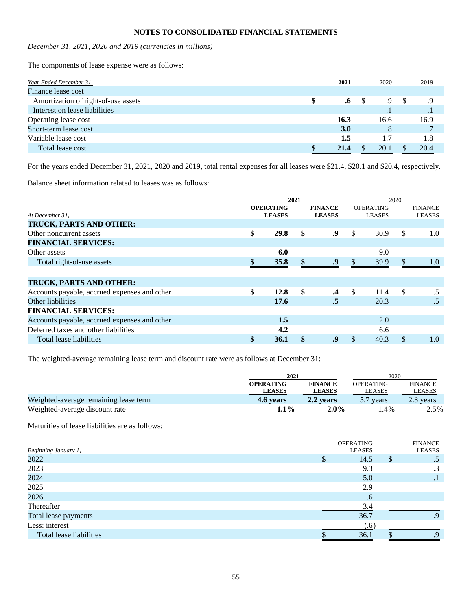The components of lease expense were as follows:

| Year Ended December 31,             | 2021          | 2020    | 2019 |
|-------------------------------------|---------------|---------|------|
| Finance lease cost                  |               |         |      |
| Amortization of right-of-use assets | \$<br>$\cdot$ | .9      |      |
| Interest on lease liabilities       |               | $\cdot$ |      |
| Operating lease cost                | 16.3          | 16.6    | 16.9 |
| Short-term lease cost               | <b>3.0</b>    | .8      |      |
| Variable lease cost                 | 1.5           | 1.7     | 1.8  |
| Total lease cost                    | 21.4          | 20.1    | 20.4 |

For the years ended December 31, 2021, 2020 and 2019, total rental expenses for all leases were \$21.4, \$20.1 and \$20.4, respectively.

Balance sheet information related to leases was as follows:

|                                              |               | 2021             |     |                |                  |               |     |                |
|----------------------------------------------|---------------|------------------|-----|----------------|------------------|---------------|-----|----------------|
|                                              |               | <b>OPERATING</b> |     | <b>FINANCE</b> | <b>OPERATING</b> |               |     | <b>FINANCE</b> |
| At December 31,                              | <b>LEASES</b> |                  |     | <b>LEASES</b>  |                  | <b>LEASES</b> |     | <b>LEASES</b>  |
| TRUCK, PARTS AND OTHER:                      |               |                  |     |                |                  |               |     |                |
| Other noncurrent assets                      | \$            | 29.8             | \$  | .9             | \$.              | 30.9          | \$  | 1.0            |
| <b>FINANCIAL SERVICES:</b>                   |               |                  |     |                |                  |               |     |                |
| Other assets                                 |               | 6.0              |     |                |                  | 9.0           |     |                |
| Total right-of-use assets                    | \$            | 35.8             | \$  | .9             | \$               | 39.9          | \$  | 1.0            |
|                                              |               |                  |     |                |                  |               |     |                |
| TRUCK, PARTS AND OTHER:                      |               |                  |     |                |                  |               |     |                |
| Accounts payable, accrued expenses and other | \$            | 12.8             | -\$ | $\cdot$        | <sup>\$</sup>    | 11.4          | -\$ | .5             |
| Other liabilities                            |               | 17.6             |     |                |                  | 20.3          |     | .5             |
| <b>FINANCIAL SERVICES:</b>                   |               |                  |     |                |                  |               |     |                |
| Accounts payable, accrued expenses and other |               | 1.5              |     |                |                  | 2.0           |     |                |
| Deferred taxes and other liabilities         |               | 4.2              |     |                |                  | 6.6           |     |                |
| Total lease liabilities                      |               | 36.1             |     | .9             |                  | 40.3          |     | 1.0            |

The weighted-average remaining lease term and discount rate were as follows at December 31:

|                                       | 2021             |                | 2020             |                |  |
|---------------------------------------|------------------|----------------|------------------|----------------|--|
|                                       | <b>OPERATING</b> | <b>FINANCE</b> | <b>OPERATING</b> | <b>FINANCE</b> |  |
|                                       | <b>LEASES</b>    | <b>LEASES</b>  | LEASES           | LEASES         |  |
| Weighted-average remaining lease term | 4.6 years        | 2.2 years      | 5.7 years        | 2.3 years      |  |
| Weighted-average discount rate        | $1.1\%$          | $2.0\%$        | $.4\%$           | 2.5%           |  |

Maturities of lease liabilities are as follows:

| Beginning January 1,    | <b>OPERATING</b><br><b>LEASES</b> | <b>FINANCE</b><br>LEASES |
|-------------------------|-----------------------------------|--------------------------|
| 2022                    | 14.5                              | د.                       |
| 2023                    | 9.3                               | .3                       |
| 2024                    | 5.0                               | $\cdot$ 1                |
| 2025                    | 2.9                               |                          |
| 2026                    | 1.6                               |                          |
| Thereafter              | 3.4                               |                          |
| Total lease payments    | 36.7                              | .9                       |
| Less: interest          | (.6)                              |                          |
| Total lease liabilities | 36.1                              | $\mathbf Q$              |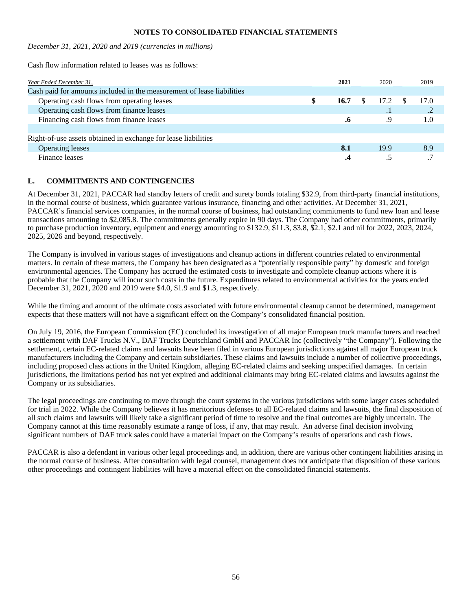Cash flow information related to leases was as follows:

| Year Ended December 31,                                                | 2021 | 2020 | 2019 |
|------------------------------------------------------------------------|------|------|------|
| Cash paid for amounts included in the measurement of lease liabilities |      |      |      |
| Operating cash flows from operating leases                             | 16.7 |      | 17.0 |
| Operating cash flows from finance leases                               |      |      |      |
| Financing cash flows from finance leases                               | .ი   |      | 1.O  |
|                                                                        |      |      |      |
| Right-of-use assets obtained in exchange for lease liabilities         |      |      |      |
| <b>Operating leases</b>                                                | 8.1  | 19.9 | 8.9  |
| Finance leases                                                         |      |      |      |

#### **L. COMMITMENTS AND CONTINGENCIES**

At December 31, 2021, PACCAR had standby letters of credit and surety bonds totaling \$32.9, from third-party financial institutions, in the normal course of business, which guarantee various insurance, financing and other activities. At December 31, 2021, PACCAR's financial services companies, in the normal course of business, had outstanding commitments to fund new loan and lease transactions amounting to \$2,085.8. The commitments generally expire in 90 days. The Company had other commitments, primarily to purchase production inventory, equipment and energy amounting to \$132.9, \$11.3, \$3.8, \$2.1, \$2.1 and nil for 2022, 2023, 2024, 2025, 2026 and beyond, respectively.

The Company is involved in various stages of investigations and cleanup actions in different countries related to environmental matters. In certain of these matters, the Company has been designated as a "potentially responsible party" by domestic and foreign environmental agencies. The Company has accrued the estimated costs to investigate and complete cleanup actions where it is probable that the Company will incur such costs in the future. Expenditures related to environmental activities for the years ended December 31, 2021, 2020 and 2019 were \$4.0, \$1.9 and \$1.3, respectively.

While the timing and amount of the ultimate costs associated with future environmental cleanup cannot be determined, management expects that these matters will not have a significant effect on the Company's consolidated financial position.

On July 19, 2016, the European Commission (EC) concluded its investigation of all major European truck manufacturers and reached a settlement with DAF Trucks N.V., DAF Trucks Deutschland GmbH and PACCAR Inc (collectively "the Company"). Following the settlement, certain EC-related claims and lawsuits have been filed in various European jurisdictions against all major European truck manufacturers including the Company and certain subsidiaries. These claims and lawsuits include a number of collective proceedings, including proposed class actions in the United Kingdom, alleging EC-related claims and seeking unspecified damages. In certain jurisdictions, the limitations period has not yet expired and additional claimants may bring EC-related claims and lawsuits against the Company or its subsidiaries.

The legal proceedings are continuing to move through the court systems in the various jurisdictions with some larger cases scheduled for trial in 2022. While the Company believes it has meritorious defenses to all EC-related claims and lawsuits, the final disposition of all such claims and lawsuits will likely take a significant period of time to resolve and the final outcomes are highly uncertain. The Company cannot at this time reasonably estimate a range of loss, if any, that may result. An adverse final decision involving significant numbers of DAF truck sales could have a material impact on the Company's results of operations and cash flows.

PACCAR is also a defendant in various other legal proceedings and, in addition, there are various other contingent liabilities arising in the normal course of business. After consultation with legal counsel, management does not anticipate that disposition of these various other proceedings and contingent liabilities will have a material effect on the consolidated financial statements.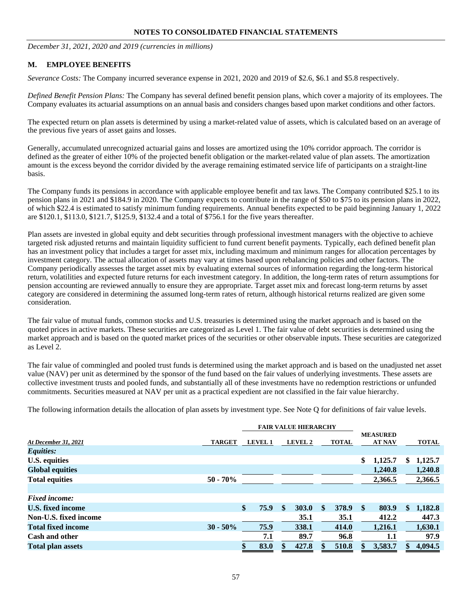*December 31, 2021, 2020 and 2019 (currencies in millions)*

# **M. EMPLOYEE BENEFITS**

*Severance Costs:* The Company incurred severance expense in 2021, 2020 and 2019 of \$2.6, \$6.1 and \$5.8 respectively.

*Defined Benefit Pension Plans:* The Company has several defined benefit pension plans, which cover a majority of its employees. The Company evaluates its actuarial assumptions on an annual basis and considers changes based upon market conditions and other factors.

The expected return on plan assets is determined by using a market-related value of assets, which is calculated based on an average of the previous five years of asset gains and losses.

Generally, accumulated unrecognized actuarial gains and losses are amortized using the 10% corridor approach. The corridor is defined as the greater of either 10% of the projected benefit obligation or the market-related value of plan assets. The amortization amount is the excess beyond the corridor divided by the average remaining estimated service life of participants on a straight-line basis.

The Company funds its pensions in accordance with applicable employee benefit and tax laws. The Company contributed \$25.1 to its pension plans in 2021 and \$184.9 in 2020. The Company expects to contribute in the range of \$50 to \$75 to its pension plans in 2022, of which \$22.4 is estimated to satisfy minimum funding requirements. Annual benefits expected to be paid beginning January 1, 2022 are \$120.1, \$113.0, \$121.7, \$125.9, \$132.4 and a total of \$756.1 for the five years thereafter.

Plan assets are invested in global equity and debt securities through professional investment managers with the objective to achieve targeted risk adjusted returns and maintain liquidity sufficient to fund current benefit payments. Typically, each defined benefit plan has an investment policy that includes a target for asset mix, including maximum and minimum ranges for allocation percentages by investment category. The actual allocation of assets may vary at times based upon rebalancing policies and other factors. The Company periodically assesses the target asset mix by evaluating external sources of information regarding the long-term historical return, volatilities and expected future returns for each investment category. In addition, the long-term rates of return assumptions for pension accounting are reviewed annually to ensure they are appropriate. Target asset mix and forecast long-term returns by asset category are considered in determining the assumed long-term rates of return, although historical returns realized are given some consideration.

The fair value of mutual funds, common stocks and U.S. treasuries is determined using the market approach and is based on the quoted prices in active markets. These securities are categorized as Level 1. The fair value of debt securities is determined using the market approach and is based on the quoted market prices of the securities or other observable inputs. These securities are categorized as Level 2.

The fair value of commingled and pooled trust funds is determined using the market approach and is based on the unadjusted net asset value (NAV) per unit as determined by the sponsor of the fund based on the fair values of underlying investments. These assets are collective investment trusts and pooled funds, and substantially all of these investments have no redemption restrictions or unfunded commitments. Securities measured at NAV per unit as a practical expedient are not classified in the fair value hierarchy.

The following information details the allocation of plan assets by investment type. See Note Q for definitions of fair value levels.

|                           |               | <b>FAIR VALUE HIERARCHY</b> |                |    |                |     |              |    |                                  |               |
|---------------------------|---------------|-----------------------------|----------------|----|----------------|-----|--------------|----|----------------------------------|---------------|
| At December 31, 2021      | <b>TARGET</b> |                             | <b>LEVEL 1</b> |    | <b>LEVEL 2</b> |     | <b>TOTAL</b> |    | <b>MEASURED</b><br><b>AT NAV</b> | <b>TOTAL</b>  |
| Equities:                 |               |                             |                |    |                |     |              |    |                                  |               |
| <b>U.S. equities</b>      |               |                             |                |    |                |     |              | \$ | 1,125.7                          | \$<br>1,125.7 |
| <b>Global equities</b>    |               |                             |                |    |                |     |              |    | 1,240.8                          | 1,240.8       |
| <b>Total equities</b>     | $50 - 70%$    |                             |                |    |                |     |              |    | 2,366.5                          | 2,366.5       |
|                           |               |                             |                |    |                |     |              |    |                                  |               |
| <b>Fixed income:</b>      |               |                             |                |    |                |     |              |    |                                  |               |
| <b>U.S. fixed income</b>  |               | \$                          | 75.9           | \$ | <b>303.0</b>   | \$. | 378.9        | \$ | 803.9                            | \$<br>1,182.8 |
| Non-U.S. fixed income     |               |                             |                |    | 35.1           |     | 35.1         |    | 412.2                            | 447.3         |
| <b>Total fixed income</b> | $30 - 50\%$   |                             | 75.9           |    | 338.1          |     | 414.0        |    | 1,216.1                          | 1,630.1       |
| <b>Cash and other</b>     |               |                             | 7.1            |    | 89.7           |     | 96.8         |    | 1.1                              | 97.9          |
| <b>Total plan assets</b>  |               |                             | 83.0           |    | 427.8          |     | 510.8        |    | 3,583.7                          | \$<br>4,094.5 |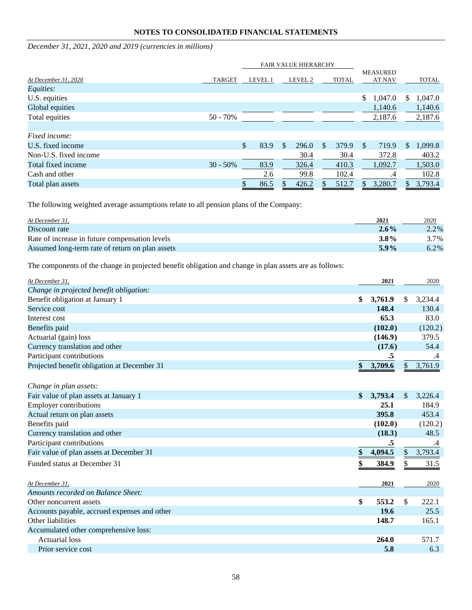|                                   |               |            | <b>FAIR VALUE HIERARCHY</b> |    |              |     |                                  |              |              |
|-----------------------------------|---------------|------------|-----------------------------|----|--------------|-----|----------------------------------|--------------|--------------|
| At December 31, 2020<br>Equities: | <b>TARGET</b> | LEVEL 1    | LEVEL 2                     |    | <b>TOTAL</b> |     | <b>MEASURED</b><br><b>AT NAV</b> |              | <b>TOTAL</b> |
| U.S. equities                     |               |            |                             |    |              | \$  | 1,047.0                          | S.           | 1,047.0      |
| Global equities                   |               |            |                             |    |              |     | 1,140.6                          |              | 1,140.6      |
| Total equities                    | $50 - 70%$    |            |                             |    |              |     | 2,187.6                          |              | 2,187.6      |
|                                   |               |            |                             |    |              |     |                                  |              |              |
| Fixed income:                     |               |            |                             |    |              |     |                                  |              |              |
| U.S. fixed income                 |               | \$<br>83.9 | \$<br>296.0                 | \$ | 379.9        | \$. | 719.9                            | $\mathbb{S}$ | 1,099.8      |
| Non-U.S. fixed income             |               |            | 30.4                        |    | 30.4         |     | 372.8                            |              | 403.2        |
| Total fixed income                | $30 - 50\%$   | 83.9       | 326.4                       |    | 410.3        |     | 1,092.7                          |              | 1,503.0      |
| Cash and other                    |               | 2.6        | 99.8                        |    | 102.4        |     | .4                               |              | 102.8        |
| Total plan assets                 |               | \$<br>86.5 | 426.2                       |    | 512.7        | S   | 3,280.7                          | S.           | 3,793.4      |

The following weighted average assumptions relate to all pension plans of the Company:

| At December 31,                                 | 2021    | 2020    |
|-------------------------------------------------|---------|---------|
| Discount rate                                   | $2.6\%$ | $2.2\%$ |
| Rate of increase in future compensation levels  | $3.8\%$ | 3.7%    |
| Assumed long-term rate of return on plan assets | $5.9\%$ | $6.2\%$ |

The components of the change in projected benefit obligation and change in plan assets are as follows:

| At December 31,                             |    | 2021    | 2020    |
|---------------------------------------------|----|---------|---------|
| Change in projected benefit obligation:     |    |         |         |
| Benefit obligation at January 1             | S. | 3,761.9 | 3,234.4 |
| Service cost                                |    | 148.4   | 130.4   |
| Interest cost                               |    | 65.3    | 83.0    |
| Benefits paid                               |    | (102.0) | (120.2) |
| Actuarial (gain) loss                       |    | (146.9) | 379.5   |
| Currency translation and other              |    | (17.6)  | 54.4    |
| Participant contributions                   |    | .5      | .4      |
| Projected benefit obligation at December 31 |    | 3,709.6 | 3,761.9 |

| Change in plan assets:                   |           |         |
|------------------------------------------|-----------|---------|
| Fair value of plan assets at January 1   | \$3,793.4 | 3,226.4 |
| <b>Employer contributions</b>            | 25.1      | 184.9   |
| Actual return on plan assets             | 395.8     | 453.4   |
| Benefits paid                            | (102.0)   | (120.2) |
| Currency translation and other           | (18.3)    | 48.5    |
| Participant contributions                |           |         |
| Fair value of plan assets at December 31 | 4,094.5   | 3,793.4 |
| Funded status at December 31             | 384.9     | 31.5    |

| At December 31,                              |   | 2021  | 2020  |
|----------------------------------------------|---|-------|-------|
| Amounts recorded on Balance Sheet:           |   |       |       |
| Other noncurrent assets                      | S | 553.2 | 222.1 |
| Accounts payable, accrued expenses and other |   | 19.6  | 25.5  |
| Other liabilities                            |   | 148.7 | 165.1 |
| Accumulated other comprehensive loss:        |   |       |       |
| Actuarial loss                               |   | 264.0 | 571.7 |
| Prior service cost                           |   | 5.8   | 6.3   |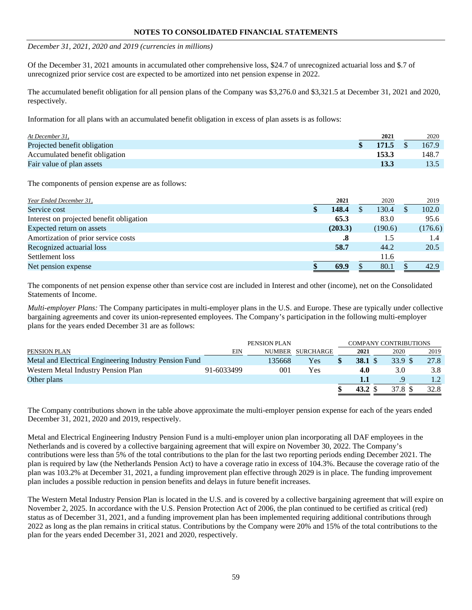*December 31, 2021, 2020 and 2019 (currencies in millions)*

Of the December 31, 2021 amounts in accumulated other comprehensive loss, \$24.7 of unrecognized actuarial loss and \$.7 of unrecognized prior service cost are expected to be amortized into net pension expense in 2022.

The accumulated benefit obligation for all pension plans of the Company was \$3,276.0 and \$3,321.5 at December 31, 2021 and 2020, respectively.

Information for all plans with an accumulated benefit obligation in excess of plan assets is as follows:

| At December 31,                | 2021  | 2020  |
|--------------------------------|-------|-------|
| Projected benefit obligation   | 171.5 | 167.9 |
| Accumulated benefit obligation | 153.3 | 148.7 |
| Fair value of plan assets      | 13.3  |       |

The components of pension expense are as follows:

| Year Ended December 31,                  |   | 2021    | 2020    | 2019    |
|------------------------------------------|---|---------|---------|---------|
| Service cost                             | S | 148.4   | 130.4   | 102.0   |
| Interest on projected benefit obligation |   | 65.3    | 83.0    | 95.6    |
| Expected return on assets                |   | (203.3) | (190.6) | (176.6) |
| Amortization of prior service costs      |   | .8      |         | 1.4     |
| Recognized actuarial loss                |   | 58.7    | 44.2    | 20.5    |
| Settlement loss                          |   |         | 11.6    |         |
| Net pension expense                      |   | 69.9    | 80.1    | 42.9    |
|                                          |   |         |         |         |

The components of net pension expense other than service cost are included in Interest and other (income), net on the Consolidated Statements of Income.

*Multi-employer Plans:* The Company participates in multi-employer plans in the U.S. and Europe. These are typically under collective bargaining agreements and cover its union-represented employees. The Company's participation in the following multi-employer plans for the years ended December 31 are as follows:

|                                                        | PENSION PLAN |         |           |                   | <b>COMPANY CONTRIBUTIONS</b> |      |
|--------------------------------------------------------|--------------|---------|-----------|-------------------|------------------------------|------|
| PENSION PLAN                                           | EIN          | NUMBER: | SURCHARGE | 2021              | 2020                         | 2019 |
| Metal and Electrical Engineering Industry Pension Fund |              | 135668  | Yes       | <b>38.1</b> \$    | 33.9 \$                      | 27.8 |
| Western Metal Industry Pension Plan                    | 91-6033499   | 001     | Yes       | 4.0               | 3.0                          | 3.8  |
| Other plans                                            |              |         |           |                   |                              |      |
|                                                        |              |         |           | 43.2 <sup>°</sup> | 37.8 S                       | 32.8 |

The Company contributions shown in the table above approximate the multi-employer pension expense for each of the years ended December 31, 2021, 2020 and 2019, respectively.

Metal and Electrical Engineering Industry Pension Fund is a multi-employer union plan incorporating all DAF employees in the Netherlands and is covered by a collective bargaining agreement that will expire on November 30, 2022. The Company's contributions were less than 5% of the total contributions to the plan for the last two reporting periods ending December 2021. The plan is required by law (the Netherlands Pension Act) to have a coverage ratio in excess of 104.3%. Because the coverage ratio of the plan was 103.2% at December 31, 2021, a funding improvement plan effective through 2029 is in place. The funding improvement plan includes a possible reduction in pension benefits and delays in future benefit increases.

The Western Metal Industry Pension Plan is located in the U.S. and is covered by a collective bargaining agreement that will expire on November 2, 2025. In accordance with the U.S. Pension Protection Act of 2006, the plan continued to be certified as critical (red) status as of December 31, 2021, and a funding improvement plan has been implemented requiring additional contributions through 2022 as long as the plan remains in critical status. Contributions by the Company were 20% and 15% of the total contributions to the plan for the years ended December 31, 2021 and 2020, respectively.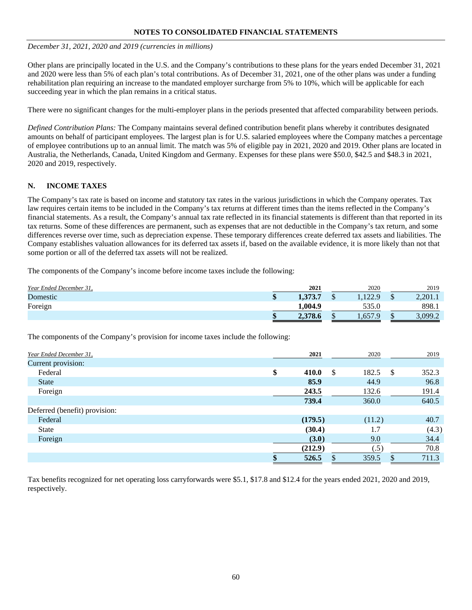### *December 31, 2021, 2020 and 2019 (currencies in millions)*

Other plans are principally located in the U.S. and the Company's contributions to these plans for the years ended December 31, 2021 and 2020 were less than 5% of each plan's total contributions. As of December 31, 2021, one of the other plans was under a funding rehabilitation plan requiring an increase to the mandated employer surcharge from 5% to 10%, which will be applicable for each succeeding year in which the plan remains in a critical status.

There were no significant changes for the multi-employer plans in the periods presented that affected comparability between periods.

*Defined Contribution Plans:* The Company maintains several defined contribution benefit plans whereby it contributes designated amounts on behalf of participant employees. The largest plan is for U.S. salaried employees where the Company matches a percentage of employee contributions up to an annual limit. The match was 5% of eligible pay in 2021, 2020 and 2019. Other plans are located in Australia, the Netherlands, Canada, United Kingdom and Germany. Expenses for these plans were \$50.0, \$42.5 and \$48.3 in 2021, 2020 and 2019, respectively.

## **N. INCOME TAXES**

The Company's tax rate is based on income and statutory tax rates in the various jurisdictions in which the Company operates. Tax law requires certain items to be included in the Company's tax returns at different times than the items reflected in the Company's financial statements. As a result, the Company's annual tax rate reflected in its financial statements is different than that reported in its tax returns. Some of these differences are permanent, such as expenses that are not deductible in the Company's tax return, and some differences reverse over time, such as depreciation expense. These temporary differences create deferred tax assets and liabilities. The Company establishes valuation allowances for its deferred tax assets if, based on the available evidence, it is more likely than not that some portion or all of the deferred tax assets will not be realized.

The components of the Company's income before income taxes include the following:

| Year Ended December 31, |    | 2021    | 2020                                   | 2019    |
|-------------------------|----|---------|----------------------------------------|---------|
| Domestic                | Φ  | 1,373.7 | 1229<br>$\cdots$ . $\cdots$ . $\cdots$ | 2,201.1 |
| Foreign                 |    | 1.004.9 | 535.0                                  | 898.1   |
|                         | ۱D | 2,378.6 | 1,657.9                                | 3,099.2 |

The components of the Company's provision for income taxes include the following:

| Year Ended December 31,       | 2021        | 2020        | 2019                   |
|-------------------------------|-------------|-------------|------------------------|
| Current provision:            |             |             |                        |
| Federal                       | \$<br>410.0 | 182.5<br>\$ | 352.3<br><sup>\$</sup> |
| <b>State</b>                  | 85.9        | 44.9        | 96.8                   |
| Foreign                       | 243.5       | 132.6       | 191.4                  |
|                               | 739.4       | 360.0       | 640.5                  |
| Deferred (benefit) provision: |             |             |                        |
| Federal                       | (179.5)     | (11.2)      | 40.7                   |
| <b>State</b>                  | (30.4)      | 1.7         | (4.3)                  |
| Foreign                       | (3.0)       | 9.0         | 34.4                   |
|                               | (212.9)     | (.5)        | 70.8                   |
|                               | \$<br>526.5 | 359.5       | 711.3                  |

Tax benefits recognized for net operating loss carryforwards were \$5.1, \$17.8 and \$12.4 for the years ended 2021, 2020 and 2019, respectively.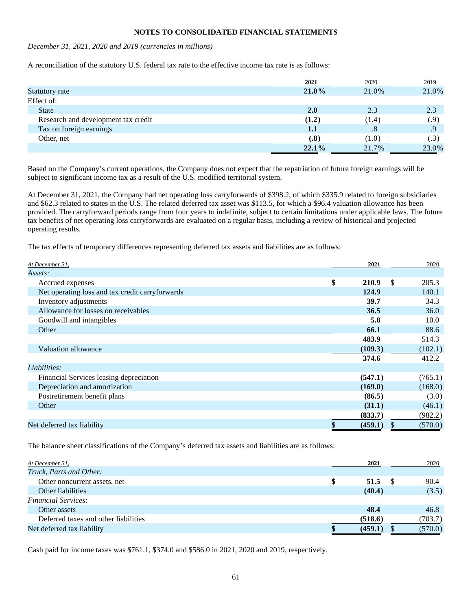A reconciliation of the statutory U.S. federal tax rate to the effective income tax rate is as follows:

|                                     | 2021       | 2020  | 2019  |
|-------------------------------------|------------|-------|-------|
| Statutory rate                      | $21.0\%$   | 21.0% | 21.0% |
| Effect of:                          |            |       |       |
| <b>State</b>                        | <b>2.0</b> | 2.3   | 2.3   |
| Research and development tax credit | (1.2)      | (1.4) | (9)   |
| Tax on foreign earnings             | 1.1        | .8    | .9    |
| Other, net                          | (.8)       | (1.0) | (3)   |
|                                     | $22.1\%$   | 21.7% | 23.0% |

Based on the Company's current operations, the Company does not expect that the repatriation of future foreign earnings will be subject to significant income tax as a result of the U.S. modified territorial system.

At December 31, 2021, the Company had net operating loss carryforwards of \$398.2, of which \$335.9 related to foreign subsidiaries and \$62.3 related to states in the U.S. The related deferred tax asset was \$113.5, for which a \$96.4 valuation allowance has been provided. The carryforward periods range from four years to indefinite, subject to certain limitations under applicable laws. The future tax benefits of net operating loss carryforwards are evaluated on a regular basis, including a review of historical and projected operating results.

The tax effects of temporary differences representing deferred tax assets and liabilities are as follows:

| At December 31,                                 | 2021          | 2020          |
|-------------------------------------------------|---------------|---------------|
| Assets:                                         |               |               |
| Accrued expenses                                | \$<br>210.9   | \$.<br>205.3  |
| Net operating loss and tax credit carryforwards | 124.9         | 140.1         |
| Inventory adjustments                           | 39.7          | 34.3          |
| Allowance for losses on receivables             | 36.5          | 36.0          |
| Goodwill and intangibles                        | 5.8           | 10.0          |
| Other                                           | 66.1          | 88.6          |
|                                                 | 483.9         | 514.3         |
| Valuation allowance                             | (109.3)       | (102.1)       |
|                                                 | 374.6         | 412.2         |
| Liabilities:                                    |               |               |
| Financial Services leasing depreciation         | (547.1)       | (765.1)       |
| Depreciation and amortization                   | (169.0)       | (168.0)       |
| Postretirement benefit plans                    | (86.5)        | (3.0)         |
| Other                                           | (31.1)        | (46.1)        |
|                                                 | (833.7)       | (982.2)       |
| Net deferred tax liability                      | \$<br>(459.1) | \$<br>(570.0) |

The balance sheet classifications of the Company's deferred tax assets and liabilities are as follows:

| At December 31,                      |    | 2021    | 2020    |
|--------------------------------------|----|---------|---------|
| Truck, Parts and Other:              |    |         |         |
| Other noncurrent assets, net         | ۰D | 51.5    | 90.4    |
| Other liabilities                    |    | (40.4)  | (3.5)   |
| <b>Financial Services:</b>           |    |         |         |
| Other assets                         |    | 48.4    | 46.8    |
| Deferred taxes and other liabilities |    | (518.6) | (703.7) |
| Net deferred tax liability           |    | (459.1) | (570.0) |

Cash paid for income taxes was \$761.1, \$374.0 and \$586.0 in 2021, 2020 and 2019, respectively.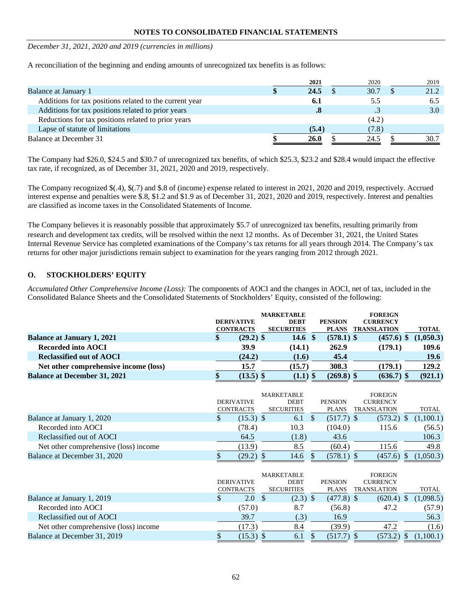A reconciliation of the beginning and ending amounts of unrecognized tax benefits is as follows:

|                                                         | 2021        | 2020  | 2019 |
|---------------------------------------------------------|-------------|-------|------|
| <b>Balance at January 1</b>                             | 24.5        | 30.7  | 21.2 |
| Additions for tax positions related to the current year | 6.1         | 5.5   | 6.5  |
| Additions for tax positions related to prior years      | .8          |       | 3.0  |
| Reductions for tax positions related to prior years     |             | (4.2) |      |
| Lapse of statute of limitations                         | (5.4)       | (7.8) |      |
| Balance at December 31                                  | <b>26.0</b> | 24.5  | 30.7 |

The Company had \$26.0, \$24.5 and \$30.7 of unrecognized tax benefits, of which \$25.3, \$23.2 and \$28.4 would impact the effective tax rate, if recognized, as of December 31, 2021, 2020 and 2019, respectively.

The Company recognized \$(.4), \$(.7) and \$.8 of (income) expense related to interest in 2021, 2020 and 2019, respectively. Accrued interest expense and penalties were \$.8, \$1.2 and \$1.9 as of December 31, 2021, 2020 and 2019, respectively. Interest and penalties are classified as income taxes in the Consolidated Statements of Income.

The Company believes it is reasonably possible that approximately \$5.7 of unrecognized tax benefits, resulting primarily from research and development tax credits, will be resolved within the next 12 months. As of December 31, 2021, the United States Internal Revenue Service has completed examinations of the Company's tax returns for all years through 2014. The Company's tax returns for other major jurisdictions remain subject to examination for the years ranging from 2012 through 2021.

# **O. STOCKHOLDERS' EQUITY**

*Accumulated Other Comprehensive Income (Loss):* The components of AOCI and the changes in AOCI, net of tax, included in the Consolidated Balance Sheets and the Consolidated Statements of Stockholders' Equity, consisted of the following:

|                                       |   | <b>DERIVATIVE</b><br><b>CONTRACTS</b> | <b>MARKETABLE</b><br><b>SECURITIES</b> | <b>DEBT</b> | <b>PENSION</b><br><b>PLANS</b> | <b>FOREIGN</b><br><b>CURRENCY</b><br><b>TRANSLATION</b> | <b>TOTAL</b> |
|---------------------------------------|---|---------------------------------------|----------------------------------------|-------------|--------------------------------|---------------------------------------------------------|--------------|
| <b>Balance at January 1, 2021</b>     | S | $(29.2)$ \$                           |                                        | <b>14.6</b> | $(578.1)$ \$                   | $(457.6)$ \$                                            | (1,050.3)    |
| <b>Recorded into AOCI</b>             |   | <b>39.9</b>                           |                                        | (14.1)      | 262.9                          | (179.1)                                                 | 109.6        |
| <b>Reclassified out of AOCI</b>       |   | (24.2)                                |                                        | (1.6)       | 45.4                           |                                                         | <b>19.6</b>  |
| Net other comprehensive income (loss) |   | 15.7                                  |                                        | (15.7)      | 308.3                          | (179.1)                                                 | 129.2        |
| <b>Balance at December 31, 2021</b>   |   | $(13.5)$ \$                           |                                        | $(1.1)$ \$  | $(269.8)$ \$                   | $(636.7)$ \$                                            | (921.1)      |

|                                       | <b>DERIVATIVE</b><br><b>CONTRACTS</b> | MARKETABLE<br><b>DEBT</b><br><b>SECURITIES</b> | <b>PENSION</b><br><b>PLANS</b> | <b>FOREIGN</b><br><b>CURRENCY</b><br><b>TRANSLATION</b> | <b>TOTAL</b> |
|---------------------------------------|---------------------------------------|------------------------------------------------|--------------------------------|---------------------------------------------------------|--------------|
| Balance at January 1, 2020            | $(15.3)$ \$<br>\$                     | 6.1                                            | $(517.7)$ \$                   | (573.2)                                                 | (1,100.1)    |
| Recorded into AOCI                    | (78.4)                                | 10.3                                           | (104.0)                        | 115.6                                                   | (56.5)       |
| Reclassified out of AOCI              | 64.5                                  | (1.8)                                          | 43.6                           |                                                         | 106.3        |
| Net other comprehensive (loss) income | (13.9)                                | 8.5                                            | (60.4)                         | 115.6                                                   | 49.8         |
| Balance at December 31, 2020          | (29.2) \$<br>S                        | 14.6                                           | $(578.1)$ \$                   | (457.6)                                                 | (1,050.3)    |

|                                       |                   | MARKETABLE        |                | <b>FOREIGN</b>     |           |
|---------------------------------------|-------------------|-------------------|----------------|--------------------|-----------|
|                                       | <b>DERIVATIVE</b> | <b>DEBT</b>       | <b>PENSION</b> | <b>CURRENCY</b>    |           |
|                                       | <b>CONTRACTS</b>  | <b>SECURITIES</b> | <b>PLANS</b>   | <b>TRANSLATION</b> | TOTAL     |
| Balance at January 1, 2019            | \$<br>2.0         | $(2.3)$ \$        | $(477.8)$ \$   | (620.4)            | (1,098.5) |
| Recorded into AOCI                    | (57.0)            | 8.7               | (56.8)         | 47.2               | (57.9)    |
| Reclassified out of AOCI              | 39.7              | (.3)              | 16.9           |                    | 56.3      |
| Net other comprehensive (loss) income | (17.3)            | 8.4               | (39.9)         | 47.2               | (1.6)     |
| Balance at December 31, 2019          | $(15.3)$ \$       | 6.1               | (517.7)        | (573.2)            | ,100.1    |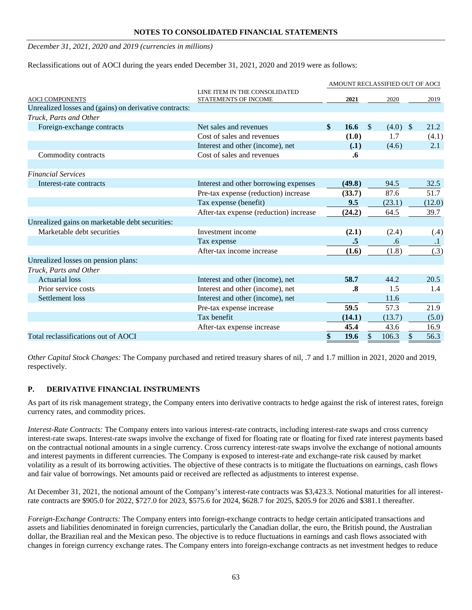Reclassifications out of AOCI during the years ended December 31, 2021, 2020 and 2019 were as follows:

|                                                        |                                        |     | AMOUNT RECLASSIFIED OUT OF AOCI |               |            |            |
|--------------------------------------------------------|----------------------------------------|-----|---------------------------------|---------------|------------|------------|
|                                                        | LINE ITEM IN THE CONSOLIDATED          |     |                                 |               |            |            |
| <b>AOCI COMPONENTS</b>                                 | STATEMENTS OF INCOME                   |     | 2021                            |               | 2020       | 2019       |
| Unrealized losses and (gains) on derivative contracts: |                                        |     |                                 |               |            |            |
| Truck, Parts and Other                                 |                                        |     |                                 |               |            |            |
| Foreign-exchange contracts                             | Net sales and revenues                 | \$. | 16.6                            | <sup>\$</sup> | $(4.0)$ \$ | 21.2       |
|                                                        | Cost of sales and revenues             |     | (1.0)                           |               | 1.7        | (4.1)      |
|                                                        | Interest and other (income), net       |     | (.1)                            |               | (4.6)      | 2.1        |
| Commodity contracts                                    | Cost of sales and revenues             |     | .6                              |               |            |            |
|                                                        |                                        |     |                                 |               |            |            |
| <b>Financial Services</b>                              |                                        |     |                                 |               |            |            |
| Interest-rate contracts                                | Interest and other borrowing expenses  |     | (49.8)                          |               | 94.5       | 32.5       |
|                                                        | Pre-tax expense (reduction) increase   |     | (33.7)                          |               | 87.6       | 51.7       |
|                                                        | Tax expense (benefit)                  |     | 9.5                             |               | (23.1)     | (12.0)     |
|                                                        | After-tax expense (reduction) increase |     | (24.2)                          |               | 64.5       | 39.7       |
| Unrealized gains on marketable debt securities:        |                                        |     |                                 |               |            |            |
| Marketable debt securities                             | Investment income                      |     | (2.1)                           |               | (2.4)      | (.4)       |
|                                                        | Tax expense                            |     | .5                              |               | .6         | $\cdot$    |
|                                                        | After-tax income increase              |     | (1.6)                           |               | (1.8)      | (.3)       |
| Unrealized losses on pension plans:                    |                                        |     |                                 |               |            |            |
| Truck, Parts and Other                                 |                                        |     |                                 |               |            |            |
| <b>Actuarial loss</b>                                  | Interest and other (income), net       |     | 58.7                            |               | 44.2       | 20.5       |
| Prior service costs                                    | Interest and other (income), net       |     | $\boldsymbol{.8}$               |               | 1.5        | 1.4        |
| Settlement loss                                        | Interest and other (income), net       |     |                                 |               | 11.6       |            |
|                                                        | Pre-tax expense increase               |     | 59.5                            |               | 57.3       | 21.9       |
|                                                        | Tax benefit                            |     | (14.1)                          |               | (13.7)     | (5.0)      |
|                                                        | After-tax expense increase             |     | 45.4                            |               | 43.6       | 16.9       |
| Total reclassifications out of AOCI                    |                                        | \$  | 19.6                            | \$            | 106.3      | \$<br>56.3 |

*Other Capital Stock Changes:* The Company purchased and retired treasury shares of nil, .7 and 1.7 million in 2021, 2020 and 2019, respectively.

# **P. DERIVATIVE FINANCIAL INSTRUMENTS**

As part of its risk management strategy, the Company enters into derivative contracts to hedge against the risk of interest rates, foreign currency rates, and commodity prices.

*Interest-Rate Contracts:* The Company enters into various interest-rate contracts, including interest-rate swaps and cross currency interest-rate swaps. Interest-rate swaps involve the exchange of fixed for floating rate or floating for fixed rate interest payments based on the contractual notional amounts in a single currency. Cross currency interest-rate swaps involve the exchange of notional amounts and interest payments in different currencies. The Company is exposed to interest-rate and exchange-rate risk caused by market volatility as a result of its borrowing activities. The objective of these contracts is to mitigate the fluctuations on earnings, cash flows and fair value of borrowings. Net amounts paid or received are reflected as adjustments to interest expense.

At December 31, 2021, the notional amount of the Company's interest-rate contracts was \$3,423.3. Notional maturities for all interestrate contracts are \$905.0 for 2022, \$727.0 for 2023, \$575.6 for 2024, \$628.7 for 2025, \$205.9 for 2026 and \$381.1 thereafter.

*Foreign-Exchange Contracts:* The Company enters into foreign-exchange contracts to hedge certain anticipated transactions and assets and liabilities denominated in foreign currencies, particularly the Canadian dollar, the euro, the British pound, the Australian dollar, the Brazilian real and the Mexican peso. The objective is to reduce fluctuations in earnings and cash flows associated with changes in foreign currency exchange rates. The Company enters into foreign-exchange contracts as net investment hedges to reduce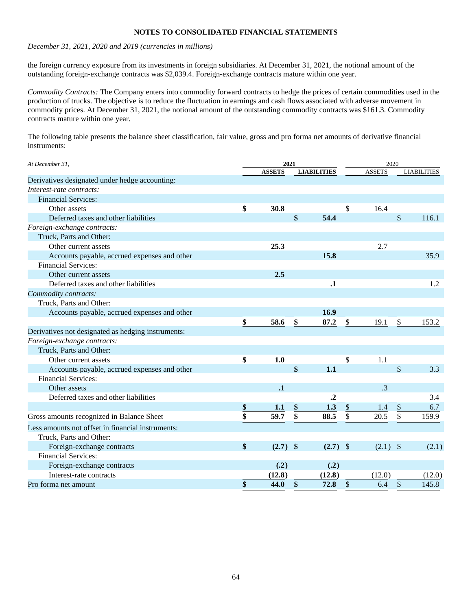*December 31, 2021, 2020 and 2019 (currencies in millions)*

the foreign currency exposure from its investments in foreign subsidiaries. At December 31, 2021, the notional amount of the outstanding foreign-exchange contracts was \$2,039.4. Foreign-exchange contracts mature within one year.

*Commodity Contracts:* The Company enters into commodity forward contracts to hedge the prices of certain commodities used in the production of trucks. The objective is to reduce the fluctuation in earnings and cash flows associated with adverse movement in commodity prices. At December 31, 2021, the notional amount of the outstanding commodity contracts was \$161.3. Commodity contracts mature within one year.

The following table presents the balance sheet classification, fair value, gross and pro forma net amounts of derivative financial instruments:

| At December 31,                                    |                                             | 2021          |                        |               | 2020          |               |                    |  |
|----------------------------------------------------|---------------------------------------------|---------------|------------------------|---------------|---------------|---------------|--------------------|--|
|                                                    |                                             | <b>ASSETS</b> | <b>LIABILITIES</b>     |               | <b>ASSETS</b> |               | <b>LIABILITIES</b> |  |
| Derivatives designated under hedge accounting:     |                                             |               |                        |               |               |               |                    |  |
| Interest-rate contracts:                           |                                             |               |                        |               |               |               |                    |  |
| <b>Financial Services:</b>                         |                                             |               |                        |               |               |               |                    |  |
| Other assets                                       | \$                                          | 30.8          |                        | \$            | 16.4          |               |                    |  |
| Deferred taxes and other liabilities               |                                             |               | \$<br>54.4             |               |               | $\mathcal{S}$ | 116.1              |  |
| Foreign-exchange contracts:                        |                                             |               |                        |               |               |               |                    |  |
| Truck, Parts and Other:                            |                                             |               |                        |               |               |               |                    |  |
| Other current assets                               |                                             | 25.3          |                        |               | 2.7           |               |                    |  |
| Accounts payable, accrued expenses and other       |                                             |               | 15.8                   |               |               |               | 35.9               |  |
| <b>Financial Services:</b>                         |                                             |               |                        |               |               |               |                    |  |
| Other current assets                               |                                             | 2.5           |                        |               |               |               |                    |  |
| Deferred taxes and other liabilities               |                                             |               | $\mathbf{.1}$          |               |               |               | 1.2                |  |
| Commodity contracts:                               |                                             |               |                        |               |               |               |                    |  |
| Truck, Parts and Other:                            |                                             |               |                        |               |               |               |                    |  |
| Accounts payable, accrued expenses and other       |                                             |               | 16.9                   |               |               |               |                    |  |
|                                                    | \$                                          | 58.6          | \$<br>87.2             | \$            | 19.1          | \$            | 153.2              |  |
| Derivatives not designated as hedging instruments: |                                             |               |                        |               |               |               |                    |  |
| Foreign-exchange contracts:                        |                                             |               |                        |               |               |               |                    |  |
| Truck, Parts and Other:                            |                                             |               |                        |               |               |               |                    |  |
| Other current assets                               | \$                                          | 1.0           |                        | \$            | 1.1           |               |                    |  |
| Accounts payable, accrued expenses and other       |                                             |               | \$<br>1.1              |               |               | $\mathcal{S}$ | 3.3                |  |
| <b>Financial Services:</b>                         |                                             |               |                        |               |               |               |                    |  |
| Other assets                                       |                                             | $\mathbf{.1}$ |                        |               | .3            |               |                    |  |
| Deferred taxes and other liabilities               |                                             |               | $\cdot$ <sup>2</sup>   |               |               |               | 3.4                |  |
|                                                    | $\frac{\mathbf{\hat{S}}}{\mathbf{\hat{S}}}$ | 1.1           | $\overline{1.3}$<br>\$ | $\$$          | 1.4           | $\$\,$        | 6.7                |  |
| Gross amounts recognized in Balance Sheet          | $\overline{\$}$                             | 59.7          | \$<br>88.5             | \$            | 20.5          | \$            | 159.9              |  |
| Less amounts not offset in financial instruments:  |                                             |               |                        |               |               |               |                    |  |
| Truck, Parts and Other:                            |                                             |               |                        |               |               |               |                    |  |
| Foreign-exchange contracts                         | \$                                          | $(2.7)$ \$    | $(2.7)$ \$             |               | $(2.1)$ \$    |               | (2.1)              |  |
| <b>Financial Services:</b>                         |                                             |               |                        |               |               |               |                    |  |
| Foreign-exchange contracts                         |                                             | (.2)          | (.2)                   |               |               |               |                    |  |
| Interest-rate contracts                            |                                             | (12.8)        | (12.8)                 |               | (12.0)        |               | (12.0)             |  |
| Pro forma net amount                               | \$                                          | 44.0          | \$<br>72.8             | $\mathcal{S}$ | 6.4           | $\mathcal{S}$ | 145.8              |  |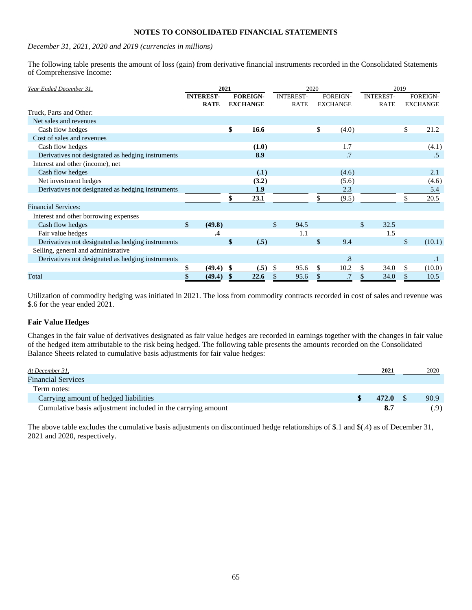The following table presents the amount of loss (gain) from derivative financial instruments recorded in the Consolidated Statements of Comprehensive Income:

| Year Ended December 31,                           | 2021             |             |                 | 2020            |     |                  | 2019            |                   |                  |                 |                 |
|---------------------------------------------------|------------------|-------------|-----------------|-----------------|-----|------------------|-----------------|-------------------|------------------|-----------------|-----------------|
|                                                   | <b>INTEREST-</b> |             |                 | <b>FOREIGN-</b> |     | <b>INTEREST-</b> | FOREIGN-        |                   | <b>INTEREST-</b> | <b>FOREIGN-</b> |                 |
|                                                   |                  | <b>RATE</b> | <b>EXCHANGE</b> |                 |     | <b>RATE</b>      | <b>EXCHANGE</b> |                   | <b>RATE</b>      |                 | <b>EXCHANGE</b> |
| Truck, Parts and Other:                           |                  |             |                 |                 |     |                  |                 |                   |                  |                 |                 |
| Net sales and revenues                            |                  |             |                 |                 |     |                  |                 |                   |                  |                 |                 |
| Cash flow hedges                                  |                  |             | \$              | 16.6            |     |                  | \$              | (4.0)             |                  | \$              | 21.2            |
| Cost of sales and revenues                        |                  |             |                 |                 |     |                  |                 |                   |                  |                 |                 |
| Cash flow hedges                                  |                  |             |                 | (1.0)           |     |                  |                 | 1.7               |                  |                 | (4.1)           |
| Derivatives not designated as hedging instruments |                  |             |                 | 8.9             |     |                  |                 | .7                |                  |                 | $.5\,$          |
| Interest and other (income), net                  |                  |             |                 |                 |     |                  |                 |                   |                  |                 |                 |
| Cash flow hedges                                  |                  |             |                 | (.1)            |     |                  |                 | (4.6)             |                  |                 | 2.1             |
| Net investment hedges                             |                  |             |                 | (3.2)           |     |                  |                 | (5.6)             |                  |                 | (4.6)           |
| Derivatives not designated as hedging instruments |                  |             |                 | 1.9             |     |                  |                 | 2.3               |                  |                 | 5.4             |
|                                                   |                  |             | \$              | 23.1            |     |                  | \$              | (9.5)             |                  | \$              | 20.5            |
| <b>Financial Services:</b>                        |                  |             |                 |                 |     |                  |                 |                   |                  |                 |                 |
| Interest and other borrowing expenses             |                  |             |                 |                 |     |                  |                 |                   |                  |                 |                 |
| Cash flow hedges                                  | \$               | (49.8)      |                 |                 | \$  | 94.5             |                 |                   | \$<br>32.5       |                 |                 |
| Fair value hedges                                 |                  | $\cdot$ 4   |                 |                 |     | 1.1              |                 |                   | 1.5              |                 |                 |
| Derivatives not designated as hedging instruments |                  |             | \$              | (.5)            |     |                  | \$              | 9.4               |                  | \$              | (10.1)          |
| Selling, general and administrative               |                  |             |                 |                 |     |                  |                 |                   |                  |                 |                 |
| Derivatives not designated as hedging instruments |                  |             |                 |                 |     |                  |                 | $\boldsymbol{.8}$ |                  |                 | $\cdot$         |
|                                                   |                  | (49.4)      | S.              | (.5)            | \$. | 95.6             | \$              | 10.2              | 34.0<br>S        | \$              | (10.0)          |
| Total                                             |                  | (49.4)      |                 | 22.6            |     | 95.6             |                 | .7                | 34.0             |                 | 10.5            |

Utilization of commodity hedging was initiated in 2021. The loss from commodity contracts recorded in cost of sales and revenue was \$.6 for the year ended 2021.

## **Fair Value Hedges**

Changes in the fair value of derivatives designated as fair value hedges are recorded in earnings together with the changes in fair value of the hedged item attributable to the risk being hedged. The following table presents the amounts recorded on the Consolidated Balance Sheets related to cumulative basis adjustments for fair value hedges:

| At December 31,                                             | 2021  | 2020 |
|-------------------------------------------------------------|-------|------|
| <b>Financial Services</b>                                   |       |      |
| Term notes:                                                 |       |      |
| Carrying amount of hedged liabilities                       | 472.0 | 90.9 |
| Cumulative basis adjustment included in the carrying amount | -8.7  | .9)  |

The above table excludes the cumulative basis adjustments on discontinued hedge relationships of \$.1 and \$(.4) as of December 31, 2021 and 2020, respectively.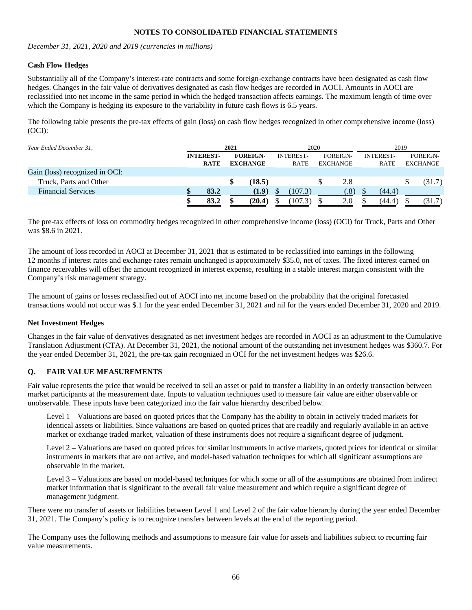## **Cash Flow Hedges**

Substantially all of the Company's interest-rate contracts and some foreign-exchange contracts have been designated as cash flow hedges. Changes in the fair value of derivatives designated as cash flow hedges are recorded in AOCI. Amounts in AOCI are reclassified into net income in the same period in which the hedged transaction affects earnings. The maximum length of time over which the Company is hedging its exposure to the variability in future cash flows is 6.5 years.

The following table presents the pre-tax effects of gain (loss) on cash flow hedges recognized in other comprehensive income (loss) (OCI):

| Year Ended December 31,        | 2021                                |  |        | 2020             |                 |  |                  | 2019   |                 |        |  |  |
|--------------------------------|-------------------------------------|--|--------|------------------|-----------------|--|------------------|--------|-----------------|--------|--|--|
|                                | <b>INTEREST-</b><br><b>FOREIGN-</b> |  |        | <b>INTEREST-</b> | <b>FOREIGN-</b> |  | <b>INTEREST-</b> |        | <b>FOREIGN-</b> |        |  |  |
|                                | <b>EXCHANGE</b><br><b>RATE</b>      |  |        | <b>RATE</b>      | EXCHANGE        |  | <b>RATE</b>      |        | EXCHANGE        |        |  |  |
| Gain (loss) recognized in OCI: |                                     |  |        |                  |                 |  |                  |        |                 |        |  |  |
| Truck, Parts and Other         |                                     |  | (18.5) |                  |                 |  | 2.8              |        |                 | (31.7) |  |  |
| <b>Financial Services</b>      | 83.2                                |  | (1.9)  |                  | (107.3)         |  | .8)              | (44.4) |                 |        |  |  |
|                                | 83.2                                |  | (20.4) |                  | (107.3)         |  | 2.0              | (44.4` |                 | (31.7) |  |  |

The pre-tax effects of loss on commodity hedges recognized in other comprehensive income (loss) (OCI) for Truck, Parts and Other was \$8.6 in 2021.

The amount of loss recorded in AOCI at December 31, 2021 that is estimated to be reclassified into earnings in the following 12 months if interest rates and exchange rates remain unchanged is approximately \$35.0, net of taxes. The fixed interest earned on finance receivables will offset the amount recognized in interest expense, resulting in a stable interest margin consistent with the Company's risk management strategy.

The amount of gains or losses reclassified out of AOCI into net income based on the probability that the original forecasted transactions would not occur was \$.1 for the year ended December 31, 2021 and nil for the years ended December 31, 2020 and 2019.

## **Net Investment Hedges**

Changes in the fair value of derivatives designated as net investment hedges are recorded in AOCI as an adjustment to the Cumulative Translation Adjustment (CTA). At December 31, 2021, the notional amount of the outstanding net investment hedges was \$360.7. For the year ended December 31, 2021, the pre-tax gain recognized in OCI for the net investment hedges was \$26.6.

## **Q. FAIR VALUE MEASUREMENTS**

Fair value represents the price that would be received to sell an asset or paid to transfer a liability in an orderly transaction between market participants at the measurement date. Inputs to valuation techniques used to measure fair value are either observable or unobservable. These inputs have been categorized into the fair value hierarchy described below.

Level 1 – Valuations are based on quoted prices that the Company has the ability to obtain in actively traded markets for identical assets or liabilities. Since valuations are based on quoted prices that are readily and regularly available in an active market or exchange traded market, valuation of these instruments does not require a significant degree of judgment.

Level 2 – Valuations are based on quoted prices for similar instruments in active markets, quoted prices for identical or similar instruments in markets that are not active, and model-based valuation techniques for which all significant assumptions are observable in the market.

Level 3 – Valuations are based on model-based techniques for which some or all of the assumptions are obtained from indirect market information that is significant to the overall fair value measurement and which require a significant degree of management judgment.

There were no transfer of assets or liabilities between Level 1 and Level 2 of the fair value hierarchy during the year ended December 31, 2021. The Company's policy is to recognize transfers between levels at the end of the reporting period.

The Company uses the following methods and assumptions to measure fair value for assets and liabilities subject to recurring fair value measurements.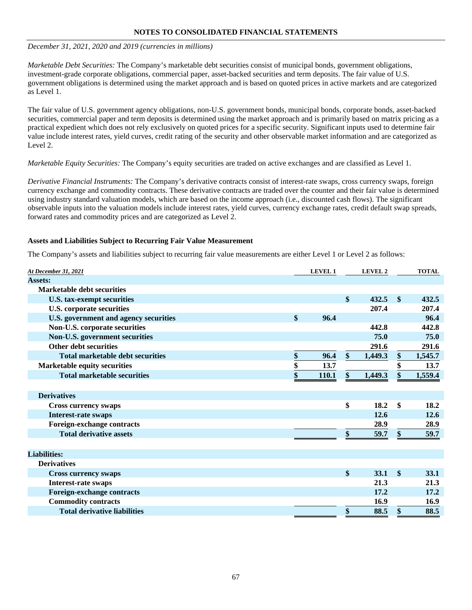## *December 31, 2021, 2020 and 2019 (currencies in millions)*

*Marketable Debt Securities:* The Company's marketable debt securities consist of municipal bonds, government obligations, investment-grade corporate obligations, commercial paper, asset-backed securities and term deposits. The fair value of U.S. government obligations is determined using the market approach and is based on quoted prices in active markets and are categorized as Level 1.

The fair value of U.S. government agency obligations, non-U.S. government bonds, municipal bonds, corporate bonds, asset-backed securities, commercial paper and term deposits is determined using the market approach and is primarily based on matrix pricing as a practical expedient which does not rely exclusively on quoted prices for a specific security. Significant inputs used to determine fair value include interest rates, yield curves, credit rating of the security and other observable market information and are categorized as Level 2.

*Marketable Equity Securities:* The Company's equity securities are traded on active exchanges and are classified as Level 1.

*Derivative Financial Instruments:* The Company's derivative contracts consist of interest-rate swaps, cross currency swaps, foreign currency exchange and commodity contracts. These derivative contracts are traded over the counter and their fair value is determined using industry standard valuation models, which are based on the income approach (i.e., discounted cash flows). The significant observable inputs into the valuation models include interest rates, yield curves, currency exchange rates, credit default swap spreads, forward rates and commodity prices and are categorized as Level 2.

## **Assets and Liabilities Subject to Recurring Fair Value Measurement**

The Company's assets and liabilities subject to recurring fair value measurements are either Level 1 or Level 2 as follows:

| At December 31, 2021                    | <b>LEVEL 1</b> | <b>LEVEL 2</b> |               | <b>TOTAL</b> |
|-----------------------------------------|----------------|----------------|---------------|--------------|
| <b>Assets:</b>                          |                |                |               |              |
| <b>Marketable debt securities</b>       |                |                |               |              |
| <b>U.S. tax-exempt securities</b>       |                | \$<br>432.5    | $\mathbf{\$}$ | 432.5        |
| <b>U.S. corporate securities</b>        |                | 207.4          |               | 207.4        |
| U.S. government and agency securities   | \$<br>96.4     |                |               | 96.4         |
| Non-U.S. corporate securities           |                | 442.8          |               | 442.8        |
| Non-U.S. government securities          |                | 75.0           |               | 75.0         |
| Other debt securities                   |                | 291.6          |               | 291.6        |
| <b>Total marketable debt securities</b> | \$<br>96.4     | \$<br>1,449.3  | \$            | 1,545.7      |
| Marketable equity securities            | \$<br>13.7     |                | \$            | 13.7         |
| <b>Total marketable securities</b>      | \$<br>110.1    | \$<br>1,449.3  | \$            | 1,559.4      |
|                                         |                |                |               |              |
| <b>Derivatives</b>                      |                |                |               |              |
| <b>Cross currency swaps</b>             |                | \$<br>18.2     | \$            | 18.2         |
| Interest-rate swaps                     |                | 12.6           |               | 12.6         |
| Foreign-exchange contracts              |                | 28.9           |               | 28.9         |
| <b>Total derivative assets</b>          |                | \$<br>59.7     | \$            | 59.7         |
|                                         |                |                |               |              |
| <b>Liabilities:</b>                     |                |                |               |              |
| <b>Derivatives</b>                      |                |                |               |              |
| <b>Cross currency swaps</b>             |                | \$<br>33.1     | $\mathbf{\$}$ | 33.1         |
| Interest-rate swaps                     |                | 21.3           |               | 21.3         |
| Foreign-exchange contracts              |                | 17.2           |               | 17.2         |
| <b>Commodity contracts</b>              |                | 16.9           |               | 16.9         |
| <b>Total derivative liabilities</b>     |                | \$<br>88.5     | \$            | 88.5         |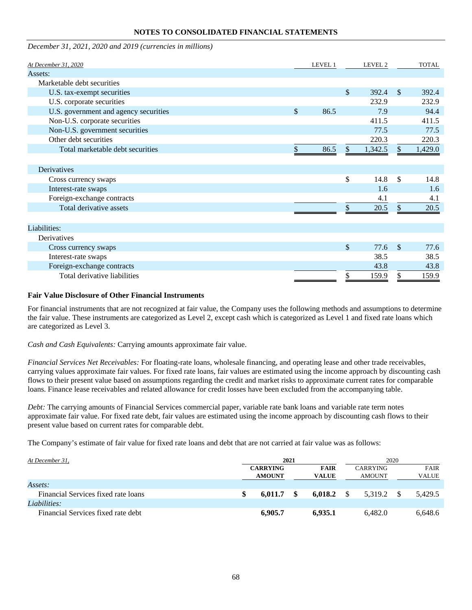# *December 31, 2021, 2020 and 2019 (currencies in millions)*

| At December 31, 2020                  | LEVEL 1    | LEVEL 2       |               | <b>TOTAL</b> |
|---------------------------------------|------------|---------------|---------------|--------------|
| Assets:                               |            |               |               |              |
| Marketable debt securities            |            |               |               |              |
| U.S. tax-exempt securities            |            | \$<br>392.4   | <sup>\$</sup> | 392.4        |
| U.S. corporate securities             |            | 232.9         |               | 232.9        |
| U.S. government and agency securities | \$<br>86.5 | 7.9           |               | 94.4         |
| Non-U.S. corporate securities         |            | 411.5         |               | 411.5        |
| Non-U.S. government securities        |            | 77.5          |               | 77.5         |
| Other debt securities                 |            | 220.3         |               | 220.3        |
| Total marketable debt securities      | \$<br>86.5 | \$<br>1,342.5 | $\mathbb{S}$  | 1,429.0      |
|                                       |            |               |               |              |
| Derivatives                           |            |               |               |              |
| Cross currency swaps                  |            | \$<br>14.8    | -\$           | 14.8         |
| Interest-rate swaps                   |            | 1.6           |               | 1.6          |
| Foreign-exchange contracts            |            | 4.1           |               | 4.1          |
| Total derivative assets               |            | \$<br>20.5    | $\mathcal{S}$ | 20.5         |
|                                       |            |               |               |              |
| Liabilities:                          |            |               |               |              |
| Derivatives                           |            |               |               |              |
| Cross currency swaps                  |            | \$<br>77.6    | <sup>\$</sup> | 77.6         |
| Interest-rate swaps                   |            | 38.5          |               | 38.5         |
| Foreign-exchange contracts            |            | 43.8          |               | 43.8         |
| Total derivative liabilities          |            | 159.9         | S             | 159.9        |

#### **Fair Value Disclosure of Other Financial Instruments**

For financial instruments that are not recognized at fair value, the Company uses the following methods and assumptions to determine the fair value. These instruments are categorized as Level 2, except cash which is categorized as Level 1 and fixed rate loans which are categorized as Level 3.

*Cash and Cash Equivalents:* Carrying amounts approximate fair value.

*Financial Services Net Receivables:* For floating-rate loans, wholesale financing, and operating lease and other trade receivables, carrying values approximate fair values. For fixed rate loans, fair values are estimated using the income approach by discounting cash flows to their present value based on assumptions regarding the credit and market risks to approximate current rates for comparable loans. Finance lease receivables and related allowance for credit losses have been excluded from the accompanying table.

*Debt:* The carrying amounts of Financial Services commercial paper, variable rate bank loans and variable rate term notes approximate fair value. For fixed rate debt, fair values are estimated using the income approach by discounting cash flows to their present value based on current rates for comparable debt.

The Company's estimate of fair value for fixed rate loans and debt that are not carried at fair value was as follows:

| At December 31,                     | 2021            |               |     |              |          | 2020          |  |              |
|-------------------------------------|-----------------|---------------|-----|--------------|----------|---------------|--|--------------|
|                                     | <b>CARRYING</b> |               |     | <b>FAIR</b>  | CARRYING |               |  | FAIR         |
|                                     |                 | <b>AMOUNT</b> |     | <b>VALUE</b> |          | <b>AMOUNT</b> |  | <b>VALUE</b> |
| Assets:                             |                 |               |     |              |          |               |  |              |
| Financial Services fixed rate loans |                 | 6.011.7       | -SS | 6.018.2      |          | 5.319.2       |  | 5.429.5      |
| Liabilities:                        |                 |               |     |              |          |               |  |              |
| Financial Services fixed rate debt  |                 | 6.905.7       |     | 6.935.1      |          | 6.482.0       |  | 6.648.6      |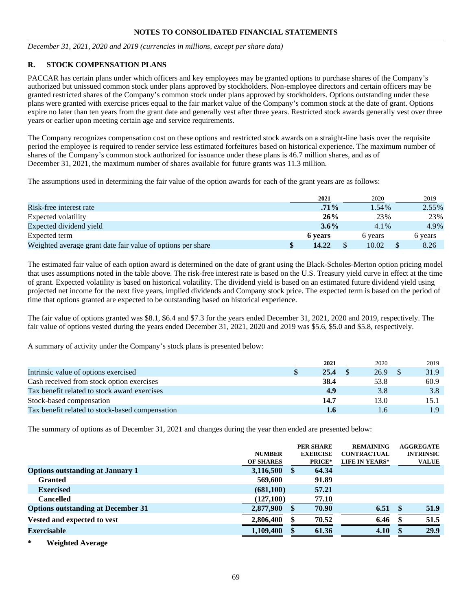*December 31, 2021, 2020 and 2019 (currencies in millions, except per share data)*

# **R. STOCK COMPENSATION PLANS**

PACCAR has certain plans under which officers and key employees may be granted options to purchase shares of the Company's authorized but unissued common stock under plans approved by stockholders. Non-employee directors and certain officers may be granted restricted shares of the Company's common stock under plans approved by stockholders. Options outstanding under these plans were granted with exercise prices equal to the fair market value of the Company's common stock at the date of grant. Options expire no later than ten years from the grant date and generally vest after three years. Restricted stock awards generally vest over three years or earlier upon meeting certain age and service requirements.

The Company recognizes compensation cost on these options and restricted stock awards on a straight-line basis over the requisite period the employee is required to render service less estimated forfeitures based on historical experience. The maximum number of shares of the Company's common stock authorized for issuance under these plans is 46.7 million shares, and as of December 31, 2021, the maximum number of shares available for future grants was 11.3 million.

The assumptions used in determining the fair value of the option awards for each of the grant years are as follows:

|                                                             | 2021    | 2020    | 2019    |
|-------------------------------------------------------------|---------|---------|---------|
| Risk-free interest rate                                     | $.71\%$ | 1.54%   | 2.55%   |
| Expected volatility                                         | 26%     | 23%     | 23%     |
| Expected dividend yield                                     | $3.6\%$ | 4.1%    | 4.9%    |
| Expected term                                               | 6 years | 6 years | 6 years |
| Weighted average grant date fair value of options per share | 14.22   | 10.02   | 8.26    |

The estimated fair value of each option award is determined on the date of grant using the Black-Scholes-Merton option pricing model that uses assumptions noted in the table above. The risk-free interest rate is based on the U.S. Treasury yield curve in effect at the time of grant. Expected volatility is based on historical volatility. The dividend yield is based on an estimated future dividend yield using projected net income for the next five years, implied dividends and Company stock price. The expected term is based on the period of time that options granted are expected to be outstanding based on historical experience.

The fair value of options granted was \$8.1, \$6.4 and \$7.3 for the years ended December 31, 2021, 2020 and 2019, respectively. The fair value of options vested during the years ended December 31, 2021, 2020 and 2019 was \$5.6, \$5.0 and \$5.8, respectively.

A summary of activity under the Company's stock plans is presented below:

|                                                 |   | 2021 | 2020 | 2019 |
|-------------------------------------------------|---|------|------|------|
| Intrinsic value of options exercised            | S | 25.4 | 26.9 | 31.9 |
| Cash received from stock option exercises       |   | 38.4 | 53.8 | 60.9 |
| Tax benefit related to stock award exercises    |   | 4.9  | 3.8  |      |
| Stock-based compensation                        |   | 14.7 | 13.0 |      |
| Tax benefit related to stock-based compensation |   |      |      |      |

The summary of options as of December 31, 2021 and changes during the year then ended are presented below:

|                                           |                  |          | <b>PER SHARE</b> | <b>REMAINING</b>      | <b>AGGREGATE</b> |
|-------------------------------------------|------------------|----------|------------------|-----------------------|------------------|
|                                           | <b>NUMBER</b>    |          | <b>EXERCISE</b>  | <b>CONTRACTUAL</b>    | <b>INTRINSIC</b> |
|                                           | <b>OF SHARES</b> |          | PRICE*           | <b>LIFE IN YEARS*</b> | <b>VALUE</b>     |
| <b>Options outstanding at January 1</b>   | 3,116,500        | <b>S</b> | 64.34            |                       |                  |
| <b>Granted</b>                            | 569,600          |          | 91.89            |                       |                  |
| <b>Exercised</b>                          | (681,100)        |          | 57.21            |                       |                  |
| <b>Cancelled</b>                          | (127,100)        |          | 77.10            |                       |                  |
| <b>Options outstanding at December 31</b> | 2,877,900        | œ.       | 70.90            | 6.51                  | 51.9             |
| Vested and expected to vest               | 2,806,400        |          | 70.52            | 6.46                  | 51.5             |
| <b>Exercisable</b>                        | 1,109,400        |          | 61.36            | 4.10                  | 29.9             |
|                                           |                  |          |                  |                       |                  |

**\* Weighted Average**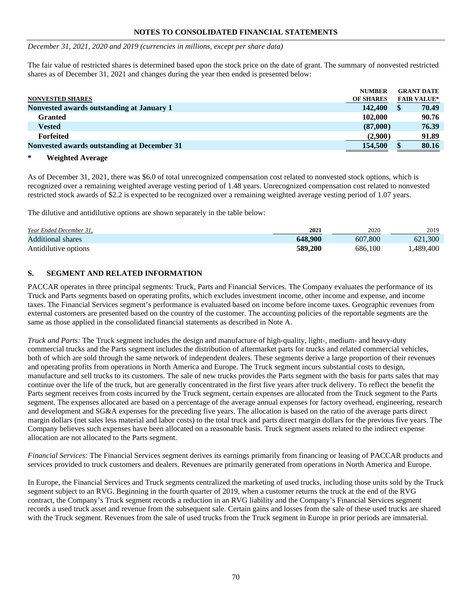#### *December 31, 2021, 2020 and 2019 (currencies in millions, except per share data)*

The fair value of restricted shares is determined based upon the stock price on the date of grant. The summary of nonvested restricted shares as of December 31, 2021 and changes during the year then ended is presented below:

|                                             | <b>NUMBER</b>    | <b>GRANT DATE</b>  |
|---------------------------------------------|------------------|--------------------|
| <b>NONVESTED SHARES</b>                     | <b>OF SHARES</b> | <b>FAIR VALUE*</b> |
| Nonvested awards outstanding at January 1   | 142,400          | 70.49              |
| <b>Granted</b>                              | 102,000          | 90.76              |
| Vested                                      | (87,000)         | 76.39              |
| <b>Forfeited</b>                            | (2,900)          | 91.89              |
| Nonvested awards outstanding at December 31 | 154,500          | 80.16              |

#### **\* Weighted Average**

As of December 31, 2021, there was \$6.0 of total unrecognized compensation cost related to nonvested stock options, which is recognized over a remaining weighted average vesting period of 1.48 years. Unrecognized compensation cost related to nonvested restricted stock awards of \$2.2 is expected to be recognized over a remaining weighted average vesting period of 1.07 years.

The dilutive and antidilutive options are shown separately in the table below:

| Year Ended December 31.  | 2021    | 2020    | 2019     |
|--------------------------|---------|---------|----------|
| <b>Additional shares</b> | 648.900 | 607,800 | 621.300  |
| Antidilutive options     | 589.200 | 686,100 | ,489,400 |

## **S. SEGMENT AND RELATED INFORMATION**

PACCAR operates in three principal segments: Truck, Parts and Financial Services. The Company evaluates the performance of its Truck and Parts segments based on operating profits, which excludes investment income, other income and expense, and income taxes. The Financial Services segment's performance is evaluated based on income before income taxes. Geographic revenues from external customers are presented based on the country of the customer. The accounting policies of the reportable segments are the same as those applied in the consolidated financial statements as described in Note A.

*Truck and Parts:* The Truck segment includes the design and manufacture of high-quality, light-, medium- and heavy-duty commercial trucks and the Parts segment includes the distribution of aftermarket parts for trucks and related commercial vehicles, both of which are sold through the same network of independent dealers. These segments derive a large proportion of their revenues and operating profits from operations in North America and Europe. The Truck segment incurs substantial costs to design, manufacture and sell trucks to its customers. The sale of new trucks provides the Parts segment with the basis for parts sales that may continue over the life of the truck, but are generally concentrated in the first five years after truck delivery. To reflect the benefit the Parts segment receives from costs incurred by the Truck segment, certain expenses are allocated from the Truck segment to the Parts segment. The expenses allocated are based on a percentage of the average annual expenses for factory overhead, engineering, research and development and SG&A expenses for the preceding five years. The allocation is based on the ratio of the average parts direct margin dollars (net sales less material and labor costs) to the total truck and parts direct margin dollars for the previous five years. The Company believes such expenses have been allocated on a reasonable basis. Truck segment assets related to the indirect expense allocation are not allocated to the Parts segment.

*Financial Services:* The Financial Services segment derives its earnings primarily from financing or leasing of PACCAR products and services provided to truck customers and dealers. Revenues are primarily generated from operations in North America and Europe.

In Europe, the Financial Services and Truck segments centralized the marketing of used trucks, including those units sold by the Truck segment subject to an RVG. Beginning in the fourth quarter of 2019, when a customer returns the truck at the end of the RVG contract, the Company's Truck segment records a reduction in an RVG liability and the Company's Financial Services segment records a used truck asset and revenue from the subsequent sale. Certain gains and losses from the sale of these used trucks are shared with the Truck segment. Revenues from the sale of used trucks from the Truck segment in Europe in prior periods are immaterial.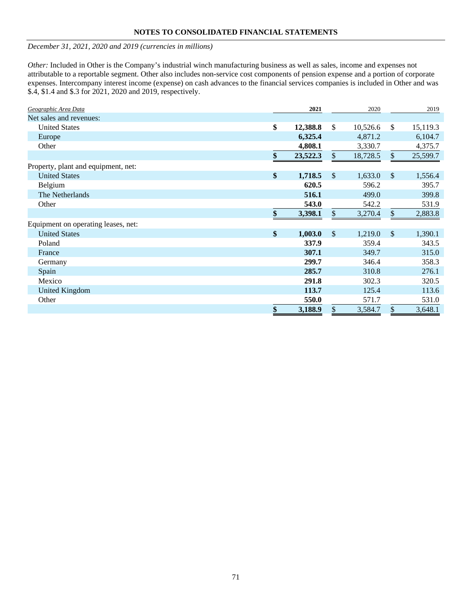*December 31, 2021, 2020 and 2019 (currencies in millions)*

*Other:* Included in Other is the Company's industrial winch manufacturing business as well as sales, income and expenses not attributable to a reportable segment. Other also includes non-service cost components of pension expense and a portion of corporate expenses. Intercompany interest income (expense) on cash advances to the financial services companies is included in Other and was \$.4, \$1.4 and \$.3 for 2021, 2020 and 2019, respectively.

| Geographic Area Data                |                   | 2021     |               | 2020     |               | 2019     |
|-------------------------------------|-------------------|----------|---------------|----------|---------------|----------|
| Net sales and revenues:             |                   |          |               |          |               |          |
| <b>United States</b>                | \$                | 12,388.8 | \$            | 10,526.6 | $\mathbb{S}$  | 15,119.3 |
| Europe                              |                   | 6,325.4  |               | 4,871.2  |               | 6,104.7  |
| Other                               |                   | 4,808.1  |               | 3,330.7  |               | 4,375.7  |
|                                     | \$                | 23,522.3 | $\mathcal{S}$ | 18,728.5 | \$            | 25,599.7 |
| Property, plant and equipment, net: |                   |          |               |          |               |          |
| <b>United States</b>                | \$                | 1,718.5  | \$            | 1,633.0  | $\frac{1}{2}$ | 1,556.4  |
| Belgium                             |                   | 620.5    |               | 596.2    |               | 395.7    |
| The Netherlands                     |                   | 516.1    |               | 499.0    |               | 399.8    |
| Other                               |                   | 543.0    |               | 542.2    |               | 531.9    |
|                                     | \$                | 3,398.1  | $\mathbb{S}$  | 3,270.4  | \$            | 2,883.8  |
| Equipment on operating leases, net: |                   |          |               |          |               |          |
| <b>United States</b>                | $\boldsymbol{\$}$ | 1,003.0  | $\mathbb{S}$  | 1,219.0  | $\mathcal{S}$ | 1,390.1  |
| Poland                              |                   | 337.9    |               | 359.4    |               | 343.5    |
| France                              |                   | 307.1    |               | 349.7    |               | 315.0    |
| Germany                             |                   | 299.7    |               | 346.4    |               | 358.3    |
| Spain                               |                   | 285.7    |               | 310.8    |               | 276.1    |
| Mexico                              |                   | 291.8    |               | 302.3    |               | 320.5    |
| <b>United Kingdom</b>               |                   | 113.7    |               | 125.4    |               | 113.6    |
| Other                               |                   | 550.0    |               | 571.7    |               | 531.0    |
|                                     | \$                | 3,188.9  | \$            | 3,584.7  | \$            | 3,648.1  |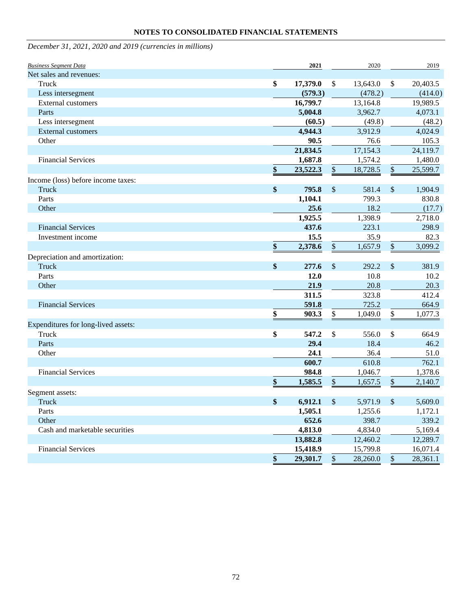| <b>Business Segment Data</b>        |               | 2021     |                           | 2020     |                           | 2019     |
|-------------------------------------|---------------|----------|---------------------------|----------|---------------------------|----------|
| Net sales and revenues:             |               |          |                           |          |                           |          |
| Truck                               | \$            | 17,379.0 | $\mathcal{S}$             | 13,643.0 | $\boldsymbol{\mathsf{S}}$ | 20,403.5 |
| Less intersegment                   |               | (579.3)  |                           | (478.2)  |                           | (414.0)  |
| <b>External customers</b>           |               | 16,799.7 |                           | 13,164.8 |                           | 19,989.5 |
| Parts                               |               | 5,004.8  |                           | 3,962.7  |                           | 4,073.1  |
| Less intersegment                   |               | (60.5)   |                           | (49.8)   |                           | (48.2)   |
| <b>External customers</b>           |               | 4,944.3  |                           | 3,912.9  |                           | 4,024.9  |
| Other                               |               | 90.5     |                           | 76.6     |                           | 105.3    |
|                                     |               | 21,834.5 |                           | 17,154.3 |                           | 24,119.7 |
| <b>Financial Services</b>           |               | 1,687.8  |                           | 1,574.2  |                           | 1,480.0  |
|                                     | \$            | 23,522.3 | $\boldsymbol{\mathsf{S}}$ | 18,728.5 | $\boldsymbol{\mathsf{S}}$ | 25,599.7 |
| Income (loss) before income taxes:  |               |          |                           |          |                           |          |
| Truck                               | \$            | 795.8    | \$                        | 581.4    | $\$\,$                    | 1,904.9  |
| Parts                               |               | 1,104.1  |                           | 799.3    |                           | 830.8    |
| Other                               |               | 25.6     |                           | 18.2     |                           | (17.7)   |
|                                     |               | 1,925.5  |                           | 1,398.9  |                           | 2,718.0  |
| <b>Financial Services</b>           |               | 437.6    |                           | 223.1    |                           | 298.9    |
| Investment income                   |               | 15.5     |                           | 35.9     |                           | 82.3     |
|                                     | \$            | 2,378.6  | $\sqrt$                   | 1,657.9  | $\$$                      | 3,099.2  |
| Depreciation and amortization:      |               |          |                           |          |                           |          |
| <b>Truck</b>                        | \$            | 277.6    | \$                        | 292.2    | $\boldsymbol{\mathsf{S}}$ | 381.9    |
| Parts                               |               | 12.0     |                           | 10.8     |                           | 10.2     |
| Other                               |               | 21.9     |                           | 20.8     |                           | 20.3     |
|                                     |               | 311.5    |                           | 323.8    |                           | 412.4    |
| <b>Financial Services</b>           |               | 591.8    |                           | 725.2    |                           | 664.9    |
|                                     |               | 903.3    |                           | 1,049.0  | \$                        | 1,077.3  |
|                                     | $\frac{\$}{}$ |          | $\frac{1}{2}$             |          |                           |          |
| Expenditures for long-lived assets: |               |          |                           |          |                           |          |
| Truck                               | \$            | 547.2    | \$                        | 556.0    | \$                        | 664.9    |
| Parts                               |               | 29.4     |                           | 18.4     |                           | 46.2     |
| Other                               |               | 24.1     |                           | 36.4     |                           | 51.0     |
|                                     |               | 600.7    |                           | 610.8    |                           | 762.1    |
| <b>Financial Services</b>           |               | 984.8    |                           | 1,046.7  |                           | 1,378.6  |
|                                     | \$            | 1,585.5  | $\boldsymbol{\mathsf{S}}$ | 1,657.5  | $\$$                      | 2,140.7  |
| Segment assets:                     |               |          |                           |          |                           |          |
| Truck                               | \$            | 6,912.1  | \$                        | 5,971.9  | $\boldsymbol{\mathsf{S}}$ | 5,609.0  |
| Parts                               |               | 1,505.1  |                           | 1,255.6  |                           | 1,172.1  |
| Other                               |               | 652.6    |                           | 398.7    |                           | 339.2    |
| Cash and marketable securities      |               | 4,813.0  |                           | 4,834.0  |                           | 5,169.4  |
|                                     |               | 13,882.8 |                           | 12,460.2 |                           | 12,289.7 |
| <b>Financial Services</b>           |               | 15,418.9 |                           | 15,799.8 |                           | 16,071.4 |
|                                     | \$            | 29,301.7 | $\boldsymbol{\mathsf{S}}$ | 28,260.0 | $\$$                      | 28,361.1 |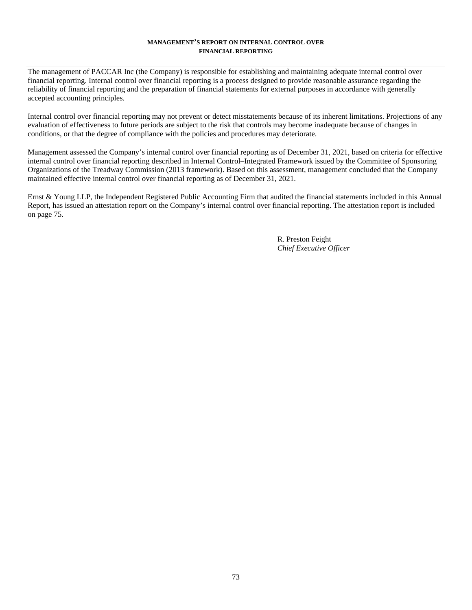### **MANAGEMENT'S REPORT ON INTERNAL CONTROL OVER FINANCIAL REPORTING**

The management of PACCAR Inc (the Company) is responsible for establishing and maintaining adequate internal control over financial reporting. Internal control over financial reporting is a process designed to provide reasonable assurance regarding the reliability of financial reporting and the preparation of financial statements for external purposes in accordance with generally accepted accounting principles.

Internal control over financial reporting may not prevent or detect misstatements because of its inherent limitations. Projections of any evaluation of effectiveness to future periods are subject to the risk that controls may become inadequate because of changes in conditions, or that the degree of compliance with the policies and procedures may deteriorate.

Management assessed the Company's internal control over financial reporting as of December 31, 2021, based on criteria for effective internal control over financial reporting described in Internal Control–Integrated Framework issued by the Committee of Sponsoring Organizations of the Treadway Commission (2013 framework). Based on this assessment, management concluded that the Company maintained effective internal control over financial reporting as of December 31, 2021.

Ernst & Young LLP, the Independent Registered Public Accounting Firm that audited the financial statements included in this Annual Report, has issued an attestation report on the Company's internal control over financial reporting. The attestation report is included on page 75.

> R. Preston Feight *Chief Executive Officer*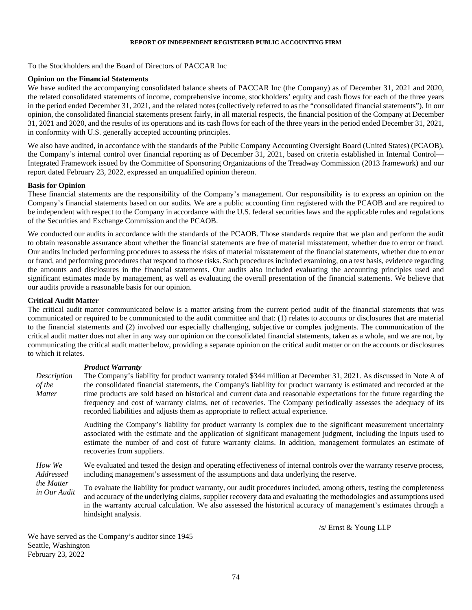To the Stockholders and the Board of Directors of PACCAR Inc

### **Opinion on the Financial Statements**

We have audited the accompanying consolidated balance sheets of PACCAR Inc (the Company) as of December 31, 2021 and 2020, the related consolidated statements of income, comprehensive income, stockholders' equity and cash flows for each of the three years in the period ended December 31, 2021, and the related notes(collectively referred to as the "consolidated financial statements"). In our opinion, the consolidated financial statements present fairly, in all material respects, the financial position of the Company at December 31, 2021 and 2020, and the results of its operations and its cash flows for each of the three years in the period ended December 31, 2021, in conformity with U.S. generally accepted accounting principles.

We also have audited, in accordance with the standards of the Public Company Accounting Oversight Board (United States) (PCAOB), the Company's internal control over financial reporting as of December 31, 2021, based on criteria established in Internal Control— Integrated Framework issued by the Committee of Sponsoring Organizations of the Treadway Commission (2013 framework) and our report dated February 23, 2022, expressed an unqualified opinion thereon.

### **Basis for Opinion**

These financial statements are the responsibility of the Company's management. Our responsibility is to express an opinion on the Company's financial statements based on our audits. We are a public accounting firm registered with the PCAOB and are required to be independent with respect to the Company in accordance with the U.S. federal securities laws and the applicable rules and regulations of the Securities and Exchange Commission and the PCAOB.

We conducted our audits in accordance with the standards of the PCAOB. Those standards require that we plan and perform the audit to obtain reasonable assurance about whether the financial statements are free of material misstatement, whether due to error or fraud. Our audits included performing procedures to assess the risks of material misstatement of the financial statements, whether due to error or fraud, and performing procedures that respond to those risks. Such procedures included examining, on a test basis, evidence regarding the amounts and disclosures in the financial statements. Our audits also included evaluating the accounting principles used and significant estimates made by management, as well as evaluating the overall presentation of the financial statements. We believe that our audits provide a reasonable basis for our opinion.

### **Critical Audit Matter**

The critical audit matter communicated below is a matter arising from the current period audit of the financial statements that was communicated or required to be communicated to the audit committee and that: (1) relates to accounts or disclosures that are material to the financial statements and (2) involved our especially challenging, subjective or complex judgments. The communication of the critical audit matter does not alter in any way our opinion on the consolidated financial statements, taken as a whole, and we are not, by communicating the critical audit matter below, providing a separate opinion on the critical audit matter or on the accounts or disclosures to which it relates.

### *Product Warranty*

*Description of the Matter* The Company's liability for product warranty totaled \$344 million at December 31, 2021. As discussed in Note A of the consolidated financial statements, the Company's liability for product warranty is estimated and recorded at the time products are sold based on historical and current data and reasonable expectations for the future regarding the frequency and cost of warranty claims, net of recoveries. The Company periodically assesses the adequacy of its recorded liabilities and adjusts them as appropriate to reflect actual experience.

> Auditing the Company's liability for product warranty is complex due to the significant measurement uncertainty associated with the estimate and the application of significant management judgment, including the inputs used to estimate the number of and cost of future warranty claims. In addition, management formulates an estimate of recoveries from suppliers.

*How We Addressed*  We evaluated and tested the design and operating effectiveness of internal controls over the warranty reserve process, including management's assessment of the assumptions and data underlying the reserve.

*the Matter in Our Audit* To evaluate the liability for product warranty, our audit procedures included, among others, testing the completeness and accuracy of the underlying claims, supplier recovery data and evaluating the methodologies and assumptions used in the warranty accrual calculation. We also assessed the historical accuracy of management's estimates through a hindsight analysis.

/s/ Ernst & Young LLP

We have served as the Company's auditor since 1945 Seattle, Washington February 23, 2022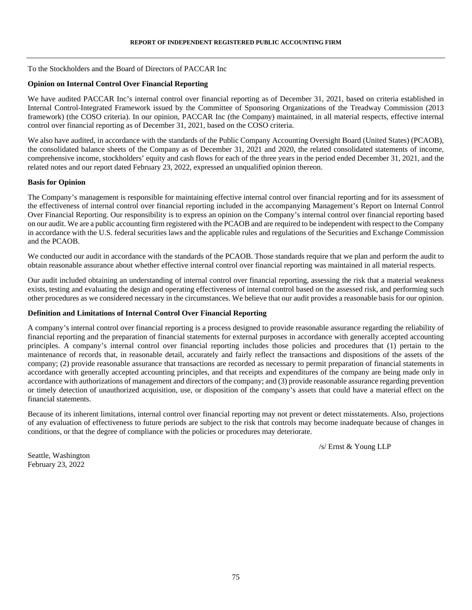To the Stockholders and the Board of Directors of PACCAR Inc

### **Opinion on Internal Control Over Financial Reporting**

We have audited PACCAR Inc's internal control over financial reporting as of December 31, 2021, based on criteria established in Internal Control-Integrated Framework issued by the Committee of Sponsoring Organizations of the Treadway Commission (2013 framework) (the COSO criteria). In our opinion, PACCAR Inc (the Company) maintained, in all material respects, effective internal control over financial reporting as of December 31, 2021, based on the COSO criteria.

We also have audited, in accordance with the standards of the Public Company Accounting Oversight Board (United States) (PCAOB), the consolidated balance sheets of the Company as of December 31, 2021 and 2020, the related consolidated statements of income, comprehensive income, stockholders' equity and cash flows for each of the three years in the period ended December 31, 2021, and the related notes and our report dated February 23, 2022, expressed an unqualified opinion thereon.

### **Basis for Opinion**

The Company's management is responsible for maintaining effective internal control over financial reporting and for its assessment of the effectiveness of internal control over financial reporting included in the accompanying Management's Report on Internal Control Over Financial Reporting. Our responsibility is to express an opinion on the Company's internal control over financial reporting based on our audit. We are a public accounting firm registered with the PCAOB and are required to be independent with respect to the Company in accordance with the U.S. federal securities laws and the applicable rules and regulations of the Securities and Exchange Commission and the PCAOB.

We conducted our audit in accordance with the standards of the PCAOB. Those standards require that we plan and perform the audit to obtain reasonable assurance about whether effective internal control over financial reporting was maintained in all material respects.

Our audit included obtaining an understanding of internal control over financial reporting, assessing the risk that a material weakness exists, testing and evaluating the design and operating effectiveness of internal control based on the assessed risk, and performing such other procedures as we considered necessary in the circumstances. We believe that our audit provides a reasonable basis for our opinion.

### **Definition and Limitations of Internal Control Over Financial Reporting**

A company's internal control over financial reporting is a process designed to provide reasonable assurance regarding the reliability of financial reporting and the preparation of financial statements for external purposes in accordance with generally accepted accounting principles. A company's internal control over financial reporting includes those policies and procedures that (1) pertain to the maintenance of records that, in reasonable detail, accurately and fairly reflect the transactions and dispositions of the assets of the company; (2) provide reasonable assurance that transactions are recorded as necessary to permit preparation of financial statements in accordance with generally accepted accounting principles, and that receipts and expenditures of the company are being made only in accordance with authorizations of management and directors of the company; and (3) provide reasonable assurance regarding prevention or timely detection of unauthorized acquisition, use, or disposition of the company's assets that could have a material effect on the financial statements.

Because of its inherent limitations, internal control over financial reporting may not prevent or detect misstatements. Also, projections of any evaluation of effectiveness to future periods are subject to the risk that controls may become inadequate because of changes in conditions, or that the degree of compliance with the policies or procedures may deteriorate.

/s/ Ernst & Young LLP

Seattle, Washington February 23, 2022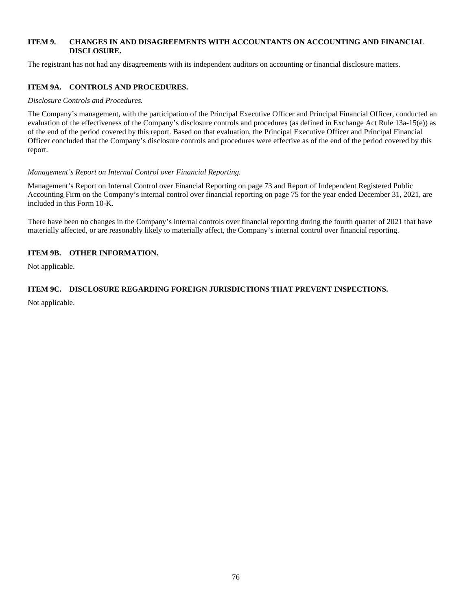## **ITEM 9. CHANGES IN AND DISAGREEMENTS WITH ACCOUNTANTS ON ACCOUNTING AND FINANCIAL DISCLOSURE.**

The registrant has not had any disagreements with its independent auditors on accounting or financial disclosure matters.

## **ITEM 9A. CONTROLS AND PROCEDURES.**

### *Disclosure Controls and Procedures.*

The Company's management, with the participation of the Principal Executive Officer and Principal Financial Officer, conducted an evaluation of the effectiveness of the Company's disclosure controls and procedures (as defined in Exchange Act Rule 13a-15(e)) as of the end of the period covered by this report. Based on that evaluation, the Principal Executive Officer and Principal Financial Officer concluded that the Company's disclosure controls and procedures were effective as of the end of the period covered by this report.

### *Management's Report on Internal Control over Financial Reporting.*

Management's Report on Internal Control over Financial Reporting on page 73 and Report of Independent Registered Public Accounting Firm on the Company's internal control over financial reporting on page 75 for the year ended December 31, 2021, are included in this Form 10-K.

There have been no changes in the Company's internal controls over financial reporting during the fourth quarter of 2021 that have materially affected, or are reasonably likely to materially affect, the Company's internal control over financial reporting.

## **ITEM 9B. OTHER INFORMATION.**

Not applicable.

## **ITEM 9C. DISCLOSURE REGARDING FOREIGN JURISDICTIONS THAT PREVENT INSPECTIONS.**

Not applicable.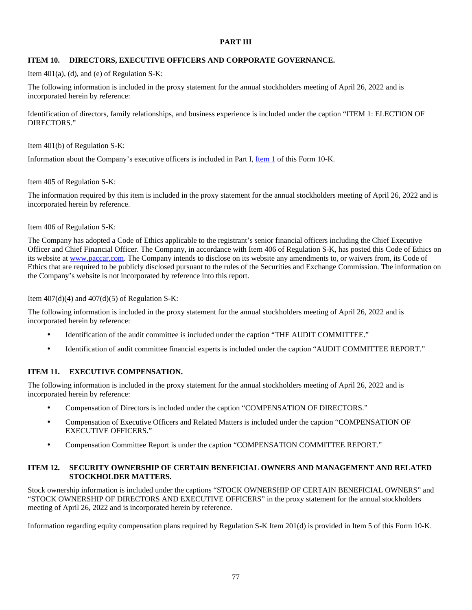## **PART III**

## **ITEM 10. DIRECTORS, EXECUTIVE OFFICERS AND CORPORATE GOVERNANCE.**

## Item  $401(a)$ , (d), and (e) of Regulation S-K:

The following information is included in the proxy statement for the annual stockholders meeting of April 26, 2022 and is incorporated herein by reference:

Identification of directors, family relationships, and business experience is included under the caption "ITEM 1: ELECTION OF DIRECTORS."

Item 401(b) of Regulation S-K:

Information about the Company's executive officers is included in Part I, [Item 1](#page-2-0) of this Form 10-K.

Item 405 of Regulation S-K:

The information required by this item is included in the proxy statement for the annual stockholders meeting of April 26, 2022 and is incorporated herein by reference.

## Item 406 of Regulation S-K:

The Company has adopted a Code of Ethics applicable to the registrant's senior financial officers including the Chief Executive Officer and Chief Financial Officer. The Company, in accordance with Item 406 of Regulation S-K, has posted this Code of Ethics on its website at [www.paccar.com.](file:///C:/Users/Paul.Olsen/Documents/www.paccar.com) The Company intends to disclose on its website any amendments to, or waivers from, its Code of Ethics that are required to be publicly disclosed pursuant to the rules of the Securities and Exchange Commission. The information on the Company's website is not incorporated by reference into this report.

Item  $407(d)(4)$  and  $407(d)(5)$  of Regulation S-K:

The following information is included in the proxy statement for the annual stockholders meeting of April 26, 2022 and is incorporated herein by reference:

- Identification of the audit committee is included under the caption "THE AUDIT COMMITTEE."
- Identification of audit committee financial experts is included under the caption "AUDIT COMMITTEE REPORT."

## **ITEM 11. EXECUTIVE COMPENSATION.**

The following information is included in the proxy statement for the annual stockholders meeting of April 26, 2022 and is incorporated herein by reference:

- Compensation of Directors is included under the caption "COMPENSATION OF DIRECTORS."
- Compensation of Executive Officers and Related Matters is included under the caption "COMPENSATION OF EXECUTIVE OFFICERS."
- Compensation Committee Report is under the caption "COMPENSATION COMMITTEE REPORT."

## **ITEM 12. SECURITY OWNERSHIP OF CERTAIN BENEFICIAL OWNERS AND MANAGEMENT AND RELATED STOCKHOLDER MATTERS.**

Stock ownership information is included under the captions "STOCK OWNERSHIP OF CERTAIN BENEFICIAL OWNERS" and "STOCK OWNERSHIP OF DIRECTORS AND EXECUTIVE OFFICERS" in the proxy statement for the annual stockholders meeting of April 26, 2022 and is incorporated herein by reference.

Information regarding equity compensation plans required by Regulation S-K Item 201(d) is provided in Item 5 of this Form 10-K.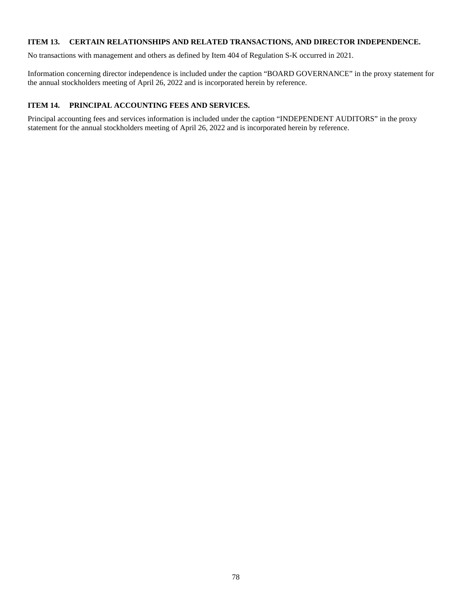## **ITEM 13. CERTAIN RELATIONSHIPS AND RELATED TRANSACTIONS, AND DIRECTOR INDEPENDENCE.**

No transactions with management and others as defined by Item 404 of Regulation S-K occurred in 2021.

Information concerning director independence is included under the caption "BOARD GOVERNANCE" in the proxy statement for the annual stockholders meeting of April 26, 2022 and is incorporated herein by reference.

## **ITEM 14. PRINCIPAL ACCOUNTING FEES AND SERVICES.**

Principal accounting fees and services information is included under the caption "INDEPENDENT AUDITORS" in the proxy statement for the annual stockholders meeting of April 26, 2022 and is incorporated herein by reference.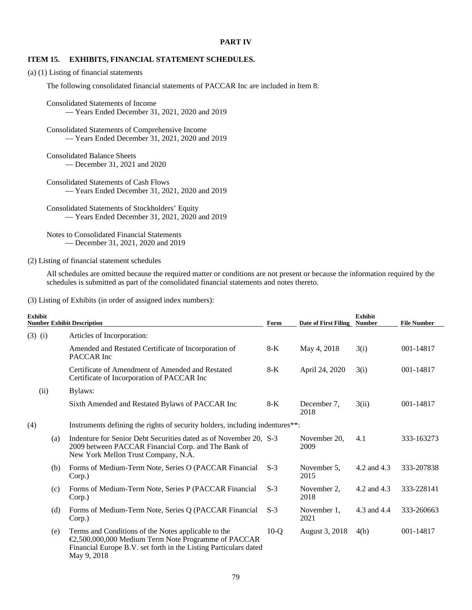#### **PART IV**

## **ITEM 15. EXHIBITS, FINANCIAL STATEMENT SCHEDULES.**

(a) (1) Listing of financial statements

The following consolidated financial statements of PACCAR Inc are included in Item 8:

Consolidated Statements of Income — Years Ended December 31, 2021, 2020 and 2019

Consolidated Statements of Comprehensive Income — Years Ended December 31, 2021, 2020 and 2019

Consolidated Balance Sheets — December 31, 2021 and 2020

Consolidated Statements of Cash Flows — Years Ended December 31, 2021, 2020 and 2019

Consolidated Statements of Stockholders' Equity — Years Ended December 31, 2021, 2020 and 2019

Notes to Consolidated Financial Statements — December 31, 2021, 2020 and 2019

(2) Listing of financial statement schedules

All schedules are omitted because the required matter or conditions are not present or because the information required by the schedules is submitted as part of the consolidated financial statements and notes thereto.

(3) Listing of Exhibits (in order of assigned index numbers):

| <b>Exhibit</b><br><b>Number Exhibit Description</b> |     |                                                                                                                                                                                               | Form   | Date of First Filing | <b>Exhibit</b><br><b>Number</b> | <b>File Number</b> |  |  |
|-----------------------------------------------------|-----|-----------------------------------------------------------------------------------------------------------------------------------------------------------------------------------------------|--------|----------------------|---------------------------------|--------------------|--|--|
| $(3)$ (i)                                           |     | Articles of Incorporation:                                                                                                                                                                    |        |                      |                                 |                    |  |  |
|                                                     |     | Amended and Restated Certificate of Incorporation of<br>PACCAR Inc                                                                                                                            | $8-K$  | May 4, 2018          | 3(i)                            | 001-14817          |  |  |
|                                                     |     | Certificate of Amendment of Amended and Restated<br>Certificate of Incorporation of PACCAR Inc                                                                                                | $8-K$  | April 24, 2020       | 3(i)                            | 001-14817          |  |  |
| (ii)                                                |     | Bylaws:                                                                                                                                                                                       |        |                      |                                 |                    |  |  |
|                                                     |     | Sixth Amended and Restated Bylaws of PACCAR Inc                                                                                                                                               | $8-K$  | December 7,<br>2018  | 3(ii)                           | 001-14817          |  |  |
| (4)                                                 |     | Instruments defining the rights of security holders, including indentures**:                                                                                                                  |        |                      |                                 |                    |  |  |
|                                                     | (a) | Indenture for Senior Debt Securities dated as of November 20, S-3<br>2009 between PACCAR Financial Corp. and The Bank of<br>New York Mellon Trust Company, N.A.                               |        | November 20,<br>2009 | 4.1                             | 333-163273         |  |  |
|                                                     | (b) | Forms of Medium-Term Note, Series O (PACCAR Financial<br>Corp.)                                                                                                                               | $S-3$  | November 5,<br>2015  | 4.2 and 4.3                     | 333-207838         |  |  |
|                                                     | (c) | Forms of Medium-Term Note, Series P (PACCAR Financial<br>Corp.)                                                                                                                               | $S-3$  | November 2,<br>2018  | 4.2 and 4.3                     | 333-228141         |  |  |
|                                                     | (d) | Forms of Medium-Term Note, Series Q (PACCAR Financial<br>Corp.)                                                                                                                               | $S-3$  | November 1,<br>2021  | 4.3 and 4.4                     | 333-260663         |  |  |
|                                                     | (e) | Terms and Conditions of the Notes applicable to the<br>€2,500,000,000 Medium Term Note Programme of PACCAR<br>Financial Europe B.V. set forth in the Listing Particulars dated<br>May 9, 2018 | $10-o$ | August 3, 2018       | 4(h)                            | 001-14817          |  |  |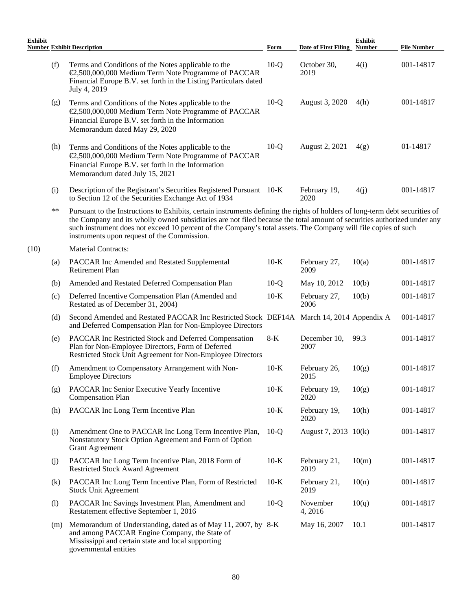| <b>Exhibit</b> |       | <b>Number Exhibit Description</b>                                                                                                                                                                                                                                                                                                                                                                                        | Form   | Date of First Filing      | <b>Exhibit</b><br><b>Number</b> | <b>File Number</b> |
|----------------|-------|--------------------------------------------------------------------------------------------------------------------------------------------------------------------------------------------------------------------------------------------------------------------------------------------------------------------------------------------------------------------------------------------------------------------------|--------|---------------------------|---------------------------------|--------------------|
|                | (f)   | Terms and Conditions of the Notes applicable to the<br>€2,500,000,000 Medium Term Note Programme of PACCAR<br>Financial Europe B.V. set forth in the Listing Particulars dated<br>July 4, 2019                                                                                                                                                                                                                           | $10-Q$ | October 30,<br>2019       | 4(i)                            | 001-14817          |
|                | (g)   | Terms and Conditions of the Notes applicable to the<br>€2,500,000,000 Medium Term Note Programme of PACCAR<br>Financial Europe B.V. set forth in the Information<br>Memorandum dated May 29, 2020                                                                                                                                                                                                                        | $10-Q$ | August 3, 2020            | 4(h)                            | 001-14817          |
|                | (h)   | Terms and Conditions of the Notes applicable to the<br>€2,500,000,000 Medium Term Note Programme of PACCAR<br>Financial Europe B.V. set forth in the Information<br>Memorandum dated July 15, 2021                                                                                                                                                                                                                       | $10-Q$ | August 2, 2021            | 4(g)                            | 01-14817           |
|                | (i)   | Description of the Registrant's Securities Registered Pursuant 10-K<br>to Section 12 of the Securities Exchange Act of 1934                                                                                                                                                                                                                                                                                              |        | February 19,<br>2020      | 4(j)                            | 001-14817          |
|                | $***$ | Pursuant to the Instructions to Exhibits, certain instruments defining the rights of holders of long-term debt securities of<br>the Company and its wholly owned subsidiaries are not filed because the total amount of securities authorized under any<br>such instrument does not exceed 10 percent of the Company's total assets. The Company will file copies of such<br>instruments upon request of the Commission. |        |                           |                                 |                    |
| (10)           |       | <b>Material Contracts:</b>                                                                                                                                                                                                                                                                                                                                                                                               |        |                           |                                 |                    |
|                | (a)   | PACCAR Inc Amended and Restated Supplemental<br><b>Retirement Plan</b>                                                                                                                                                                                                                                                                                                                                                   | $10-K$ | February 27,<br>2009      | 10(a)                           | 001-14817          |
|                | (b)   | Amended and Restated Deferred Compensation Plan                                                                                                                                                                                                                                                                                                                                                                          | $10-Q$ | May 10, 2012              | 10(b)                           | 001-14817          |
|                | (c)   | Deferred Incentive Compensation Plan (Amended and<br>Restated as of December 31, 2004)                                                                                                                                                                                                                                                                                                                                   | $10-K$ | February 27,<br>2006      | 10(b)                           | 001-14817          |
|                | (d)   | Second Amended and Restated PACCAR Inc Restricted Stock DEF14A<br>and Deferred Compensation Plan for Non-Employee Directors                                                                                                                                                                                                                                                                                              |        | March 14, 2014 Appendix A |                                 | 001-14817          |
|                | (e)   | PACCAR Inc Restricted Stock and Deferred Compensation<br>Plan for Non-Employee Directors, Form of Deferred<br>Restricted Stock Unit Agreement for Non-Employee Directors                                                                                                                                                                                                                                                 | $8-K$  | December 10,<br>2007      | 99.3                            | 001-14817          |
|                | (f)   | Amendment to Compensatory Arrangement with Non-<br><b>Employee Directors</b>                                                                                                                                                                                                                                                                                                                                             | $10-K$ | February 26,<br>2015      | 10(g)                           | 001-14817          |
|                | (g)   | PACCAR Inc Senior Executive Yearly Incentive<br><b>Compensation Plan</b>                                                                                                                                                                                                                                                                                                                                                 | $10-K$ | February 19,<br>2020      | 10(g)                           | 001-14817          |
|                | (h)   | PACCAR Inc Long Term Incentive Plan                                                                                                                                                                                                                                                                                                                                                                                      | $10-K$ | February 19,<br>2020      | 10(h)                           | 001-14817          |
|                | (i)   | Amendment One to PACCAR Inc Long Term Incentive Plan,<br>Nonstatutory Stock Option Agreement and Form of Option<br><b>Grant Agreement</b>                                                                                                                                                                                                                                                                                | $10-Q$ | August 7, 2013 10(k)      |                                 | 001-14817          |
|                | (j)   | PACCAR Inc Long Term Incentive Plan, 2018 Form of<br><b>Restricted Stock Award Agreement</b>                                                                                                                                                                                                                                                                                                                             | $10-K$ | February 21,<br>2019      | 10(m)                           | 001-14817          |
|                | (k)   | PACCAR Inc Long Term Incentive Plan, Form of Restricted<br><b>Stock Unit Agreement</b>                                                                                                                                                                                                                                                                                                                                   | $10-K$ | February 21,<br>2019      | 10(n)                           | 001-14817          |
|                | (1)   | PACCAR Inc Savings Investment Plan, Amendment and<br>Restatement effective September 1, 2016                                                                                                                                                                                                                                                                                                                             | $10-Q$ | November<br>4, 2016       | 10(q)                           | 001-14817          |
|                | (m)   | Memorandum of Understanding, dated as of May 11, 2007, by 8-K<br>and among PACCAR Engine Company, the State of<br>Mississippi and certain state and local supporting<br>governmental entities                                                                                                                                                                                                                            |        | May 16, 2007              | 10.1                            | 001-14817          |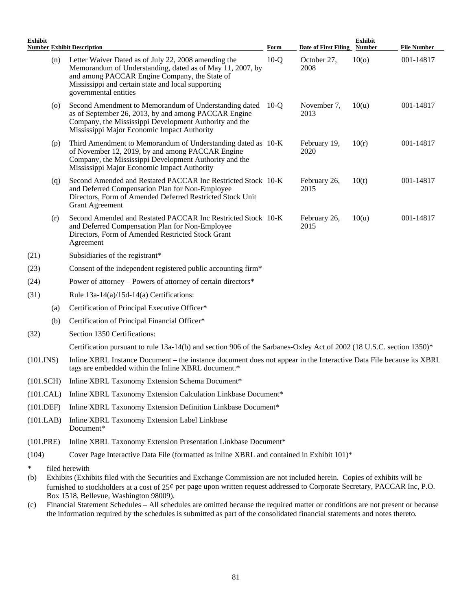| <b>Exhibit</b><br><b>Number Exhibit Description</b>                                                |                                                                                                                                            | Form                                                                                                                                                                                                                                              | Date of First Filing Number | <b>Exhibit</b>       | <b>File Number</b> |           |  |  |  |
|----------------------------------------------------------------------------------------------------|--------------------------------------------------------------------------------------------------------------------------------------------|---------------------------------------------------------------------------------------------------------------------------------------------------------------------------------------------------------------------------------------------------|-----------------------------|----------------------|--------------------|-----------|--|--|--|
|                                                                                                    | (n)                                                                                                                                        | Letter Waiver Dated as of July 22, 2008 amending the<br>Memorandum of Understanding, dated as of May 11, 2007, by<br>and among PACCAR Engine Company, the State of<br>Mississippi and certain state and local supporting<br>governmental entities | $10-Q$                      | October 27,<br>2008  | 10 <sub>(o)</sub>  | 001-14817 |  |  |  |
|                                                                                                    | (0)                                                                                                                                        | Second Amendment to Memorandum of Understanding dated 10-Q<br>as of September 26, 2013, by and among PACCAR Engine<br>Company, the Mississippi Development Authority and the<br>Mississippi Major Economic Impact Authority                       |                             | November 7,<br>2013  | 10(u)              | 001-14817 |  |  |  |
|                                                                                                    | (p)                                                                                                                                        | Third Amendment to Memorandum of Understanding dated as 10-K<br>of November 12, 2019, by and among PACCAR Engine<br>Company, the Mississippi Development Authority and the<br>Mississippi Major Economic Impact Authority                         |                             | February 19,<br>2020 | 10(r)              | 001-14817 |  |  |  |
|                                                                                                    | (q)                                                                                                                                        | Second Amended and Restated PACCAR Inc Restricted Stock 10-K<br>and Deferred Compensation Plan for Non-Employee<br>Directors, Form of Amended Deferred Restricted Stock Unit<br><b>Grant Agreement</b>                                            |                             | February 26,<br>2015 | 10(t)              | 001-14817 |  |  |  |
|                                                                                                    | (r)                                                                                                                                        | Second Amended and Restated PACCAR Inc Restricted Stock 10-K<br>and Deferred Compensation Plan for Non-Employee<br>Directors, Form of Amended Restricted Stock Grant<br>Agreement                                                                 |                             | February 26,<br>2015 | 10(u)              | 001-14817 |  |  |  |
| (21)                                                                                               |                                                                                                                                            | Subsidiaries of the registrant*                                                                                                                                                                                                                   |                             |                      |                    |           |  |  |  |
| (23)                                                                                               |                                                                                                                                            | Consent of the independent registered public accounting firm*                                                                                                                                                                                     |                             |                      |                    |           |  |  |  |
| (24)                                                                                               |                                                                                                                                            | Power of attorney – Powers of attorney of certain directors*                                                                                                                                                                                      |                             |                      |                    |           |  |  |  |
| (31)                                                                                               |                                                                                                                                            | Rule $13a-14(a)/15d-14(a)$ Certifications:                                                                                                                                                                                                        |                             |                      |                    |           |  |  |  |
|                                                                                                    | (a)                                                                                                                                        | Certification of Principal Executive Officer*                                                                                                                                                                                                     |                             |                      |                    |           |  |  |  |
|                                                                                                    | (b)                                                                                                                                        | Certification of Principal Financial Officer*                                                                                                                                                                                                     |                             |                      |                    |           |  |  |  |
| Section 1350 Certifications:<br>(32)                                                               |                                                                                                                                            |                                                                                                                                                                                                                                                   |                             |                      |                    |           |  |  |  |
|                                                                                                    |                                                                                                                                            | Certification pursuant to rule 13a-14(b) and section 906 of the Sarbanes-Oxley Act of 2002 (18 U.S.C. section 1350)*                                                                                                                              |                             |                      |                    |           |  |  |  |
| $(101.$ INS $)$                                                                                    |                                                                                                                                            | Inline XBRL Instance Document – the instance document does not appear in the Interactive Data File because its XBRL<br>tags are embedded within the Inline XBRL document.*                                                                        |                             |                      |                    |           |  |  |  |
|                                                                                                    |                                                                                                                                            | (101.SCH) Inline XBRL Taxonomy Extension Schema Document*                                                                                                                                                                                         |                             |                      |                    |           |  |  |  |
| (101.CAL)                                                                                          |                                                                                                                                            | Inline XBRL Taxonomy Extension Calculation Linkbase Document*                                                                                                                                                                                     |                             |                      |                    |           |  |  |  |
| (101.DEF)<br>Inline XBRL Taxonomy Extension Definition Linkbase Document*                          |                                                                                                                                            |                                                                                                                                                                                                                                                   |                             |                      |                    |           |  |  |  |
| (101.LAB)<br>Inline XBRL Taxonomy Extension Label Linkbase<br>Document*                            |                                                                                                                                            |                                                                                                                                                                                                                                                   |                             |                      |                    |           |  |  |  |
| (101.PRE)                                                                                          |                                                                                                                                            | Inline XBRL Taxonomy Extension Presentation Linkbase Document*                                                                                                                                                                                    |                             |                      |                    |           |  |  |  |
| Cover Page Interactive Data File (formatted as inline XBRL and contained in Exhibit 101)*<br>(104) |                                                                                                                                            |                                                                                                                                                                                                                                                   |                             |                      |                    |           |  |  |  |
| $\ast$<br>(b)                                                                                      | filed herewith<br>Exhibits (Exhibits filed with the Securities and Exchange Commission are not included herein. Copies of exhibits will be |                                                                                                                                                                                                                                                   |                             |                      |                    |           |  |  |  |

- furnished to stockholders at a cost of 25¢ per page upon written request addressed to Corporate Secretary, PACCAR Inc, P.O. Box 1518, Bellevue, Washington 98009).
- (c) Financial Statement Schedules All schedules are omitted because the required matter or conditions are not present or because the information required by the schedules is submitted as part of the consolidated financial statements and notes thereto.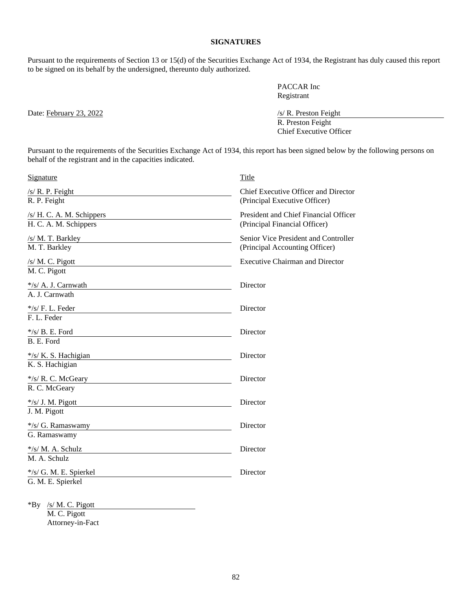### **SIGNATURES**

Pursuant to the requirements of Section 13 or 15(d) of the Securities Exchange Act of 1934, the Registrant has duly caused this report to be signed on its behalf by the undersigned, thereunto duly authorized.

> PACCAR Inc Registrant

Date: February 23, 2022 /s/ R. Preston Feight

R. Preston Feight Chief Executive Officer

Pursuant to the requirements of the Securities Exchange Act of 1934, this report has been signed below by the following persons on behalf of the registrant and in the capacities indicated.

| Signature                                                                                                                                                      | Title                                                                  |
|----------------------------------------------------------------------------------------------------------------------------------------------------------------|------------------------------------------------------------------------|
| $/s/ R$ . P. Feight<br>R. P. Feight                                                                                                                            | Chief Executive Officer and Director<br>(Principal Executive Officer)  |
| /s/ H. C. A. M. Schippers<br>H. C. A. M. Schippers                                                                                                             | President and Chief Financial Officer<br>(Principal Financial Officer) |
| /s/ M. T. Barkley<br><u> 1980 - Johann Barn, amerikansk politiker (d. 1980)</u><br>M. T. Barkley                                                               | Senior Vice President and Controller<br>(Principal Accounting Officer) |
| /s/ M. C. Pigott<br>the control of the control of the control of the control of the control of the control of<br>M. C. Pigott                                  | <b>Executive Chairman and Director</b>                                 |
| */s/ A. J. Carnwath<br><u> 1989 - Johann Barn, mars ann an t-Amhain Aonaich an t-Aonaich an t-Aonaich an t-Aonaich an t-Aonaich an t-Aon</u><br>A. J. Carnwath | Director                                                               |
| */s/ F. L. Feder<br>F. L. Feder                                                                                                                                | Director                                                               |
| $*/s/$ B. E. Ford<br>the control of the control of the control of the control of the control of<br>B. E. Ford                                                  | Director                                                               |
| */s/ K. S. Hachigian<br>K. S. Hachigian                                                                                                                        | Director                                                               |
| */s/ R. C. McGeary<br><u> 1980 - Johann Barn, mars ar breithinn ar chuid ann an t-Alban ann an t-Alban ann an t-Alban ann an t-Alban a</u><br>R. C. McGeary    | Director                                                               |
| $\frac{k}{s}$ J. M. Pigott<br><u> 1989 - Johann Barbara, martxa alemaniar a</u><br>J. M. Pigott                                                                | Director                                                               |
| */s/ G. Ramaswamy<br>G. Ramaswamy                                                                                                                              | Director                                                               |
| */s/ M. A. Schulz<br>M. A. Schulz                                                                                                                              | Director                                                               |
| */s/ G. M. E. Spierkel<br><u> 1989 - Johann Barbara, martin a</u><br>G. M. E. Spierkel                                                                         | Director                                                               |

\*By /s/ M. C. Pigott M. C. Pigott Attorney-in-Fact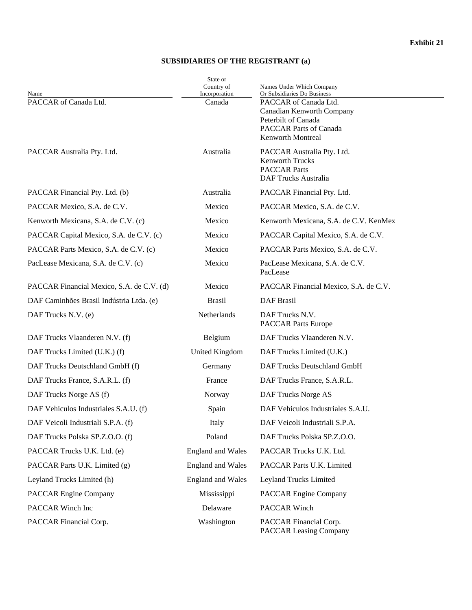# **Exhibit 21**

# **SUBSIDIARIES OF THE REGISTRANT (a)**

| Name                                      | State or<br>Country of<br>Incorporation | Names Under Which Company<br>Or Subsidiaries Do Business                                                                        |
|-------------------------------------------|-----------------------------------------|---------------------------------------------------------------------------------------------------------------------------------|
| PACCAR of Canada Ltd.                     | Canada                                  | PACCAR of Canada Ltd.<br>Canadian Kenworth Company<br>Peterbilt of Canada<br><b>PACCAR Parts of Canada</b><br>Kenworth Montreal |
| PACCAR Australia Pty. Ltd.                | Australia                               | PACCAR Australia Pty. Ltd.<br><b>Kenworth Trucks</b><br><b>PACCAR Parts</b><br><b>DAF Trucks Australia</b>                      |
| PACCAR Financial Pty. Ltd. (b)            | Australia                               | PACCAR Financial Pty. Ltd.                                                                                                      |
| PACCAR Mexico, S.A. de C.V.               | Mexico                                  | PACCAR Mexico, S.A. de C.V.                                                                                                     |
| Kenworth Mexicana, S.A. de C.V. (c)       | Mexico                                  | Kenworth Mexicana, S.A. de C.V. KenMex                                                                                          |
| PACCAR Capital Mexico, S.A. de C.V. (c)   | Mexico                                  | PACCAR Capital Mexico, S.A. de C.V.                                                                                             |
| PACCAR Parts Mexico, S.A. de C.V. (c)     | Mexico                                  | PACCAR Parts Mexico, S.A. de C.V.                                                                                               |
| PacLease Mexicana, S.A. de C.V. (c)       | Mexico                                  | PacLease Mexicana, S.A. de C.V.<br>PacLease                                                                                     |
| PACCAR Financial Mexico, S.A. de C.V. (d) | Mexico                                  | PACCAR Financial Mexico, S.A. de C.V.                                                                                           |
| DAF Caminhões Brasil Indústria Ltda. (e)  | <b>Brasil</b>                           | <b>DAF</b> Brasil                                                                                                               |
| DAF Trucks N.V. (e)                       | Netherlands                             | DAF Trucks N.V.<br><b>PACCAR Parts Europe</b>                                                                                   |
| DAF Trucks Vlaanderen N.V. (f)            | Belgium                                 | DAF Trucks Vlaanderen N.V.                                                                                                      |
| DAF Trucks Limited (U.K.) (f)             | United Kingdom                          | DAF Trucks Limited (U.K.)                                                                                                       |
| DAF Trucks Deutschland GmbH (f)           | Germany                                 | DAF Trucks Deutschland GmbH                                                                                                     |
| DAF Trucks France, S.A.R.L. (f)           | France                                  | DAF Trucks France, S.A.R.L.                                                                                                     |
| DAF Trucks Norge AS (f)                   | Norway                                  | DAF Trucks Norge AS                                                                                                             |
| DAF Vehiculos Industriales S.A.U. (f)     | Spain                                   | DAF Vehiculos Industriales S.A.U.                                                                                               |
| DAF Veicoli Industriali S.P.A. (f)        | Italy                                   | DAF Veicoli Industriali S.P.A.                                                                                                  |
| DAF Trucks Polska SP.Z.O.O. (f)           | Poland                                  | DAF Trucks Polska SP.Z.O.O.                                                                                                     |
| PACCAR Trucks U.K. Ltd. (e)               | <b>England and Wales</b>                | PACCAR Trucks U.K. Ltd.                                                                                                         |
| PACCAR Parts U.K. Limited (g)             | <b>England and Wales</b>                | PACCAR Parts U.K. Limited                                                                                                       |
| Leyland Trucks Limited (h)                | <b>England and Wales</b>                | Leyland Trucks Limited                                                                                                          |
| <b>PACCAR Engine Company</b>              | Mississippi                             | <b>PACCAR Engine Company</b>                                                                                                    |
| PACCAR Winch Inc                          | Delaware                                | PACCAR Winch                                                                                                                    |
| PACCAR Financial Corp.                    | Washington                              | PACCAR Financial Corp.<br><b>PACCAR Leasing Company</b>                                                                         |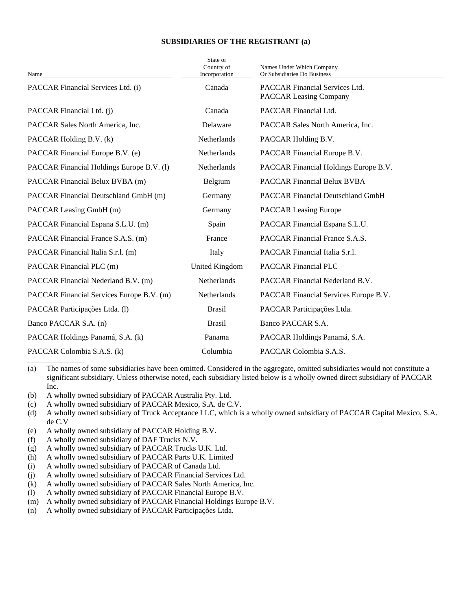### **SUBSIDIARIES OF THE REGISTRANT (a)**

| Name                                      | State or<br>Country of<br>Incorporation | Names Under Which Company<br>Or Subsidiaries Do Business               |
|-------------------------------------------|-----------------------------------------|------------------------------------------------------------------------|
| PACCAR Financial Services Ltd. (i)        | Canada                                  | <b>PACCAR Financial Services Ltd.</b><br><b>PACCAR Leasing Company</b> |
| PACCAR Financial Ltd. (j)                 | Canada                                  | PACCAR Financial Ltd.                                                  |
| PACCAR Sales North America, Inc.          | Delaware                                | PACCAR Sales North America, Inc.                                       |
| PACCAR Holding B.V. (k)                   | <b>Netherlands</b>                      | PACCAR Holding B.V.                                                    |
| PACCAR Financial Europe B.V. (e)          | Netherlands                             | PACCAR Financial Europe B.V.                                           |
| PACCAR Financial Holdings Europe B.V. (1) | <b>Netherlands</b>                      | PACCAR Financial Holdings Europe B.V.                                  |
| PACCAR Financial Belux BVBA (m)           | Belgium                                 | <b>PACCAR Financial Belux BVBA</b>                                     |
| PACCAR Financial Deutschland GmbH (m)     | Germany                                 | PACCAR Financial Deutschland GmbH                                      |
| PACCAR Leasing GmbH (m)                   | Germany                                 | <b>PACCAR Leasing Europe</b>                                           |
| PACCAR Financial Espana S.L.U. (m)        | Spain                                   | PACCAR Financial Espana S.L.U.                                         |
| PACCAR Financial France S.A.S. (m)        | France                                  | PACCAR Financial France S.A.S.                                         |
| PACCAR Financial Italia S.r.l. (m)        | Italy                                   | PACCAR Financial Italia S.r.l.                                         |
| PACCAR Financial PLC (m)                  | United Kingdom                          | <b>PACCAR Financial PLC</b>                                            |
| PACCAR Financial Nederland B.V. (m)       | Netherlands                             | PACCAR Financial Nederland B.V.                                        |
| PACCAR Financial Services Europe B.V. (m) | <b>Netherlands</b>                      | PACCAR Financial Services Europe B.V.                                  |
| PACCAR Participações Ltda. (1)            | <b>Brasil</b>                           | PACCAR Participações Ltda.                                             |
| Banco PACCAR S.A. (n)                     | <b>Brasil</b>                           | Banco PACCAR S.A.                                                      |
| PACCAR Holdings Panamá, S.A. (k)          | Panama                                  | PACCAR Holdings Panamá, S.A.                                           |
| PACCAR Colombia S.A.S. (k)                | Columbia                                | PACCAR Colombia S.A.S.                                                 |

- (a) The names of some subsidiaries have been omitted. Considered in the aggregate, omitted subsidiaries would not constitute a significant subsidiary. Unless otherwise noted, each subsidiary listed below is a wholly owned direct subsidiary of PACCAR Inc.
- (b) A wholly owned subsidiary of PACCAR Australia Pty. Ltd.
- (c) A wholly owned subsidiary of PACCAR Mexico, S.A. de C.V.
- (d) A wholly owned subsidiary of Truck Acceptance LLC, which is a wholly owned subsidiary of PACCAR Capital Mexico, S.A. de C.V
- (e) A wholly owned subsidiary of PACCAR Holding B.V.
- (f) A wholly owned subsidiary of DAF Trucks N.V.
- (g) A wholly owned subsidiary of PACCAR Trucks U.K. Ltd.
- (h) A wholly owned subsidiary of PACCAR Parts U.K. Limited
- (i) A wholly owned subsidiary of PACCAR of Canada Ltd.
- (j) A wholly owned subsidiary of PACCAR Financial Services Ltd.
- (k) A wholly owned subsidiary of PACCAR Sales North America, Inc.
- (l) A wholly owned subsidiary of PACCAR Financial Europe B.V.
- (m) A wholly owned subsidiary of PACCAR Financial Holdings Europe B.V.
- (n) A wholly owned subsidiary of PACCAR Participações Ltda.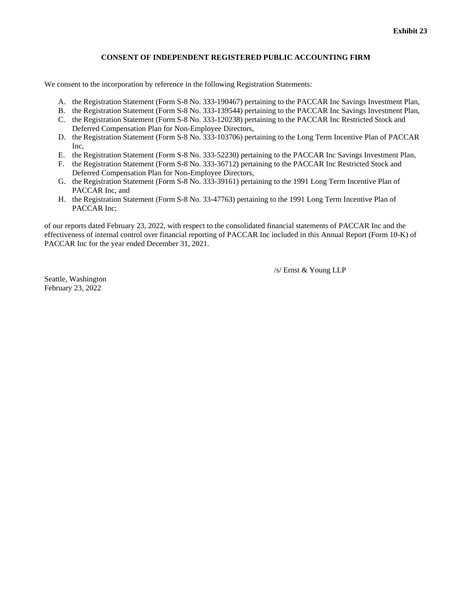## **CONSENT OF INDEPENDENT REGISTERED PUBLIC ACCOUNTING FIRM**

We consent to the incorporation by reference in the following Registration Statements:

- A. the Registration Statement (Form S-8 No. 333-190467) pertaining to the PACCAR Inc Savings Investment Plan,
- B. the Registration Statement (Form S-8 No. 333-139544) pertaining to the PACCAR Inc Savings Investment Plan,
- C. the Registration Statement (Form S-8 No. 333-120238) pertaining to the PACCAR Inc Restricted Stock and Deferred Compensation Plan for Non-Employee Directors,
- D. the Registration Statement (Form S-8 No. 333-103706) pertaining to the Long Term Incentive Plan of PACCAR Inc,
- E. the Registration Statement (Form S-8 No. 333-52230) pertaining to the PACCAR Inc Savings Investment Plan,
- F. the Registration Statement (Form S-8 No. 333-36712) pertaining to the PACCAR Inc Restricted Stock and Deferred Compensation Plan for Non-Employee Directors,
- G. the Registration Statement (Form S-8 No. 333-39161) pertaining to the 1991 Long Term Incentive Plan of PACCAR Inc, and
- H. the Registration Statement (Form S-8 No. 33-47763) pertaining to the 1991 Long Term Incentive Plan of PACCAR Inc;

of our reports dated February 23, 2022, with respect to the consolidated financial statements of PACCAR Inc and the effectiveness of internal control over financial reporting of PACCAR Inc included in this Annual Report (Form 10-K) of PACCAR Inc for the year ended December 31, 2021.

/s/ Ernst & Young LLP

Seattle, Washington February 23, 2022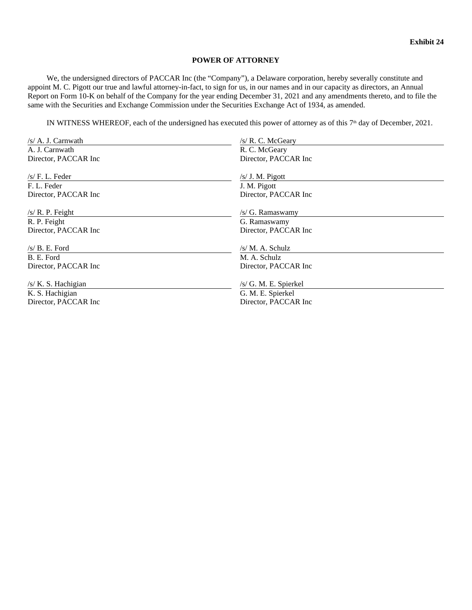## **POWER OF ATTORNEY**

We, the undersigned directors of PACCAR Inc (the "Company"), a Delaware corporation, hereby severally constitute and appoint M. C. Pigott our true and lawful attorney-in-fact, to sign for us, in our names and in our capacity as directors, an Annual Report on Form 10-K on behalf of the Company for the year ending December 31, 2021 and any amendments thereto, and to file the same with the Securities and Exchange Commission under the Securities Exchange Act of 1934, as amended.

IN WITNESS WHEREOF, each of the undersigned has executed this power of attorney as of this 7<sup>th</sup> day of December, 2021.

| /s/ A. J. Carnwath    | /s/ R. C. McGeary     |  |
|-----------------------|-----------------------|--|
| A. J. Carnwath        | R. C. McGeary         |  |
| Director, PACCAR Inc. | Director, PACCAR Inc. |  |
| $/s/$ F. L. Feder     | $/s/J. M.$ Pigott     |  |
| F.L. Feder            | J. M. Pigott          |  |
| Director, PACCAR Inc. | Director, PACCAR Inc. |  |
| $/s/R$ . P. Feight    | /s/ G. Ramaswamy      |  |
| R. P. Feight          | G. Ramaswamy          |  |
| Director, PACCAR Inc. | Director, PACCAR Inc. |  |
| $/s/ B. E.$ Ford      | $/s/M$ . A. Schulz    |  |
| B. E. Ford            | M. A. Schulz          |  |
| Director, PACCAR Inc  | Director, PACCAR Inc. |  |
| $/s/K$ . S. Hachigian | /s/ G. M. E. Spierkel |  |
| K. S. Hachigian       | G. M. E. Spierkel     |  |
| Director, PACCAR Inc. | Director, PACCAR Inc. |  |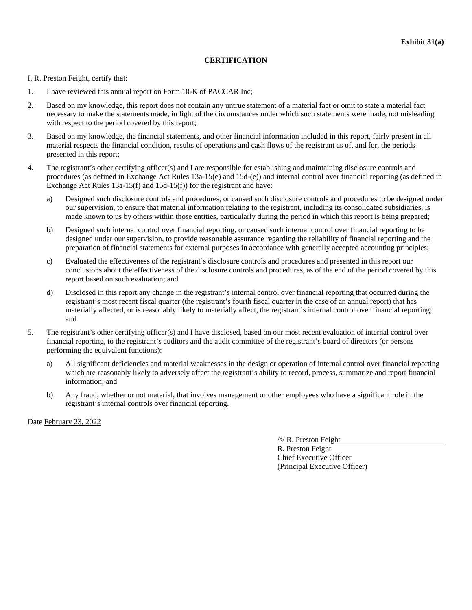### **CERTIFICATION**

I, R. Preston Feight, certify that:

- 1. I have reviewed this annual report on Form 10-K of PACCAR Inc;
- 2. Based on my knowledge, this report does not contain any untrue statement of a material fact or omit to state a material fact necessary to make the statements made, in light of the circumstances under which such statements were made, not misleading with respect to the period covered by this report;
- 3. Based on my knowledge, the financial statements, and other financial information included in this report, fairly present in all material respects the financial condition, results of operations and cash flows of the registrant as of, and for, the periods presented in this report;
- 4. The registrant's other certifying officer(s) and I are responsible for establishing and maintaining disclosure controls and procedures (as defined in Exchange Act Rules 13a-15(e) and 15d-(e)) and internal control over financial reporting (as defined in Exchange Act Rules 13a-15(f) and 15d-15(f)) for the registrant and have:
	- a) Designed such disclosure controls and procedures, or caused such disclosure controls and procedures to be designed under our supervision, to ensure that material information relating to the registrant, including its consolidated subsidiaries, is made known to us by others within those entities, particularly during the period in which this report is being prepared;
	- b) Designed such internal control over financial reporting, or caused such internal control over financial reporting to be designed under our supervision, to provide reasonable assurance regarding the reliability of financial reporting and the preparation of financial statements for external purposes in accordance with generally accepted accounting principles;
	- c) Evaluated the effectiveness of the registrant's disclosure controls and procedures and presented in this report our conclusions about the effectiveness of the disclosure controls and procedures, as of the end of the period covered by this report based on such evaluation; and
	- d) Disclosed in this report any change in the registrant's internal control over financial reporting that occurred during the registrant's most recent fiscal quarter (the registrant's fourth fiscal quarter in the case of an annual report) that has materially affected, or is reasonably likely to materially affect, the registrant's internal control over financial reporting; and
- 5. The registrant's other certifying officer(s) and I have disclosed, based on our most recent evaluation of internal control over financial reporting, to the registrant's auditors and the audit committee of the registrant's board of directors (or persons performing the equivalent functions):
	- a) All significant deficiencies and material weaknesses in the design or operation of internal control over financial reporting which are reasonably likely to adversely affect the registrant's ability to record, process, summarize and report financial information; and
	- b) Any fraud, whether or not material, that involves management or other employees who have a significant role in the registrant's internal controls over financial reporting.

Date February 23, 2022

/s/ R. Preston Feight R. Preston Feight Chief Executive Officer (Principal Executive Officer)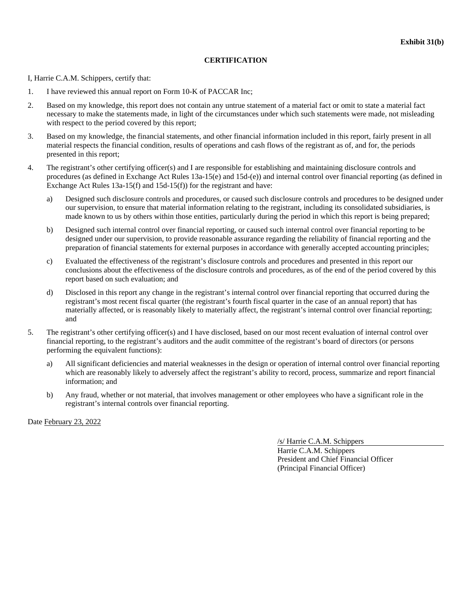### **CERTIFICATION**

I, Harrie C.A.M. Schippers, certify that:

- 1. I have reviewed this annual report on Form 10-K of PACCAR Inc;
- 2. Based on my knowledge, this report does not contain any untrue statement of a material fact or omit to state a material fact necessary to make the statements made, in light of the circumstances under which such statements were made, not misleading with respect to the period covered by this report;
- 3. Based on my knowledge, the financial statements, and other financial information included in this report, fairly present in all material respects the financial condition, results of operations and cash flows of the registrant as of, and for, the periods presented in this report;
- 4. The registrant's other certifying officer(s) and I are responsible for establishing and maintaining disclosure controls and procedures (as defined in Exchange Act Rules 13a-15(e) and 15d-(e)) and internal control over financial reporting (as defined in Exchange Act Rules 13a-15(f) and 15d-15(f)) for the registrant and have:
	- a) Designed such disclosure controls and procedures, or caused such disclosure controls and procedures to be designed under our supervision, to ensure that material information relating to the registrant, including its consolidated subsidiaries, is made known to us by others within those entities, particularly during the period in which this report is being prepared;
	- b) Designed such internal control over financial reporting, or caused such internal control over financial reporting to be designed under our supervision, to provide reasonable assurance regarding the reliability of financial reporting and the preparation of financial statements for external purposes in accordance with generally accepted accounting principles;
	- c) Evaluated the effectiveness of the registrant's disclosure controls and procedures and presented in this report our conclusions about the effectiveness of the disclosure controls and procedures, as of the end of the period covered by this report based on such evaluation; and
	- d) Disclosed in this report any change in the registrant's internal control over financial reporting that occurred during the registrant's most recent fiscal quarter (the registrant's fourth fiscal quarter in the case of an annual report) that has materially affected, or is reasonably likely to materially affect, the registrant's internal control over financial reporting; and
- 5. The registrant's other certifying officer(s) and I have disclosed, based on our most recent evaluation of internal control over financial reporting, to the registrant's auditors and the audit committee of the registrant's board of directors (or persons performing the equivalent functions):
	- a) All significant deficiencies and material weaknesses in the design or operation of internal control over financial reporting which are reasonably likely to adversely affect the registrant's ability to record, process, summarize and report financial information; and
	- b) Any fraud, whether or not material, that involves management or other employees who have a significant role in the registrant's internal controls over financial reporting.

Date February 23, 2022

/s/ Harrie C.A.M. Schippers Harrie C.A.M. Schippers President and Chief Financial Officer (Principal Financial Officer)